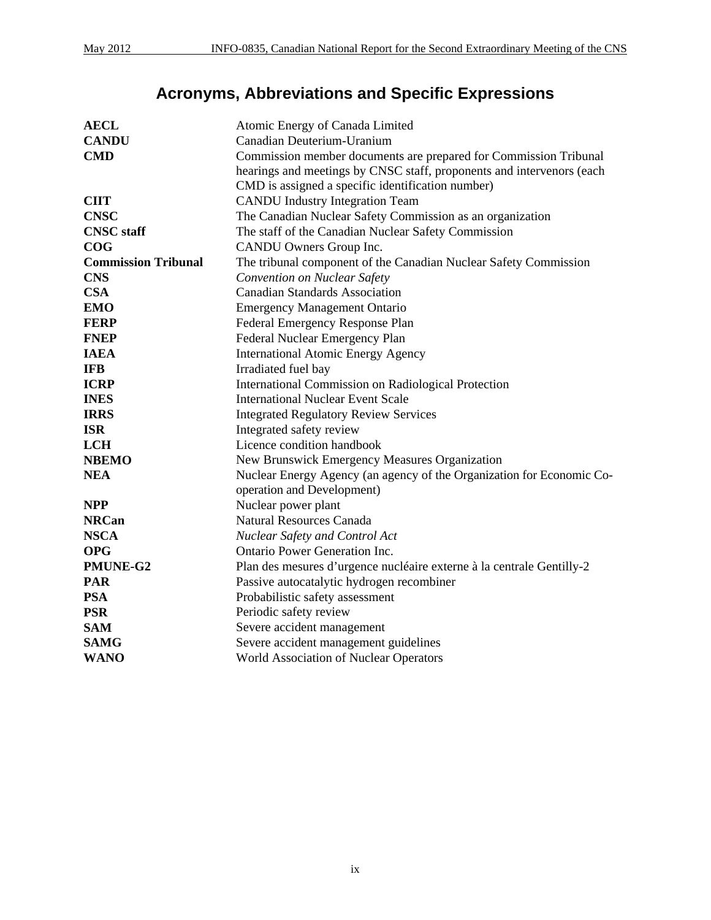# **Acronyms, Abbreviations and Specific Expressions**

| <b>AECL</b>                | Atomic Energy of Canada Limited                                                                     |  |  |  |
|----------------------------|-----------------------------------------------------------------------------------------------------|--|--|--|
| <b>CANDU</b>               | Canadian Deuterium-Uranium                                                                          |  |  |  |
| <b>CMD</b>                 | Commission member documents are prepared for Commission Tribunal                                    |  |  |  |
|                            | hearings and meetings by CNSC staff, proponents and intervenors (each                               |  |  |  |
|                            | CMD is assigned a specific identification number)                                                   |  |  |  |
| <b>CIIT</b>                | <b>CANDU</b> Industry Integration Team                                                              |  |  |  |
| <b>CNSC</b>                | The Canadian Nuclear Safety Commission as an organization                                           |  |  |  |
| <b>CNSC</b> staff          | The staff of the Canadian Nuclear Safety Commission                                                 |  |  |  |
| COG                        | CANDU Owners Group Inc.                                                                             |  |  |  |
| <b>Commission Tribunal</b> | The tribunal component of the Canadian Nuclear Safety Commission                                    |  |  |  |
| <b>CNS</b>                 | Convention on Nuclear Safety                                                                        |  |  |  |
| <b>CSA</b>                 | <b>Canadian Standards Association</b>                                                               |  |  |  |
| <b>EMO</b>                 | <b>Emergency Management Ontario</b>                                                                 |  |  |  |
| <b>FERP</b>                | Federal Emergency Response Plan                                                                     |  |  |  |
| <b>FNEP</b>                | Federal Nuclear Emergency Plan                                                                      |  |  |  |
| <b>IAEA</b>                | <b>International Atomic Energy Agency</b>                                                           |  |  |  |
| <b>IFB</b>                 | Irradiated fuel bay                                                                                 |  |  |  |
| <b>ICRP</b>                | International Commission on Radiological Protection                                                 |  |  |  |
| <b>INES</b>                | <b>International Nuclear Event Scale</b>                                                            |  |  |  |
| <b>IRRS</b>                | <b>Integrated Regulatory Review Services</b>                                                        |  |  |  |
| <b>ISR</b>                 | Integrated safety review                                                                            |  |  |  |
| <b>LCH</b>                 | Licence condition handbook                                                                          |  |  |  |
| <b>NBEMO</b>               | New Brunswick Emergency Measures Organization                                                       |  |  |  |
| <b>NEA</b>                 | Nuclear Energy Agency (an agency of the Organization for Economic Co-<br>operation and Development) |  |  |  |
| <b>NPP</b>                 | Nuclear power plant                                                                                 |  |  |  |
| <b>NRCan</b>               | <b>Natural Resources Canada</b>                                                                     |  |  |  |
| <b>NSCA</b>                | Nuclear Safety and Control Act                                                                      |  |  |  |
| <b>OPG</b>                 | <b>Ontario Power Generation Inc.</b>                                                                |  |  |  |
| PMUNE-G2                   | Plan des mesures d'urgence nucléaire externe à la centrale Gentilly-2                               |  |  |  |
| <b>PAR</b>                 | Passive autocatalytic hydrogen recombiner                                                           |  |  |  |
| <b>PSA</b>                 | Probabilistic safety assessment                                                                     |  |  |  |
| <b>PSR</b>                 | Periodic safety review                                                                              |  |  |  |
| <b>SAM</b>                 | Severe accident management                                                                          |  |  |  |
| <b>SAMG</b>                | Severe accident management guidelines                                                               |  |  |  |
| <b>WANO</b>                | World Association of Nuclear Operators                                                              |  |  |  |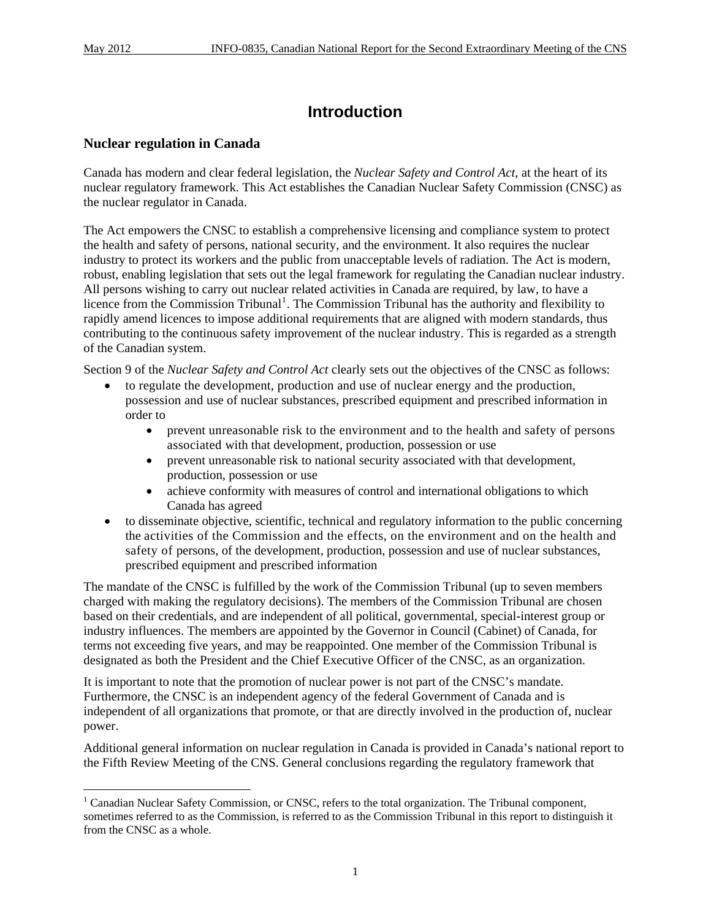$\overline{a}$ 

# **Introduction**

### **Nuclear regulation in Canada**

Canada has modern and clear federal legislation, the *Nuclear Safety and Control Act*, at the heart of its nuclear regulatory framework. This Act establishes the Canadian Nuclear Safety Commission (CNSC) as the nuclear regulator in Canada.

The Act empowers the CNSC to establish a comprehensive licensing and compliance system to protect the health and safety of persons, national security, and the environment. It also requires the nuclear industry to protect its workers and the public from unacceptable levels of radiation. The Act is modern, robust, enabling legislation that sets out the legal framework for regulating the Canadian nuclear industry. All persons wishing to carry out nuclear related activities in Canada are required, by law, to have a licence from the Commission Tribunal<sup>[1](#page-12-0)</sup>. The Commission Tribunal has the authority and flexibility to rapidly amend licences to impose additional requirements that are aligned with modern standards, thus contributing to the continuous safety improvement of the nuclear industry. This is regarded as a strength of the Canadian system.

Section 9 of the *Nuclear Safety and Control Act* clearly sets out the objectives of the CNSC as follows:

- to regulate the development, production and use of nuclear energy and the production, possession and use of nuclear substances, prescribed equipment and prescribed information in order to
	- prevent unreasonable risk to the environment and to the health and safety of persons associated with that development, production, possession or use
	- prevent unreasonable risk to national security associated with that development, production, possession or use
	- achieve conformity with measures of control and international obligations to which Canada has agreed
- to disseminate objective, scientific, technical and regulatory information to the public concerning the activities of the Commission and the effects, on the environment and on the health and safety of persons, of the development, production, possession and use of nuclear substances, prescribed equipment and prescribed information

The mandate of the CNSC is fulfilled by the work of the Commission Tribunal (up to seven members charged with making the regulatory decisions). The members of the Commission Tribunal are chosen based on their credentials, and are independent of all political, governmental, special-interest group or industry influences. The members are appointed by the Governor in Council (Cabinet) of Canada, for terms not exceeding five years, and may be reappointed. One member of the Commission Tribunal is designated as both the President and the Chief Executive Officer of the CNSC, as an organization.

It is important to note that the promotion of nuclear power is not part of the CNSC's mandate. Furthermore, the CNSC is an independent agency of the federal Government of Canada and is independent of all organizations that promote, or that are directly involved in the production of, nuclear power.

Additional general information on nuclear regulation in Canada is provided in Canada's national report to the Fifth Review Meeting of the CNS. General conclusions regarding the regulatory framework that

<span id="page-12-0"></span><sup>&</sup>lt;sup>1</sup> Canadian Nuclear Safety Commission, or CNSC, refers to the total organization. The Tribunal component, sometimes referred to as the Commission, is referred to as the Commission Tribunal in this report to distinguish it from the CNSC as a whole.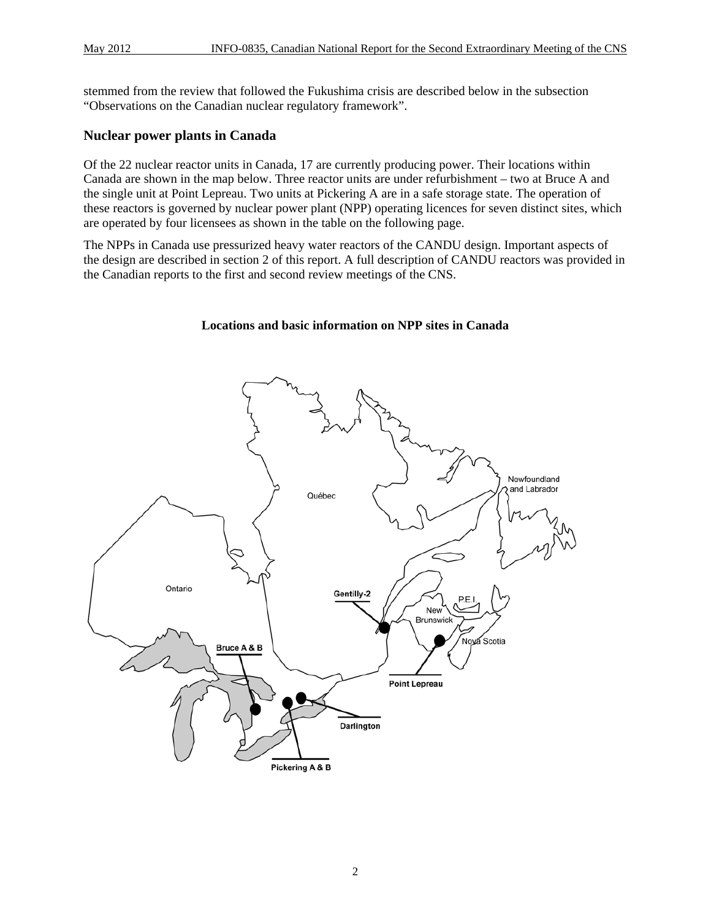stemmed from the review that followed the Fukushima crisis are described below in the subsection "Observations on the Canadian nuclear regulatory framework".

### **Nuclear power plants in Canada**

Of the 22 nuclear reactor units in Canada, 17 are currently producing power. Their locations within Canada are shown in the map below. Three reactor units are under refurbishment – two at Bruce A and the single unit at Point Lepreau. Two units at Pickering A are in a safe storage state. The operation of these reactors is governed by nuclear power plant (NPP) operating licences for seven distinct sites, which are operated by four licensees as shown in the table on the following page.

The NPPs in Canada use pressurized heavy water reactors of the CANDU design. Important aspects of the design are described in section 2 of this report. A full description of CANDU reactors was provided in the Canadian reports to the first and second review meetings of the CNS.

#### **Locations and basic information on NPP sites in Canada**

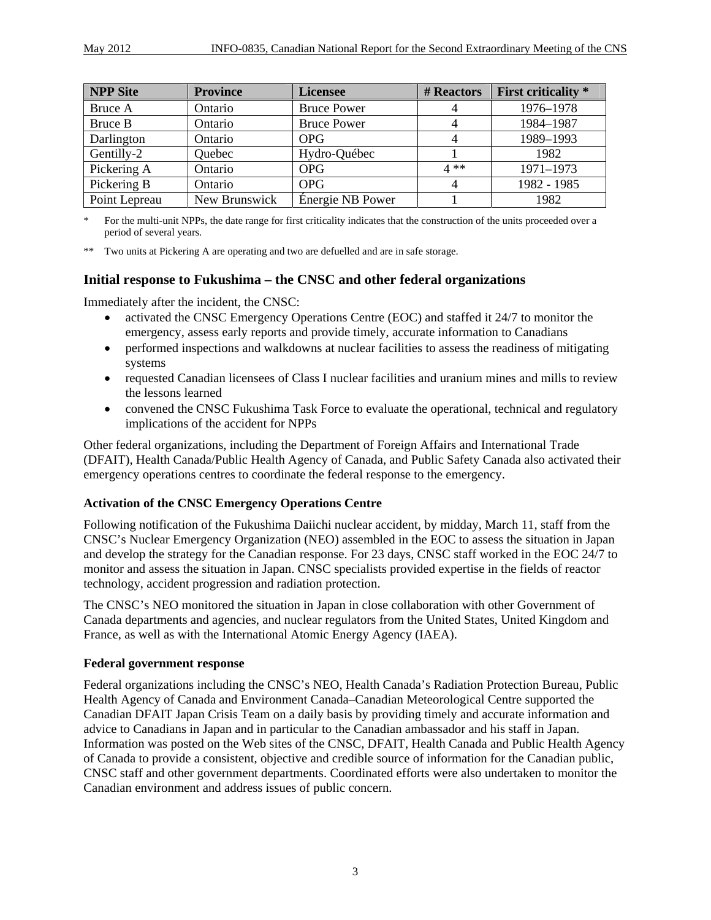| <b>NPP Site</b> | <b>Province</b> | <b>Licensee</b>    | # Reactors | <b>First criticality</b> * |
|-----------------|-----------------|--------------------|------------|----------------------------|
| Bruce A         | Ontario         | <b>Bruce Power</b> |            | 1976-1978                  |
| Bruce B         | Ontario         | <b>Bruce Power</b> |            | 1984-1987                  |
| Darlington      | Ontario         | <b>OPG</b>         |            | 1989-1993                  |
| Gentilly-2      | Quebec          | Hydro-Québec       |            | 1982                       |
| Pickering A     | Ontario         | <b>OPG</b>         | $4**$      | 1971-1973                  |
| Pickering B     | Ontario         | <b>OPG</b>         |            | 1982 - 1985                |
| Point Lepreau   | New Brunswick   | Énergie NB Power   |            | 1982                       |

For the multi-unit NPPs, the date range for first criticality indicates that the construction of the units proceeded over a period of several years.

\*\* Two units at Pickering A are operating and two are defuelled and are in safe storage.

### **Initial response to Fukushima – the CNSC and other federal organizations**

Immediately after the incident, the CNSC:

- activated the CNSC Emergency Operations Centre (EOC) and staffed it 24/7 to monitor the emergency, assess early reports and provide timely, accurate information to Canadians
- performed inspections and walkdowns at nuclear facilities to assess the readiness of mitigating systems
- requested Canadian licensees of Class I nuclear facilities and uranium mines and mills to review the lessons learned
- convened the CNSC Fukushima Task Force to evaluate the operational, technical and regulatory implications of the accident for NPPs

Other federal organizations, including the Department of Foreign Affairs and International Trade (DFAIT), Health Canada/Public Health Agency of Canada, and Public Safety Canada also activated their emergency operations centres to coordinate the federal response to the emergency.

#### **Activation of the CNSC Emergency Operations Centre**

Following notification of the Fukushima Daiichi nuclear accident, by midday, March 11, staff from the CNSC's Nuclear Emergency Organization (NEO) assembled in the EOC to assess the situation in Japan and develop the strategy for the Canadian response. For 23 days, CNSC staff worked in the EOC 24/7 to monitor and assess the situation in Japan. CNSC specialists provided expertise in the fields of reactor technology, accident progression and radiation protection.

The CNSC's NEO monitored the situation in Japan in close collaboration with other Government of Canada departments and agencies, and nuclear regulators from the United States, United Kingdom and France, as well as with the International Atomic Energy Agency (IAEA).

#### **Federal government response**

Federal organizations including the CNSC's NEO, Health Canada's Radiation Protection Bureau, Public Health Agency of Canada and Environment Canada–Canadian Meteorological Centre supported the Canadian DFAIT Japan Crisis Team on a daily basis by providing timely and accurate information and advice to Canadians in Japan and in particular to the Canadian ambassador and his staff in Japan. Information was posted on the Web sites of the CNSC, DFAIT, Health Canada and Public Health Agency of Canada to provide a consistent, objective and credible source of information for the Canadian public, CNSC staff and other government departments. Coordinated efforts were also undertaken to monitor the Canadian environment and address issues of public concern.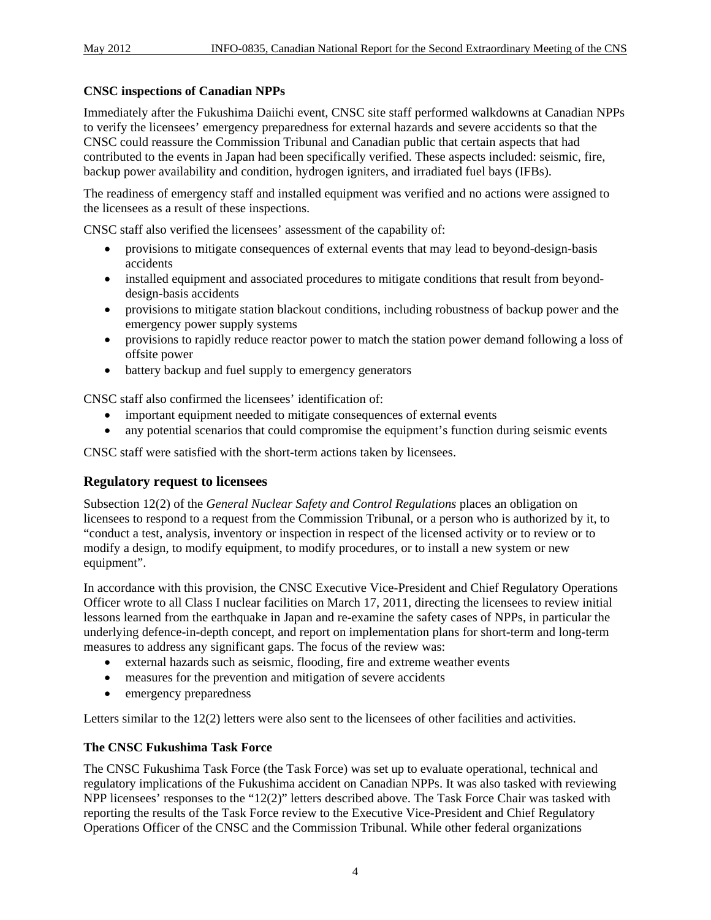# **CNSC inspections of Canadian NPPs**

Immediately after the Fukushima Daiichi event, CNSC site staff performed walkdowns at Canadian NPPs to verify the licensees' emergency preparedness for external hazards and severe accidents so that the CNSC could reassure the Commission Tribunal and Canadian public that certain aspects that had contributed to the events in Japan had been specifically verified. These aspects included: seismic, fire, backup power availability and condition, hydrogen igniters, and irradiated fuel bays (IFBs).

The readiness of emergency staff and installed equipment was verified and no actions were assigned to the licensees as a result of these inspections.

CNSC staff also verified the licensees' assessment of the capability of:

- provisions to mitigate consequences of external events that may lead to beyond-design-basis accidents
- installed equipment and associated procedures to mitigate conditions that result from beyonddesign-basis accidents
- provisions to mitigate station blackout conditions, including robustness of backup power and the emergency power supply systems
- provisions to rapidly reduce reactor power to match the station power demand following a loss of offsite power
- battery backup and fuel supply to emergency generators

CNSC staff also confirmed the licensees' identification of:

- important equipment needed to mitigate consequences of external events
- any potential scenarios that could compromise the equipment's function during seismic events

CNSC staff were satisfied with the short-term actions taken by licensees.

### **Regulatory request to licensees**

Subsection 12(2) of the *General Nuclear Safety and Control Regulations* places an obligation on licensees to respond to a request from the Commission Tribunal, or a person who is authorized by it, to "conduct a test, analysis, inventory or inspection in respect of the licensed activity or to review or to modify a design, to modify equipment, to modify procedures, or to install a new system or new equipment".

In accordance with this provision, the CNSC Executive Vice-President and Chief Regulatory Operations Officer wrote to all Class I nuclear facilities on March 17, 2011, directing the licensees to review initial lessons learned from the earthquake in Japan and re-examine the safety cases of NPPs, in particular the underlying defence-in-depth concept, and report on implementation plans for short-term and long-term measures to address any significant gaps. The focus of the review was:

- external hazards such as seismic, flooding, fire and extreme weather events
- measures for the prevention and mitigation of severe accidents
- emergency preparedness

Letters similar to the 12(2) letters were also sent to the licensees of other facilities and activities.

# **The CNSC Fukushima Task Force**

The CNSC Fukushima Task Force (the Task Force) was set up to evaluate operational, technical and regulatory implications of the Fukushima accident on Canadian NPPs. It was also tasked with reviewing NPP licensees' responses to the "12(2)" letters described above. The Task Force Chair was tasked with reporting the results of the Task Force review to the Executive Vice-President and Chief Regulatory Operations Officer of the CNSC and the Commission Tribunal. While other federal organizations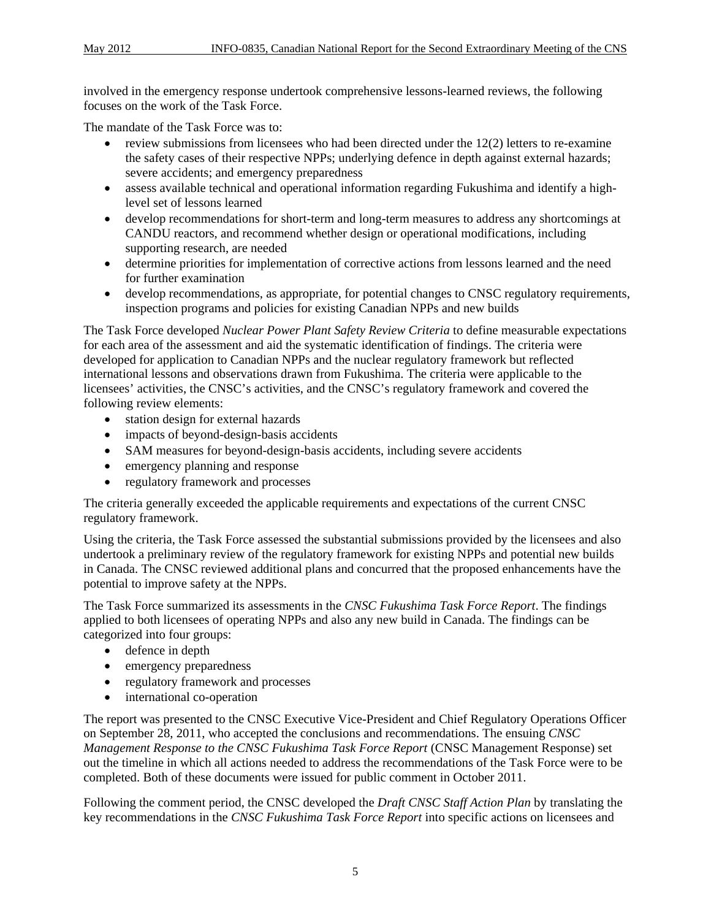involved in the emergency response undertook comprehensive lessons-learned reviews, the following focuses on the work of the Task Force.

The mandate of the Task Force was to:

- review submissions from licensees who had been directed under the 12(2) letters to re-examine the safety cases of their respective NPPs; underlying defence in depth against external hazards; severe accidents; and emergency preparedness
- assess available technical and operational information regarding Fukushima and identify a highlevel set of lessons learned
- develop recommendations for short-term and long-term measures to address any shortcomings at CANDU reactors, and recommend whether design or operational modifications, including supporting research, are needed
- determine priorities for implementation of corrective actions from lessons learned and the need for further examination
- develop recommendations, as appropriate, for potential changes to CNSC regulatory requirements, inspection programs and policies for existing Canadian NPPs and new builds

The Task Force developed *Nuclear Power Plant Safety Review Criteria* to define measurable expectations for each area of the assessment and aid the systematic identification of findings. The criteria were developed for application to Canadian NPPs and the nuclear regulatory framework but reflected international lessons and observations drawn from Fukushima. The criteria were applicable to the licensees' activities, the CNSC's activities, and the CNSC's regulatory framework and covered the following review elements:

- station design for external hazards
- impacts of beyond-design-basis accidents
- SAM measures for beyond-design-basis accidents, including severe accidents
- emergency planning and response
- regulatory framework and processes

The criteria generally exceeded the applicable requirements and expectations of the current CNSC regulatory framework.

Using the criteria, the Task Force assessed the substantial submissions provided by the licensees and also undertook a preliminary review of the regulatory framework for existing NPPs and potential new builds in Canada. The CNSC reviewed additional plans and concurred that the proposed enhancements have the potential to improve safety at the NPPs.

The Task Force summarized its assessments in the *CNSC Fukushima Task Force Report*. The findings applied to both licensees of operating NPPs and also any new build in Canada. The findings can be categorized into four groups:

- defence in depth
- emergency preparedness
- regulatory framework and processes
- international co-operation

The report was presented to the CNSC Executive Vice-President and Chief Regulatory Operations Officer on September 28, 2011, who accepted the conclusions and recommendations. The ensuing *CNSC Management Response to the CNSC Fukushima Task Force Report* (CNSC Management Response) set out the timeline in which all actions needed to address the recommendations of the Task Force were to be completed. Both of these documents were issued for public comment in October 2011.

Following the comment period, the CNSC developed the *Draft CNSC Staff Action Plan* by translating the key recommendations in the *CNSC Fukushima Task Force Report* into specific actions on licensees and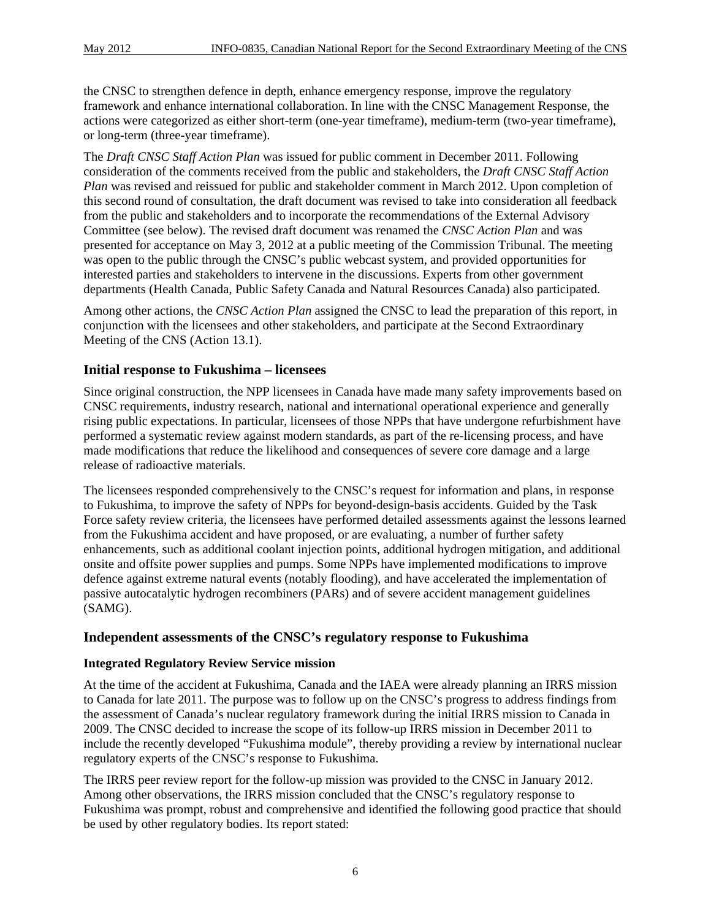the CNSC to strengthen defence in depth, enhance emergency response, improve the regulatory framework and enhance international collaboration. In line with the CNSC Management Response, the actions were categorized as either short-term (one-year timeframe), medium-term (two-year timeframe), or long-term (three-year timeframe).

The *Draft CNSC Staff Action Plan* was issued for public comment in December 2011. Following consideration of the comments received from the public and stakeholders, the *Draft CNSC Staff Action Plan* was revised and reissued for public and stakeholder comment in March 2012. Upon completion of this second round of consultation, the draft document was revised to take into consideration all feedback from the public and stakeholders and to incorporate the recommendations of the External Advisory Committee (see below). The revised draft document was renamed the *CNSC Action Plan* and was presented for acceptance on May 3, 2012 at a public meeting of the Commission Tribunal. The meeting was open to the public through the CNSC's public webcast system, and provided opportunities for interested parties and stakeholders to intervene in the discussions. Experts from other government departments (Health Canada, Public Safety Canada and Natural Resources Canada) also participated.

Among other actions, the *CNSC Action Plan* assigned the CNSC to lead the preparation of this report, in conjunction with the licensees and other stakeholders, and participate at the Second Extraordinary Meeting of the CNS (Action 13.1).

# **Initial response to Fukushima – licensees**

Since original construction, the NPP licensees in Canada have made many safety improvements based on CNSC requirements, industry research, national and international operational experience and generally rising public expectations. In particular, licensees of those NPPs that have undergone refurbishment have performed a systematic review against modern standards, as part of the re-licensing process, and have made modifications that reduce the likelihood and consequences of severe core damage and a large release of radioactive materials.

The licensees responded comprehensively to the CNSC's request for information and plans, in response to Fukushima, to improve the safety of NPPs for beyond-design-basis accidents. Guided by the Task Force safety review criteria, the licensees have performed detailed assessments against the lessons learned from the Fukushima accident and have proposed, or are evaluating, a number of further safety enhancements, such as additional coolant injection points, additional hydrogen mitigation, and additional onsite and offsite power supplies and pumps. Some NPPs have implemented modifications to improve defence against extreme natural events (notably flooding), and have accelerated the implementation of passive autocatalytic hydrogen recombiners (PARs) and of severe accident management guidelines (SAMG).

### **Independent assessments of the CNSC's regulatory response to Fukushima**

### **Integrated Regulatory Review Service mission**

At the time of the accident at Fukushima, Canada and the IAEA were already planning an IRRS mission to Canada for late 2011. The purpose was to follow up on the CNSC's progress to address findings from the assessment of Canada's nuclear regulatory framework during the initial IRRS mission to Canada in 2009. The CNSC decided to increase the scope of its follow-up IRRS mission in December 2011 to include the recently developed "Fukushima module", thereby providing a review by international nuclear regulatory experts of the CNSC's response to Fukushima.

The IRRS peer review report for the follow-up mission was provided to the CNSC in January 2012. Among other observations, the IRRS mission concluded that the CNSC's regulatory response to Fukushima was prompt, robust and comprehensive and identified the following good practice that should be used by other regulatory bodies. Its report stated: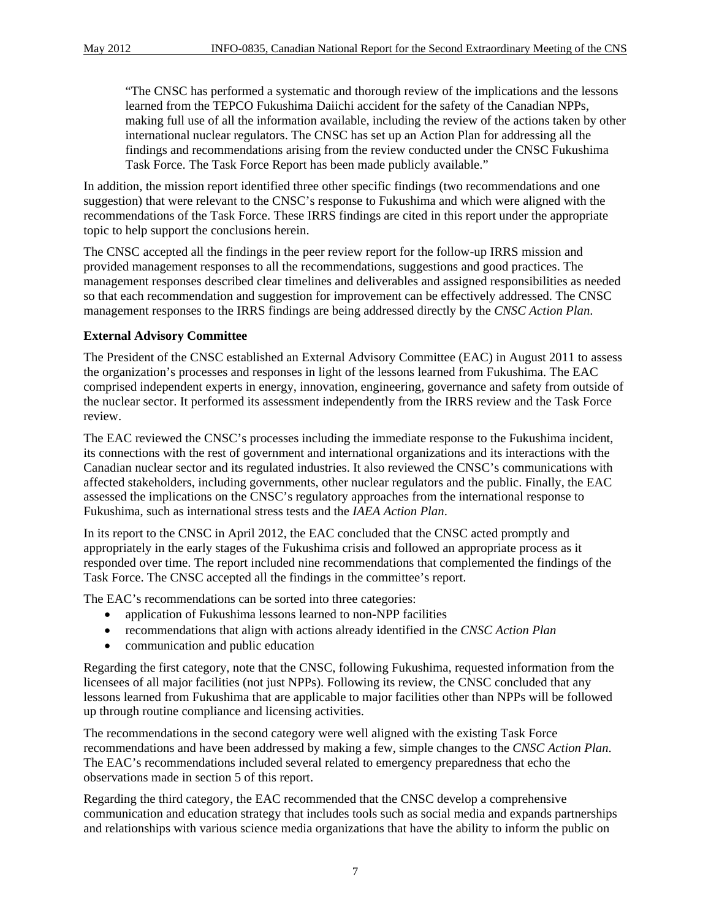"The CNSC has performed a systematic and thorough review of the implications and the lessons learned from the TEPCO Fukushima Daiichi accident for the safety of the Canadian NPPs, making full use of all the information available, including the review of the actions taken by other international nuclear regulators. The CNSC has set up an Action Plan for addressing all the findings and recommendations arising from the review conducted under the CNSC Fukushima Task Force. The Task Force Report has been made publicly available."

In addition, the mission report identified three other specific findings (two recommendations and one suggestion) that were relevant to the CNSC's response to Fukushima and which were aligned with the recommendations of the Task Force. These IRRS findings are cited in this report under the appropriate topic to help support the conclusions herein.

The CNSC accepted all the findings in the peer review report for the follow-up IRRS mission and provided management responses to all the recommendations, suggestions and good practices. The management responses described clear timelines and deliverables and assigned responsibilities as needed so that each recommendation and suggestion for improvement can be effectively addressed. The CNSC management responses to the IRRS findings are being addressed directly by the *CNSC Action Plan*.

### **External Advisory Committee**

The President of the CNSC established an External Advisory Committee (EAC) in August 2011 to assess the organization's processes and responses in light of the lessons learned from Fukushima. The EAC comprised independent experts in energy, innovation, engineering, governance and safety from outside of the nuclear sector. It performed its assessment independently from the IRRS review and the Task Force review.

The EAC reviewed the CNSC's processes including the immediate response to the Fukushima incident, its connections with the rest of government and international organizations and its interactions with the Canadian nuclear sector and its regulated industries. It also reviewed the CNSC's communications with affected stakeholders, including governments, other nuclear regulators and the public. Finally, the EAC assessed the implications on the CNSC's regulatory approaches from the international response to Fukushima, such as international stress tests and the *IAEA Action Plan*.

In its report to the CNSC in April 2012, the EAC concluded that the CNSC acted promptly and appropriately in the early stages of the Fukushima crisis and followed an appropriate process as it responded over time. The report included nine recommendations that complemented the findings of the Task Force. The CNSC accepted all the findings in the committee's report.

The EAC's recommendations can be sorted into three categories:

- application of Fukushima lessons learned to non-NPP facilities
- recommendations that align with actions already identified in the *CNSC Action Plan*
- communication and public education

Regarding the first category, note that the CNSC, following Fukushima, requested information from the licensees of all major facilities (not just NPPs). Following its review, the CNSC concluded that any lessons learned from Fukushima that are applicable to major facilities other than NPPs will be followed up through routine compliance and licensing activities.

The recommendations in the second category were well aligned with the existing Task Force recommendations and have been addressed by making a few, simple changes to the *CNSC Action Plan*. The EAC's recommendations included several related to emergency preparedness that echo the observations made in section 5 of this report.

Regarding the third category, the EAC recommended that the CNSC develop a comprehensive communication and education strategy that includes tools such as social media and expands partnerships and relationships with various science media organizations that have the ability to inform the public on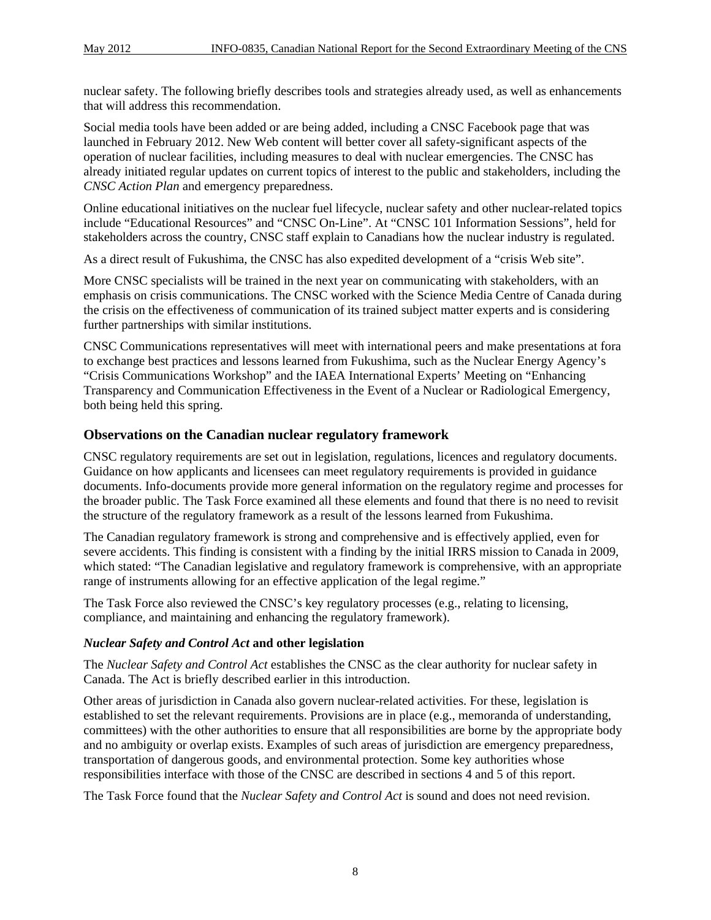nuclear safety. The following briefly describes tools and strategies already used, as well as enhancements that will address this recommendation.

Social media tools have been added or are being added, including a CNSC Facebook page that was launched in February 2012. New Web content will better cover all safety-significant aspects of the operation of nuclear facilities, including measures to deal with nuclear emergencies. The CNSC has already initiated regular updates on current topics of interest to the public and stakeholders, including the *CNSC Action Plan* and emergency preparedness.

Online educational initiatives on the nuclear fuel lifecycle, nuclear safety and other nuclear-related topics include "Educational Resources" and "CNSC On-Line". At "CNSC 101 Information Sessions", held for stakeholders across the country, CNSC staff explain to Canadians how the nuclear industry is regulated.

As a direct result of Fukushima, the CNSC has also expedited development of a "crisis Web site".

More CNSC specialists will be trained in the next year on communicating with stakeholders, with an emphasis on crisis communications. The CNSC worked with the Science Media Centre of Canada during the crisis on the effectiveness of communication of its trained subject matter experts and is considering further partnerships with similar institutions.

CNSC Communications representatives will meet with international peers and make presentations at fora to exchange best practices and lessons learned from Fukushima, such as the Nuclear Energy Agency's "Crisis Communications Workshop" and the IAEA International Experts' Meeting on "Enhancing Transparency and Communication Effectiveness in the Event of a Nuclear or Radiological Emergency, both being held this spring.

#### **Observations on the Canadian nuclear regulatory framework**

CNSC regulatory requirements are set out in legislation, regulations, licences and regulatory documents. Guidance on how applicants and licensees can meet regulatory requirements is provided in guidance documents. Info-documents provide more general information on the regulatory regime and processes for the broader public. The Task Force examined all these elements and found that there is no need to revisit the structure of the regulatory framework as a result of the lessons learned from Fukushima.

The Canadian regulatory framework is strong and comprehensive and is effectively applied, even for severe accidents. This finding is consistent with a finding by the initial IRRS mission to Canada in 2009, which stated: "The Canadian legislative and regulatory framework is comprehensive, with an appropriate range of instruments allowing for an effective application of the legal regime."

The Task Force also reviewed the CNSC's key regulatory processes (e.g., relating to licensing, compliance, and maintaining and enhancing the regulatory framework).

#### *Nuclear Safety and Control Act* **and other legislation**

The *Nuclear Safety and Control Act* establishes the CNSC as the clear authority for nuclear safety in Canada. The Act is briefly described earlier in this introduction.

Other areas of jurisdiction in Canada also govern nuclear-related activities. For these, legislation is established to set the relevant requirements. Provisions are in place (e.g., memoranda of understanding, committees) with the other authorities to ensure that all responsibilities are borne by the appropriate body and no ambiguity or overlap exists. Examples of such areas of jurisdiction are emergency preparedness, transportation of dangerous goods, and environmental protection. Some key authorities whose responsibilities interface with those of the CNSC are described in sections 4 and 5 of this report.

The Task Force found that the *Nuclear Safety and Control Act* is sound and does not need revision.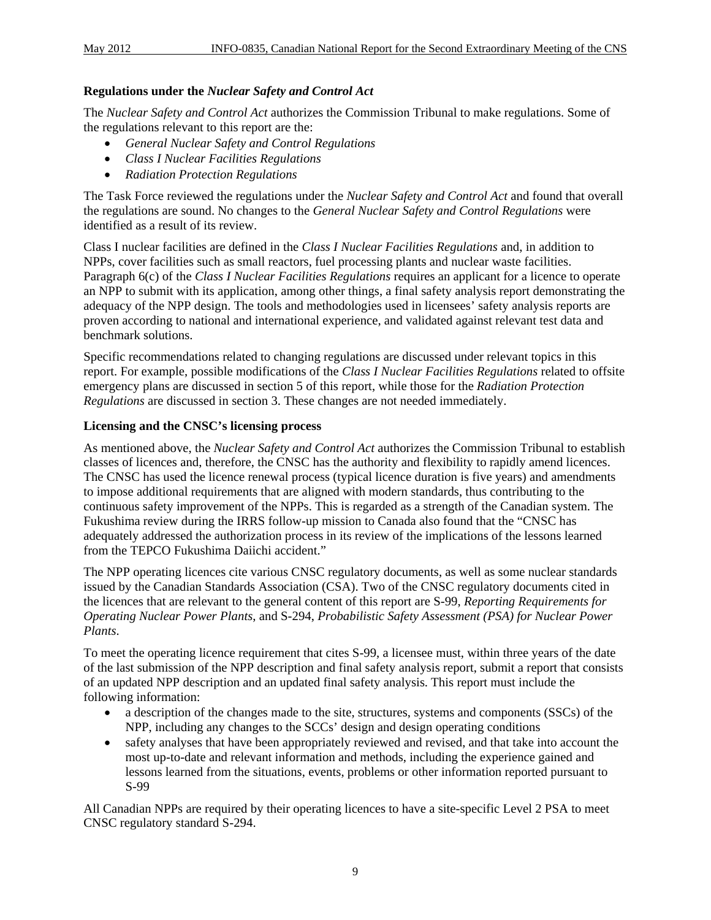# **Regulations under the** *Nuclear Safety and Control Act*

The *Nuclear Safety and Control Act* authorizes the Commission Tribunal to make regulations. Some of the regulations relevant to this report are the:

- *General Nuclear Safety and Control Regulations*
- *Class I Nuclear Facilities Regulations*
- *Radiation Protection Regulations*

The Task Force reviewed the regulations under the *Nuclear Safety and Control Act* and found that overall the regulations are sound. No changes to the *General Nuclear Safety and Control Regulations* were identified as a result of its review.

Class I nuclear facilities are defined in the *Class I Nuclear Facilities Regulations* and, in addition to NPPs, cover facilities such as small reactors, fuel processing plants and nuclear waste facilities. Paragraph 6(c) of the *Class I Nuclear Facilities Regulations* requires an applicant for a licence to operate an NPP to submit with its application, among other things, a final safety analysis report demonstrating the adequacy of the NPP design. The tools and methodologies used in licensees' safety analysis reports are proven according to national and international experience, and validated against relevant test data and benchmark solutions.

Specific recommendations related to changing regulations are discussed under relevant topics in this report. For example, possible modifications of the *Class I Nuclear Facilities Regulations* related to offsite emergency plans are discussed in section 5 of this report, while those for the *Radiation Protection Regulations* are discussed in section 3. These changes are not needed immediately.

#### **Licensing and the CNSC's licensing process**

As mentioned above, the *Nuclear Safety and Control Act* authorizes the Commission Tribunal to establish classes of licences and, therefore, the CNSC has the authority and flexibility to rapidly amend licences. The CNSC has used the licence renewal process (typical licence duration is five years) and amendments to impose additional requirements that are aligned with modern standards, thus contributing to the continuous safety improvement of the NPPs. This is regarded as a strength of the Canadian system. The Fukushima review during the IRRS follow-up mission to Canada also found that the "CNSC has adequately addressed the authorization process in its review of the implications of the lessons learned from the TEPCO Fukushima Daiichi accident."

The NPP operating licences cite various CNSC regulatory documents, as well as some nuclear standards issued by the Canadian Standards Association (CSA). Two of the CNSC regulatory documents cited in the licences that are relevant to the general content of this report are S-99, *Reporting Requirements for Operating Nuclear Power Plants*, and S-294, *Probabilistic Safety Assessment (PSA) for Nuclear Power Plants*.

To meet the operating licence requirement that cites S-99, a licensee must, within three years of the date of the last submission of the NPP description and final safety analysis report, submit a report that consists of an updated NPP description and an updated final safety analysis. This report must include the following information:

- a description of the changes made to the site, structures, systems and components (SSCs) of the NPP, including any changes to the SCCs' design and design operating conditions
- safety analyses that have been appropriately reviewed and revised, and that take into account the most up-to-date and relevant information and methods, including the experience gained and lessons learned from the situations, events, problems or other information reported pursuant to S-99

All Canadian NPPs are required by their operating licences to have a site-specific Level 2 PSA to meet CNSC regulatory standard S-294.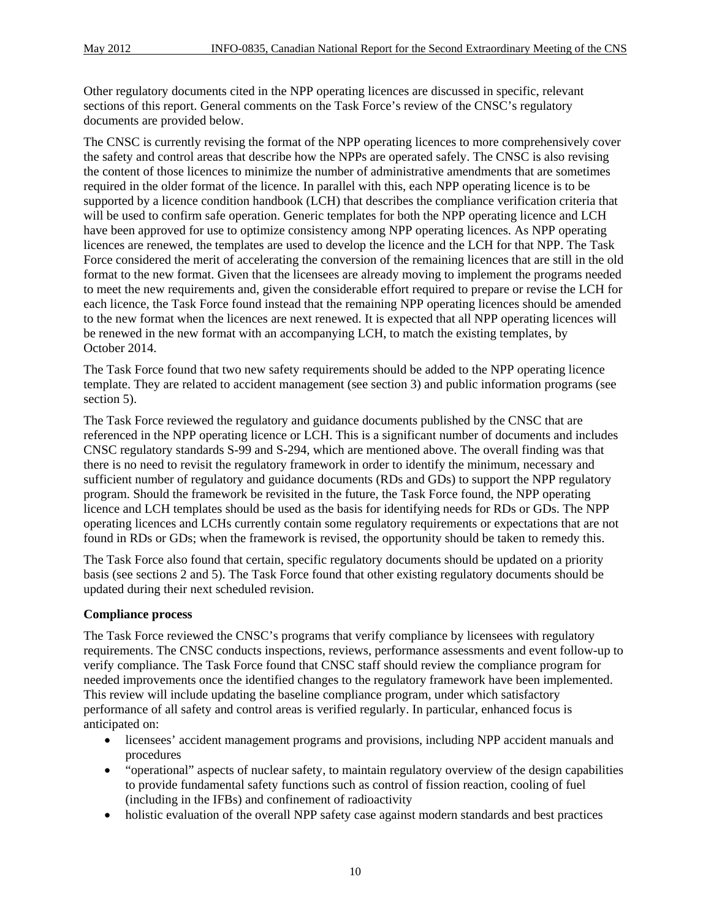Other regulatory documents cited in the NPP operating licences are discussed in specific, relevant sections of this report. General comments on the Task Force's review of the CNSC's regulatory documents are provided below.

The CNSC is currently revising the format of the NPP operating licences to more comprehensively cover the safety and control areas that describe how the NPPs are operated safely. The CNSC is also revising the content of those licences to minimize the number of administrative amendments that are sometimes required in the older format of the licence. In parallel with this, each NPP operating licence is to be supported by a licence condition handbook (LCH) that describes the compliance verification criteria that will be used to confirm safe operation. Generic templates for both the NPP operating licence and LCH have been approved for use to optimize consistency among NPP operating licences. As NPP operating licences are renewed, the templates are used to develop the licence and the LCH for that NPP. The Task Force considered the merit of accelerating the conversion of the remaining licences that are still in the old format to the new format. Given that the licensees are already moving to implement the programs needed to meet the new requirements and, given the considerable effort required to prepare or revise the LCH for each licence, the Task Force found instead that the remaining NPP operating licences should be amended to the new format when the licences are next renewed. It is expected that all NPP operating licences will be renewed in the new format with an accompanying LCH, to match the existing templates, by October 2014.

The Task Force found that two new safety requirements should be added to the NPP operating licence template. They are related to accident management (see section 3) and public information programs (see section 5).

The Task Force reviewed the regulatory and guidance documents published by the CNSC that are referenced in the NPP operating licence or LCH. This is a significant number of documents and includes CNSC regulatory standards S-99 and S-294, which are mentioned above. The overall finding was that there is no need to revisit the regulatory framework in order to identify the minimum, necessary and sufficient number of regulatory and guidance documents (RDs and GDs) to support the NPP regulatory program. Should the framework be revisited in the future, the Task Force found, the NPP operating licence and LCH templates should be used as the basis for identifying needs for RDs or GDs. The NPP operating licences and LCHs currently contain some regulatory requirements or expectations that are not found in RDs or GDs; when the framework is revised, the opportunity should be taken to remedy this.

The Task Force also found that certain, specific regulatory documents should be updated on a priority basis (see sections 2 and 5). The Task Force found that other existing regulatory documents should be updated during their next scheduled revision.

#### **Compliance process**

The Task Force reviewed the CNSC's programs that verify compliance by licensees with regulatory requirements. The CNSC conducts inspections, reviews, performance assessments and event follow-up to verify compliance. The Task Force found that CNSC staff should review the compliance program for needed improvements once the identified changes to the regulatory framework have been implemented. This review will include updating the baseline compliance program, under which satisfactory performance of all safety and control areas is verified regularly. In particular, enhanced focus is anticipated on:

- licensees' accident management programs and provisions, including NPP accident manuals and procedures
- "operational" aspects of nuclear safety, to maintain regulatory overview of the design capabilities to provide fundamental safety functions such as control of fission reaction, cooling of fuel (including in the IFBs) and confinement of radioactivity
- holistic evaluation of the overall NPP safety case against modern standards and best practices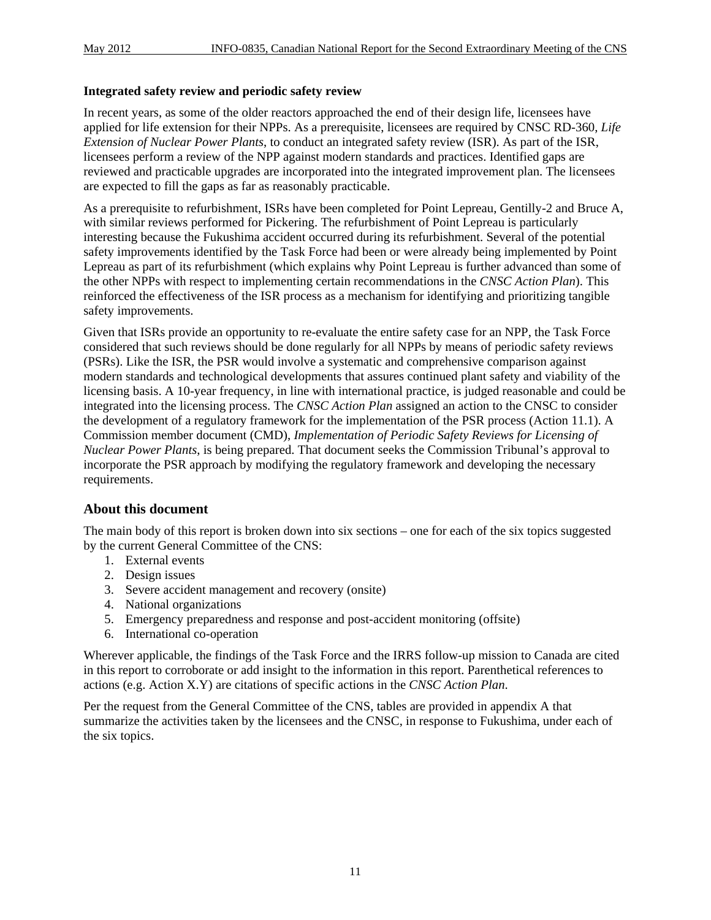#### **Integrated safety review and periodic safety review**

In recent years, as some of the older reactors approached the end of their design life, licensees have applied for life extension for their NPPs. As a prerequisite, licensees are required by CNSC RD-360, *Life Extension of Nuclear Power Plants*, to conduct an integrated safety review (ISR). As part of the ISR, licensees perform a review of the NPP against modern standards and practices. Identified gaps are reviewed and practicable upgrades are incorporated into the integrated improvement plan. The licensees are expected to fill the gaps as far as reasonably practicable.

As a prerequisite to refurbishment, ISRs have been completed for Point Lepreau, Gentilly-2 and Bruce A, with similar reviews performed for Pickering. The refurbishment of Point Lepreau is particularly interesting because the Fukushima accident occurred during its refurbishment. Several of the potential safety improvements identified by the Task Force had been or were already being implemented by Point Lepreau as part of its refurbishment (which explains why Point Lepreau is further advanced than some of the other NPPs with respect to implementing certain recommendations in the *CNSC Action Plan*). This reinforced the effectiveness of the ISR process as a mechanism for identifying and prioritizing tangible safety improvements.

Given that ISRs provide an opportunity to re-evaluate the entire safety case for an NPP, the Task Force considered that such reviews should be done regularly for all NPPs by means of periodic safety reviews (PSRs). Like the ISR, the PSR would involve a systematic and comprehensive comparison against modern standards and technological developments that assures continued plant safety and viability of the licensing basis. A 10-year frequency, in line with international practice, is judged reasonable and could be integrated into the licensing process. The *CNSC Action Plan* assigned an action to the CNSC to consider the development of a regulatory framework for the implementation of the PSR process (Action 11.1). A Commission member document (CMD), *Implementation of Periodic Safety Reviews for Licensing of Nuclear Power Plants*, is being prepared. That document seeks the Commission Tribunal's approval to incorporate the PSR approach by modifying the regulatory framework and developing the necessary requirements.

### **About this document**

The main body of this report is broken down into six sections – one for each of the six topics suggested by the current General Committee of the CNS:

- 1. External events
- 2. Design issues
- 3. Severe accident management and recovery (onsite)
- 4. National organizations
- 5. Emergency preparedness and response and post-accident monitoring (offsite)
- 6. International co-operation

Wherever applicable, the findings of the Task Force and the IRRS follow-up mission to Canada are cited in this report to corroborate or add insight to the information in this report. Parenthetical references to actions (e.g. Action X.Y) are citations of specific actions in the *CNSC Action Plan*.

Per the request from the General Committee of the CNS, tables are provided in appendix A that summarize the activities taken by the licensees and the CNSC, in response to Fukushima, under each of the six topics.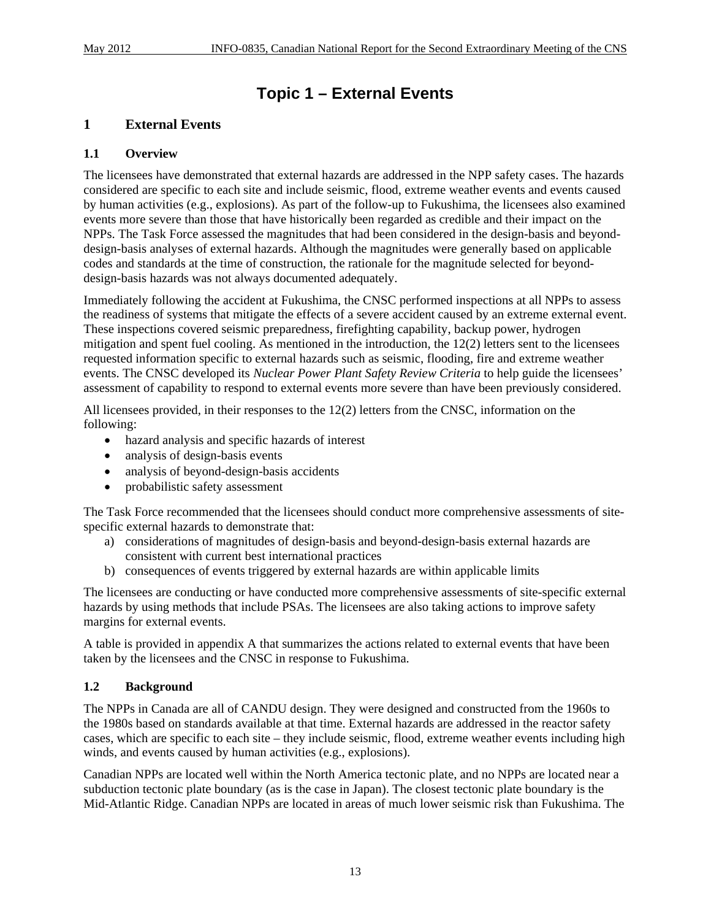# **Topic 1 – External Events**

# **1 External Events**

# **1.1 Overview**

The licensees have demonstrated that external hazards are addressed in the NPP safety cases. The hazards considered are specific to each site and include seismic, flood, extreme weather events and events caused by human activities (e.g., explosions). As part of the follow-up to Fukushima, the licensees also examined events more severe than those that have historically been regarded as credible and their impact on the NPPs. The Task Force assessed the magnitudes that had been considered in the design-basis and beyonddesign-basis analyses of external hazards. Although the magnitudes were generally based on applicable codes and standards at the time of construction, the rationale for the magnitude selected for beyonddesign-basis hazards was not always documented adequately.

Immediately following the accident at Fukushima, the CNSC performed inspections at all NPPs to assess the readiness of systems that mitigate the effects of a severe accident caused by an extreme external event. These inspections covered seismic preparedness, firefighting capability, backup power, hydrogen mitigation and spent fuel cooling. As mentioned in the introduction, the 12(2) letters sent to the licensees requested information specific to external hazards such as seismic, flooding, fire and extreme weather events. The CNSC developed its *Nuclear Power Plant Safety Review Criteria* to help guide the licensees' assessment of capability to respond to external events more severe than have been previously considered.

All licensees provided, in their responses to the 12(2) letters from the CNSC, information on the following:

- hazard analysis and specific hazards of interest
- analysis of design-basis events
- analysis of beyond-design-basis accidents
- probabilistic safety assessment

The Task Force recommended that the licensees should conduct more comprehensive assessments of sitespecific external hazards to demonstrate that:

- a) considerations of magnitudes of design-basis and beyond-design-basis external hazards are consistent with current best international practices
- b) consequences of events triggered by external hazards are within applicable limits

The licensees are conducting or have conducted more comprehensive assessments of site-specific external hazards by using methods that include PSAs. The licensees are also taking actions to improve safety margins for external events.

A table is provided in appendix A that summarizes the actions related to external events that have been taken by the licensees and the CNSC in response to Fukushima.

### **1.2 Background**

The NPPs in Canada are all of CANDU design. They were designed and constructed from the 1960s to the 1980s based on standards available at that time. External hazards are addressed in the reactor safety cases, which are specific to each site – they include seismic, flood, extreme weather events including high winds, and events caused by human activities (e.g., explosions).

Canadian NPPs are located well within the North America tectonic plate, and no NPPs are located near a subduction tectonic plate boundary (as is the case in Japan). The closest tectonic plate boundary is the Mid-Atlantic Ridge. Canadian NPPs are located in areas of much lower seismic risk than Fukushima. The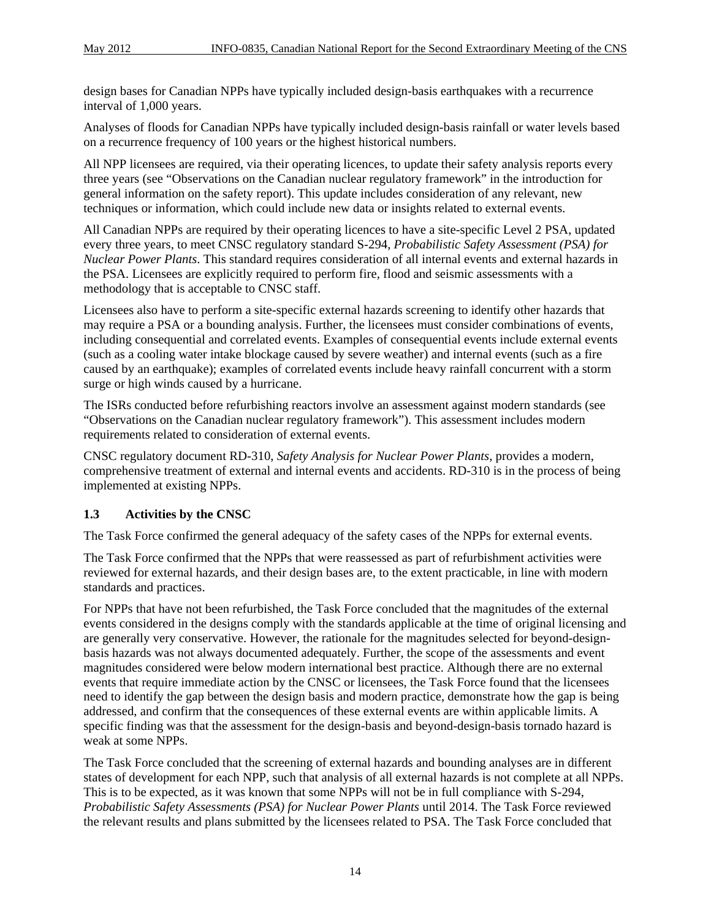design bases for Canadian NPPs have typically included design-basis earthquakes with a recurrence interval of 1,000 years.

Analyses of floods for Canadian NPPs have typically included design-basis rainfall or water levels based on a recurrence frequency of 100 years or the highest historical numbers.

All NPP licensees are required, via their operating licences, to update their safety analysis reports every three years (see "Observations on the Canadian nuclear regulatory framework" in the introduction for general information on the safety report). This update includes consideration of any relevant, new techniques or information, which could include new data or insights related to external events.

All Canadian NPPs are required by their operating licences to have a site-specific Level 2 PSA, updated every three years, to meet CNSC regulatory standard S-294, *Probabilistic Safety Assessment (PSA) for Nuclear Power Plants*. This standard requires consideration of all internal events and external hazards in the PSA. Licensees are explicitly required to perform fire, flood and seismic assessments with a methodology that is acceptable to CNSC staff.

Licensees also have to perform a site-specific external hazards screening to identify other hazards that may require a PSA or a bounding analysis. Further, the licensees must consider combinations of events, including consequential and correlated events. Examples of consequential events include external events (such as a cooling water intake blockage caused by severe weather) and internal events (such as a fire caused by an earthquake); examples of correlated events include heavy rainfall concurrent with a storm surge or high winds caused by a hurricane.

The ISRs conducted before refurbishing reactors involve an assessment against modern standards (see "Observations on the Canadian nuclear regulatory framework"). This assessment includes modern requirements related to consideration of external events.

CNSC regulatory document RD-310, *Safety Analysis for Nuclear Power Plants*, provides a modern, comprehensive treatment of external and internal events and accidents. RD-310 is in the process of being implemented at existing NPPs.

### **1.3 Activities by the CNSC**

The Task Force confirmed the general adequacy of the safety cases of the NPPs for external events.

The Task Force confirmed that the NPPs that were reassessed as part of refurbishment activities were reviewed for external hazards, and their design bases are, to the extent practicable, in line with modern standards and practices.

For NPPs that have not been refurbished, the Task Force concluded that the magnitudes of the external events considered in the designs comply with the standards applicable at the time of original licensing and are generally very conservative. However, the rationale for the magnitudes selected for beyond-designbasis hazards was not always documented adequately. Further, the scope of the assessments and event magnitudes considered were below modern international best practice. Although there are no external events that require immediate action by the CNSC or licensees, the Task Force found that the licensees need to identify the gap between the design basis and modern practice, demonstrate how the gap is being addressed, and confirm that the consequences of these external events are within applicable limits. A specific finding was that the assessment for the design-basis and beyond-design-basis tornado hazard is weak at some NPPs.

The Task Force concluded that the screening of external hazards and bounding analyses are in different states of development for each NPP, such that analysis of all external hazards is not complete at all NPPs. This is to be expected, as it was known that some NPPs will not be in full compliance with S-294, *Probabilistic Safety Assessments (PSA) for Nuclear Power Plants* until 2014. The Task Force reviewed the relevant results and plans submitted by the licensees related to PSA. The Task Force concluded that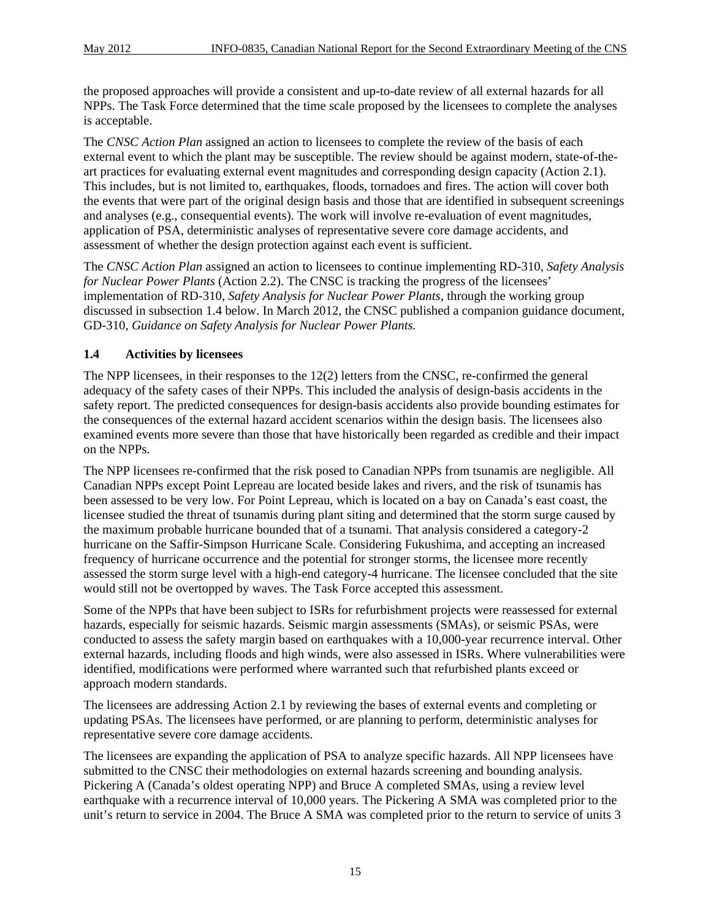the proposed approaches will provide a consistent and up-to-date review of all external hazards for all NPPs. The Task Force determined that the time scale proposed by the licensees to complete the analyses is acceptable.

The *CNSC Action Plan* assigned an action to licensees to complete the review of the basis of each external event to which the plant may be susceptible. The review should be against modern, state-of-theart practices for evaluating external event magnitudes and corresponding design capacity (Action 2.1). This includes, but is not limited to, earthquakes, floods, tornadoes and fires. The action will cover both the events that were part of the original design basis and those that are identified in subsequent screenings and analyses (e.g., consequential events). The work will involve re-evaluation of event magnitudes, application of PSA, deterministic analyses of representative severe core damage accidents, and assessment of whether the design protection against each event is sufficient.

The *CNSC Action Plan* assigned an action to licensees to continue implementing RD-310, *Safety Analysis for Nuclear Power Plants* (Action 2.2). The CNSC is tracking the progress of the licensees' implementation of RD-310, *Safety Analysis for Nuclear Power Plants*, through the working group discussed in subsection 1.4 below. In March 2012, the CNSC published a companion guidance document, GD-310, *Guidance on Safety Analysis for Nuclear Power Plants.*

# **1.4 Activities by licensees**

The NPP licensees, in their responses to the 12(2) letters from the CNSC, re-confirmed the general adequacy of the safety cases of their NPPs. This included the analysis of design-basis accidents in the safety report. The predicted consequences for design-basis accidents also provide bounding estimates for the consequences of the external hazard accident scenarios within the design basis. The licensees also examined events more severe than those that have historically been regarded as credible and their impact on the NPPs.

The NPP licensees re-confirmed that the risk posed to Canadian NPPs from tsunamis are negligible. All Canadian NPPs except Point Lepreau are located beside lakes and rivers, and the risk of tsunamis has been assessed to be very low. For Point Lepreau, which is located on a bay on Canada's east coast, the licensee studied the threat of tsunamis during plant siting and determined that the storm surge caused by the maximum probable hurricane bounded that of a tsunami. That analysis considered a category-2 hurricane on the Saffir-Simpson Hurricane Scale. Considering Fukushima, and accepting an increased frequency of hurricane occurrence and the potential for stronger storms, the licensee more recently assessed the storm surge level with a high-end category-4 hurricane. The licensee concluded that the site would still not be overtopped by waves. The Task Force accepted this assessment.

Some of the NPPs that have been subject to ISRs for refurbishment projects were reassessed for external hazards, especially for seismic hazards. Seismic margin assessments (SMAs), or seismic PSAs, were conducted to assess the safety margin based on earthquakes with a 10,000-year recurrence interval. Other external hazards, including floods and high winds, were also assessed in ISRs. Where vulnerabilities were identified, modifications were performed where warranted such that refurbished plants exceed or approach modern standards.

The licensees are addressing Action 2.1 by reviewing the bases of external events and completing or updating PSAs. The licensees have performed, or are planning to perform, deterministic analyses for representative severe core damage accidents.

The licensees are expanding the application of PSA to analyze specific hazards. All NPP licensees have submitted to the CNSC their methodologies on external hazards screening and bounding analysis. Pickering A (Canada's oldest operating NPP) and Bruce A completed SMAs, using a review level earthquake with a recurrence interval of 10,000 years. The Pickering A SMA was completed prior to the unit's return to service in 2004. The Bruce A SMA was completed prior to the return to service of units 3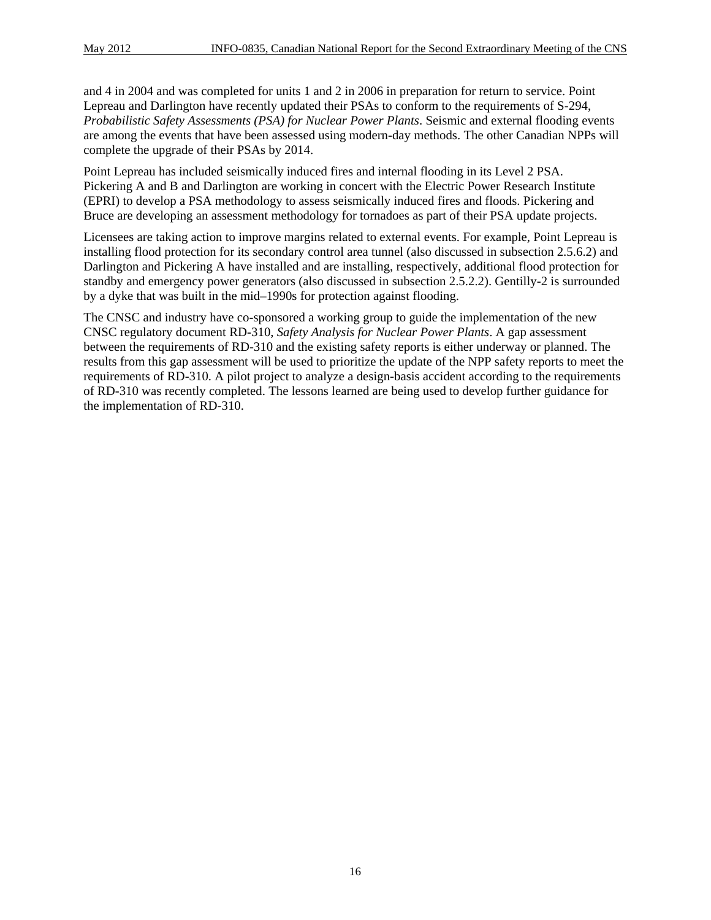and 4 in 2004 and was completed for units 1 and 2 in 2006 in preparation for return to service. Point Lepreau and Darlington have recently updated their PSAs to conform to the requirements of S-294, *Probabilistic Safety Assessments (PSA) for Nuclear Power Plants*. Seismic and external flooding events are among the events that have been assessed using modern-day methods. The other Canadian NPPs will complete the upgrade of their PSAs by 2014.

Point Lepreau has included seismically induced fires and internal flooding in its Level 2 PSA. Pickering A and B and Darlington are working in concert with the Electric Power Research Institute (EPRI) to develop a PSA methodology to assess seismically induced fires and floods. Pickering and Bruce are developing an assessment methodology for tornadoes as part of their PSA update projects.

Licensees are taking action to improve margins related to external events. For example, Point Lepreau is installing flood protection for its secondary control area tunnel (also discussed in subsection 2.5.6.2) and Darlington and Pickering A have installed and are installing, respectively, additional flood protection for standby and emergency power generators (also discussed in subsection 2.5.2.2). Gentilly-2 is surrounded by a dyke that was built in the mid–1990s for protection against flooding.

The CNSC and industry have co-sponsored a working group to guide the implementation of the new CNSC regulatory document RD-310, *Safety Analysis for Nuclear Power Plants*. A gap assessment between the requirements of RD-310 and the existing safety reports is either underway or planned. The results from this gap assessment will be used to prioritize the update of the NPP safety reports to meet the requirements of RD-310. A pilot project to analyze a design-basis accident according to the requirements of RD-310 was recently completed. The lessons learned are being used to develop further guidance for the implementation of RD-310.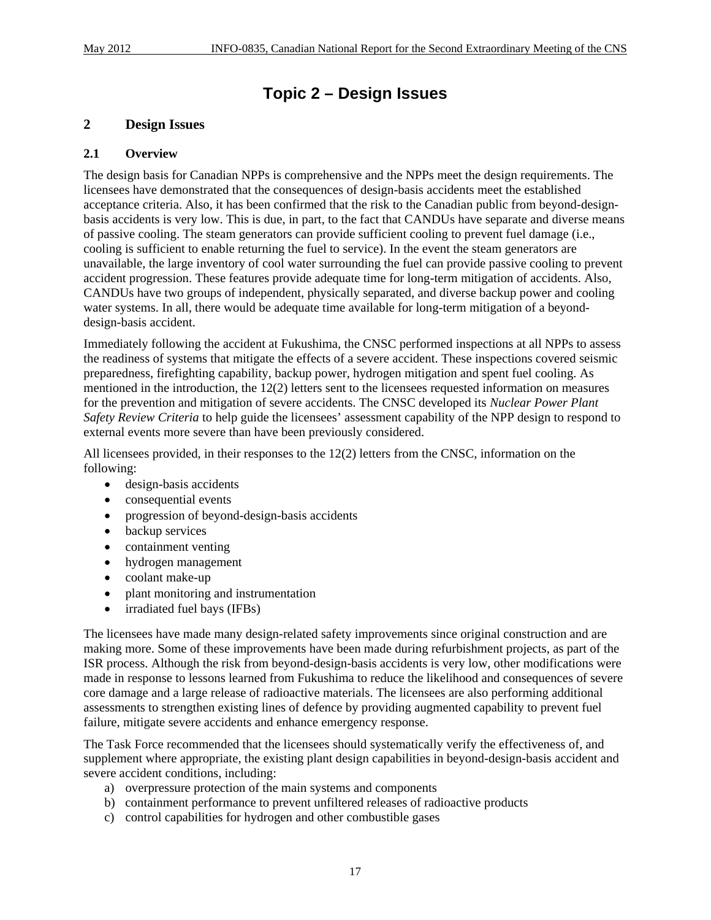# **Topic 2 – Design Issues**

# **2 Design Issues**

#### **2.1 Overview**

The design basis for Canadian NPPs is comprehensive and the NPPs meet the design requirements. The licensees have demonstrated that the consequences of design-basis accidents meet the established acceptance criteria. Also, it has been confirmed that the risk to the Canadian public from beyond-designbasis accidents is very low. This is due, in part, to the fact that CANDUs have separate and diverse means of passive cooling. The steam generators can provide sufficient cooling to prevent fuel damage (i.e., cooling is sufficient to enable returning the fuel to service). In the event the steam generators are unavailable, the large inventory of cool water surrounding the fuel can provide passive cooling to prevent accident progression. These features provide adequate time for long-term mitigation of accidents. Also, CANDUs have two groups of independent, physically separated, and diverse backup power and cooling water systems. In all, there would be adequate time available for long-term mitigation of a beyonddesign-basis accident.

Immediately following the accident at Fukushima, the CNSC performed inspections at all NPPs to assess the readiness of systems that mitigate the effects of a severe accident. These inspections covered seismic preparedness, firefighting capability, backup power, hydrogen mitigation and spent fuel cooling. As mentioned in the introduction, the 12(2) letters sent to the licensees requested information on measures for the prevention and mitigation of severe accidents. The CNSC developed its *Nuclear Power Plant Safety Review Criteria* to help guide the licensees' assessment capability of the NPP design to respond to external events more severe than have been previously considered.

All licensees provided, in their responses to the 12(2) letters from the CNSC, information on the following:

- design-basis accidents
- consequential events
- progression of beyond-design-basis accidents
- backup services
- containment venting
- hydrogen management
- coolant make-up
- plant monitoring and instrumentation
- irradiated fuel bays (IFBs)

The licensees have made many design-related safety improvements since original construction and are making more. Some of these improvements have been made during refurbishment projects, as part of the ISR process. Although the risk from beyond-design-basis accidents is very low, other modifications were made in response to lessons learned from Fukushima to reduce the likelihood and consequences of severe core damage and a large release of radioactive materials. The licensees are also performing additional assessments to strengthen existing lines of defence by providing augmented capability to prevent fuel failure, mitigate severe accidents and enhance emergency response.

The Task Force recommended that the licensees should systematically verify the effectiveness of, and supplement where appropriate, the existing plant design capabilities in beyond-design-basis accident and severe accident conditions, including:

- a) overpressure protection of the main systems and components
- b) containment performance to prevent unfiltered releases of radioactive products
- c) control capabilities for hydrogen and other combustible gases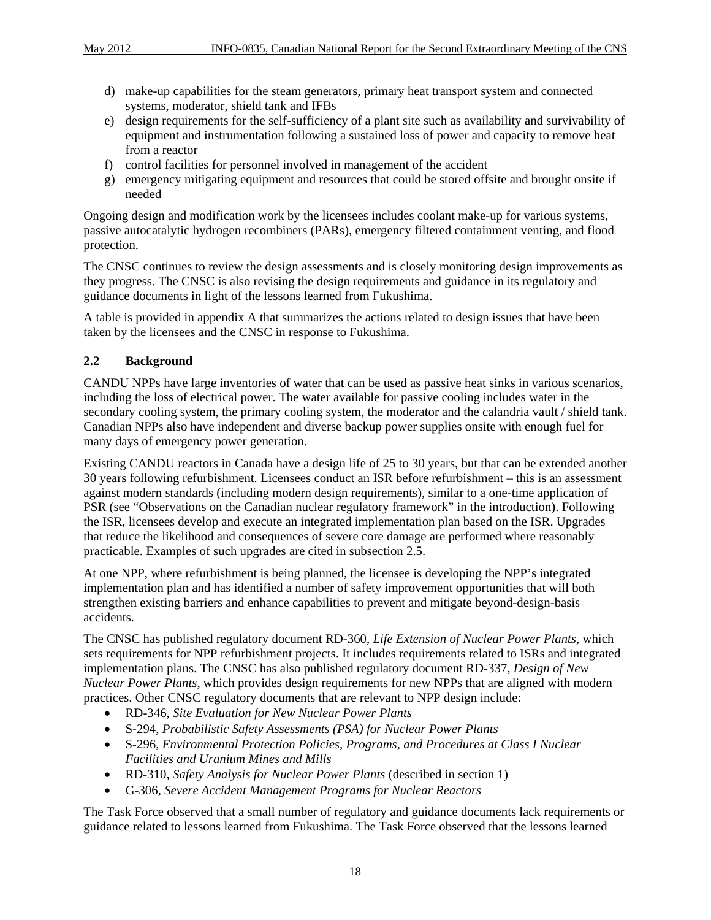- d) make-up capabilities for the steam generators, primary heat transport system and connected systems, moderator, shield tank and IFBs
- e) design requirements for the self-sufficiency of a plant site such as availability and survivability of equipment and instrumentation following a sustained loss of power and capacity to remove heat from a reactor
- f) control facilities for personnel involved in management of the accident
- g) emergency mitigating equipment and resources that could be stored offsite and brought onsite if needed

Ongoing design and modification work by the licensees includes coolant make-up for various systems, passive autocatalytic hydrogen recombiners (PARs), emergency filtered containment venting, and flood protection.

The CNSC continues to review the design assessments and is closely monitoring design improvements as they progress. The CNSC is also revising the design requirements and guidance in its regulatory and guidance documents in light of the lessons learned from Fukushima.

A table is provided in appendix A that summarizes the actions related to design issues that have been taken by the licensees and the CNSC in response to Fukushima.

# **2.2 Background**

CANDU NPPs have large inventories of water that can be used as passive heat sinks in various scenarios, including the loss of electrical power. The water available for passive cooling includes water in the secondary cooling system, the primary cooling system, the moderator and the calandria vault / shield tank. Canadian NPPs also have independent and diverse backup power supplies onsite with enough fuel for many days of emergency power generation.

Existing CANDU reactors in Canada have a design life of 25 to 30 years, but that can be extended another 30 years following refurbishment. Licensees conduct an ISR before refurbishment – this is an assessment against modern standards (including modern design requirements), similar to a one-time application of PSR (see "Observations on the Canadian nuclear regulatory framework" in the introduction). Following the ISR, licensees develop and execute an integrated implementation plan based on the ISR. Upgrades that reduce the likelihood and consequences of severe core damage are performed where reasonably practicable. Examples of such upgrades are cited in subsection 2.5.

At one NPP, where refurbishment is being planned, the licensee is developing the NPP's integrated implementation plan and has identified a number of safety improvement opportunities that will both strengthen existing barriers and enhance capabilities to prevent and mitigate beyond-design-basis accidents.

The CNSC has published regulatory document RD-360, *Life Extension of Nuclear Power Plants*, which sets requirements for NPP refurbishment projects. It includes requirements related to ISRs and integrated implementation plans. The CNSC has also published regulatory document RD-337, *Design of New Nuclear Power Plants*, which provides design requirements for new NPPs that are aligned with modern practices. Other CNSC regulatory documents that are relevant to NPP design include:

- RD-346, *Site Evaluation for New Nuclear Power Plants*
- S-294, *Probabilistic Safety Assessments (PSA) for Nuclear Power Plants*
- S-296, *Environmental Protection Policies, Programs, and Procedures at Class I Nuclear Facilities and Uranium Mines and Mills*
- RD-310, *Safety Analysis for Nuclear Power Plants* (described in section 1)
- G-306, *Severe Accident Management Programs for Nuclear Reactors*

The Task Force observed that a small number of regulatory and guidance documents lack requirements or guidance related to lessons learned from Fukushima. The Task Force observed that the lessons learned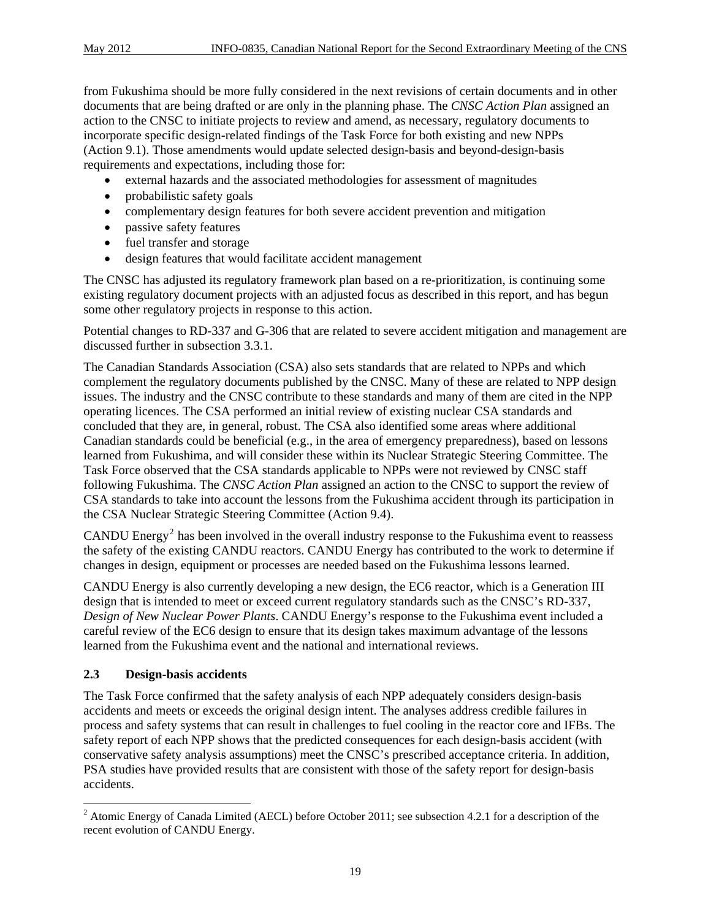<span id="page-30-0"></span>from Fukushima should be more fully considered in the next revisions of certain documents and in other documents that are being drafted or are only in the planning phase. The *CNSC Action Plan* assigned an action to the CNSC to initiate projects to review and amend, as necessary, regulatory documents to incorporate specific design-related findings of the Task Force for both existing and new NPPs (Action 9.1). Those amendments would update selected design-basis and beyond-design-basis requirements and expectations, including those for:

- external hazards and the associated methodologies for assessment of magnitudes
- probabilistic safety goals
- complementary design features for both severe accident prevention and mitigation
- passive safety features
- fuel transfer and storage
- design features that would facilitate accident management

The CNSC has adjusted its regulatory framework plan based on a re-prioritization, is continuing some existing regulatory document projects with an adjusted focus as described in this report, and has begun some other regulatory projects in response to this action.

Potential changes to RD-337 and G-306 that are related to severe accident mitigation and management are discussed further in subsection 3.3.1.

The Canadian Standards Association (CSA) also sets standards that are related to NPPs and which complement the regulatory documents published by the CNSC. Many of these are related to NPP design issues. The industry and the CNSC contribute to these standards and many of them are cited in the NPP operating licences. The CSA performed an initial review of existing nuclear CSA standards and concluded that they are, in general, robust. The CSA also identified some areas where additional Canadian standards could be beneficial (e.g., in the area of emergency preparedness), based on lessons learned from Fukushima, and will consider these within its Nuclear Strategic Steering Committee. The Task Force observed that the CSA standards applicable to NPPs were not reviewed by CNSC staff following Fukushima. The *CNSC Action Plan* assigned an action to the CNSC to support the review of CSA standards to take into account the lessons from the Fukushima accident through its participation in the CSA Nuclear Strategic Steering Committee (Action 9.4).

CANDU Energy<sup>[2](#page-30-0)</sup> has been involved in the overall industry response to the Fukushima event to reassess the safety of the existing CANDU reactors. CANDU Energy has contributed to the work to determine if changes in design, equipment or processes are needed based on the Fukushima lessons learned.

CANDU Energy is also currently developing a new design, the EC6 reactor, which is a Generation III design that is intended to meet or exceed current regulatory standards such as the CNSC's RD-337, *Design of New Nuclear Power Plants*. CANDU Energy's response to the Fukushima event included a careful review of the EC6 design to ensure that its design takes maximum advantage of the lessons learned from the Fukushima event and the national and international reviews.

#### **2.3 Design-basis accidents**

The Task Force confirmed that the safety analysis of each NPP adequately considers design-basis accidents and meets or exceeds the original design intent. The analyses address credible failures in process and safety systems that can result in challenges to fuel cooling in the reactor core and IFBs. The safety report of each NPP shows that the predicted consequences for each design-basis accident (with conservative safety analysis assumptions) meet the CNSC's prescribed acceptance criteria. In addition, PSA studies have provided results that are consistent with those of the safety report for design-basis accidents.

<sup>&</sup>lt;sup>2</sup> Atomic Energy of Canada Limited (AECL) before October 2011; see subsection 4.2.1 for a description of the recent evolution of CANDU Energy.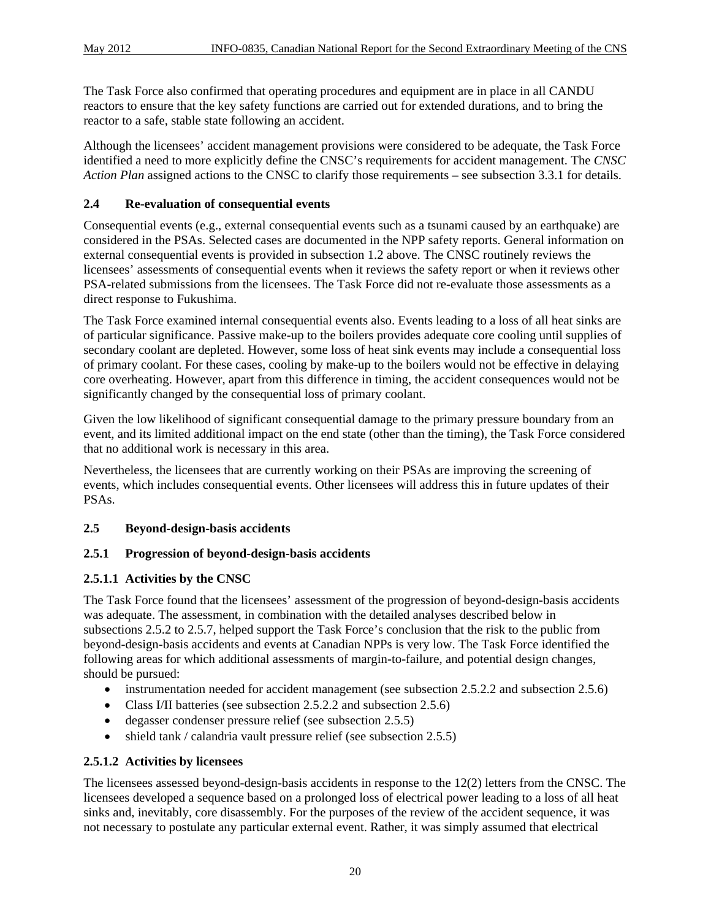The Task Force also confirmed that operating procedures and equipment are in place in all CANDU reactors to ensure that the key safety functions are carried out for extended durations, and to bring the reactor to a safe, stable state following an accident.

Although the licensees' accident management provisions were considered to be adequate, the Task Force identified a need to more explicitly define the CNSC's requirements for accident management. The *CNSC Action Plan* assigned actions to the CNSC to clarify those requirements – see subsection 3.3.1 for details.

# **2.4 Re-evaluation of consequential events**

Consequential events (e.g., external consequential events such as a tsunami caused by an earthquake) are considered in the PSAs. Selected cases are documented in the NPP safety reports. General information on external consequential events is provided in subsection 1.2 above. The CNSC routinely reviews the licensees' assessments of consequential events when it reviews the safety report or when it reviews other PSA-related submissions from the licensees. The Task Force did not re-evaluate those assessments as a direct response to Fukushima.

The Task Force examined internal consequential events also. Events leading to a loss of all heat sinks are of particular significance. Passive make-up to the boilers provides adequate core cooling until supplies of secondary coolant are depleted. However, some loss of heat sink events may include a consequential loss of primary coolant. For these cases, cooling by make-up to the boilers would not be effective in delaying core overheating. However, apart from this difference in timing, the accident consequences would not be significantly changed by the consequential loss of primary coolant.

Given the low likelihood of significant consequential damage to the primary pressure boundary from an event, and its limited additional impact on the end state (other than the timing), the Task Force considered that no additional work is necessary in this area.

Nevertheless, the licensees that are currently working on their PSAs are improving the screening of events, which includes consequential events. Other licensees will address this in future updates of their PSAs.

# **2.5 Beyond-design-basis accidents**

### **2.5.1 Progression of beyond-design-basis accidents**

### **2.5.1.1 Activities by the CNSC**

The Task Force found that the licensees' assessment of the progression of beyond-design-basis accidents was adequate. The assessment, in combination with the detailed analyses described below in subsections 2.5.2 to 2.5.7, helped support the Task Force's conclusion that the risk to the public from beyond-design-basis accidents and events at Canadian NPPs is very low. The Task Force identified the following areas for which additional assessments of margin-to-failure, and potential design changes, should be pursued:

- instrumentation needed for accident management (see subsection 2.5.2.2 and subsection 2.5.6)
- Class I/II batteries (see subsection 2.5.2.2 and subsection 2.5.6)
- degasser condenser pressure relief (see subsection 2.5.5)
- shield tank / calandria vault pressure relief (see subsection 2.5.5)

### **2.5.1.2 Activities by licensees**

The licensees assessed beyond-design-basis accidents in response to the 12(2) letters from the CNSC. The licensees developed a sequence based on a prolonged loss of electrical power leading to a loss of all heat sinks and, inevitably, core disassembly. For the purposes of the review of the accident sequence, it was not necessary to postulate any particular external event. Rather, it was simply assumed that electrical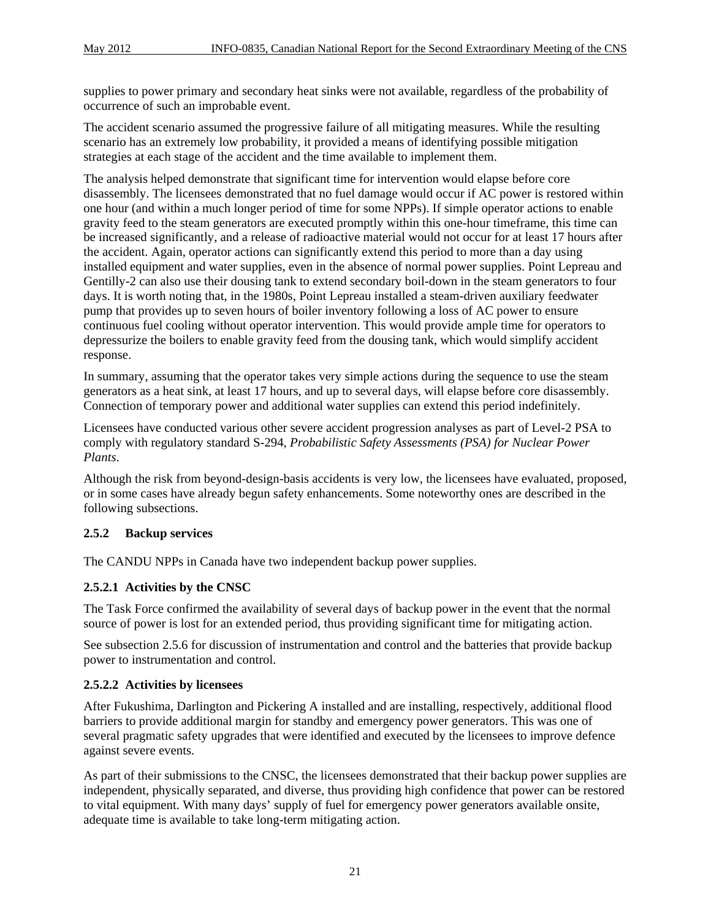supplies to power primary and secondary heat sinks were not available, regardless of the probability of occurrence of such an improbable event.

The accident scenario assumed the progressive failure of all mitigating measures. While the resulting scenario has an extremely low probability, it provided a means of identifying possible mitigation strategies at each stage of the accident and the time available to implement them.

The analysis helped demonstrate that significant time for intervention would elapse before core disassembly. The licensees demonstrated that no fuel damage would occur if AC power is restored within one hour (and within a much longer period of time for some NPPs). If simple operator actions to enable gravity feed to the steam generators are executed promptly within this one-hour timeframe, this time can be increased significantly, and a release of radioactive material would not occur for at least 17 hours after the accident. Again, operator actions can significantly extend this period to more than a day using installed equipment and water supplies, even in the absence of normal power supplies. Point Lepreau and Gentilly-2 can also use their dousing tank to extend secondary boil-down in the steam generators to four days. It is worth noting that, in the 1980s, Point Lepreau installed a steam-driven auxiliary feedwater pump that provides up to seven hours of boiler inventory following a loss of AC power to ensure continuous fuel cooling without operator intervention. This would provide ample time for operators to depressurize the boilers to enable gravity feed from the dousing tank, which would simplify accident response.

In summary, assuming that the operator takes very simple actions during the sequence to use the steam generators as a heat sink, at least 17 hours, and up to several days, will elapse before core disassembly. Connection of temporary power and additional water supplies can extend this period indefinitely.

Licensees have conducted various other severe accident progression analyses as part of Level-2 PSA to comply with regulatory standard S-294, *Probabilistic Safety Assessments (PSA) for Nuclear Power Plants*.

Although the risk from beyond-design-basis accidents is very low, the licensees have evaluated, proposed, or in some cases have already begun safety enhancements. Some noteworthy ones are described in the following subsections.

### **2.5.2 Backup services**

The CANDU NPPs in Canada have two independent backup power supplies.

### **2.5.2.1 Activities by the CNSC**

The Task Force confirmed the availability of several days of backup power in the event that the normal source of power is lost for an extended period, thus providing significant time for mitigating action.

See subsection 2.5.6 for discussion of instrumentation and control and the batteries that provide backup power to instrumentation and control.

#### **2.5.2.2 Activities by licensees**

After Fukushima, Darlington and Pickering A installed and are installing, respectively, additional flood barriers to provide additional margin for standby and emergency power generators. This was one of several pragmatic safety upgrades that were identified and executed by the licensees to improve defence against severe events.

As part of their submissions to the CNSC, the licensees demonstrated that their backup power supplies are independent, physically separated, and diverse, thus providing high confidence that power can be restored to vital equipment. With many days' supply of fuel for emergency power generators available onsite, adequate time is available to take long-term mitigating action.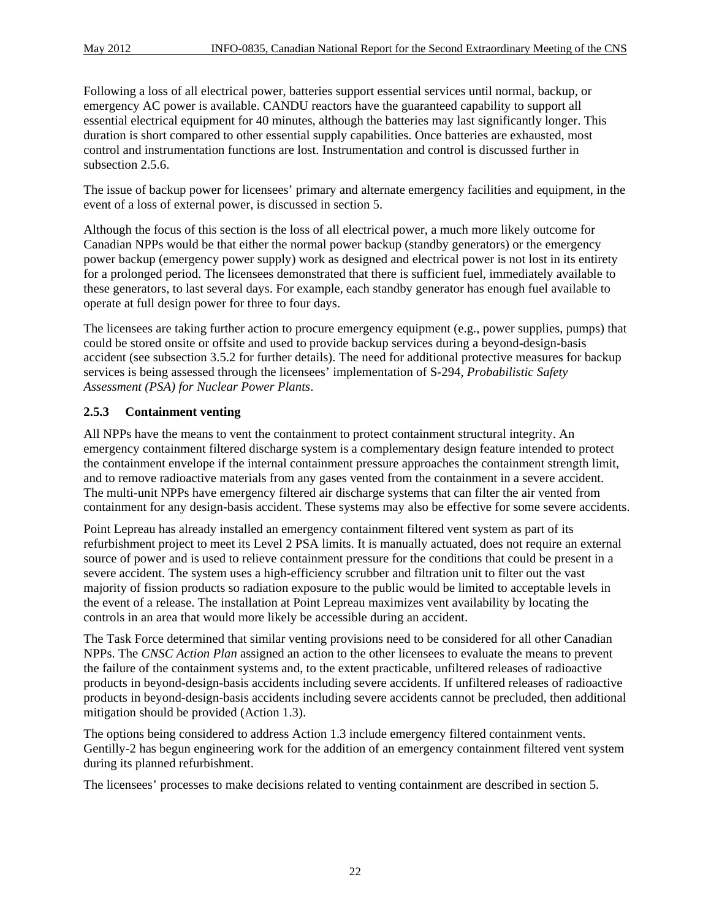Following a loss of all electrical power, batteries support essential services until normal, backup, or emergency AC power is available. CANDU reactors have the guaranteed capability to support all essential electrical equipment for 40 minutes, although the batteries may last significantly longer. This duration is short compared to other essential supply capabilities. Once batteries are exhausted, most control and instrumentation functions are lost. Instrumentation and control is discussed further in subsection 2.5.6.

The issue of backup power for licensees' primary and alternate emergency facilities and equipment, in the event of a loss of external power, is discussed in section 5.

Although the focus of this section is the loss of all electrical power, a much more likely outcome for Canadian NPPs would be that either the normal power backup (standby generators) or the emergency power backup (emergency power supply) work as designed and electrical power is not lost in its entirety for a prolonged period. The licensees demonstrated that there is sufficient fuel, immediately available to these generators, to last several days. For example, each standby generator has enough fuel available to operate at full design power for three to four days.

The licensees are taking further action to procure emergency equipment (e.g., power supplies, pumps) that could be stored onsite or offsite and used to provide backup services during a beyond-design-basis accident (see subsection 3.5.2 for further details). The need for additional protective measures for backup services is being assessed through the licensees' implementation of S-294, *Probabilistic Safety Assessment (PSA) for Nuclear Power Plants*.

# **2.5.3 Containment venting**

All NPPs have the means to vent the containment to protect containment structural integrity. An emergency containment filtered discharge system is a complementary design feature intended to protect the containment envelope if the internal containment pressure approaches the containment strength limit, and to remove radioactive materials from any gases vented from the containment in a severe accident. The multi-unit NPPs have emergency filtered air discharge systems that can filter the air vented from containment for any design-basis accident. These systems may also be effective for some severe accidents.

Point Lepreau has already installed an emergency containment filtered vent system as part of its refurbishment project to meet its Level 2 PSA limits. It is manually actuated, does not require an external source of power and is used to relieve containment pressure for the conditions that could be present in a severe accident. The system uses a high-efficiency scrubber and filtration unit to filter out the vast majority of fission products so radiation exposure to the public would be limited to acceptable levels in the event of a release. The installation at Point Lepreau maximizes vent availability by locating the controls in an area that would more likely be accessible during an accident.

The Task Force determined that similar venting provisions need to be considered for all other Canadian NPPs. The *CNSC Action Plan* assigned an action to the other licensees to evaluate the means to prevent the failure of the containment systems and, to the extent practicable, unfiltered releases of radioactive products in beyond-design-basis accidents including severe accidents. If unfiltered releases of radioactive products in beyond-design-basis accidents including severe accidents cannot be precluded, then additional mitigation should be provided (Action 1.3).

The options being considered to address Action 1.3 include emergency filtered containment vents. Gentilly-2 has begun engineering work for the addition of an emergency containment filtered vent system during its planned refurbishment.

The licensees' processes to make decisions related to venting containment are described in section 5.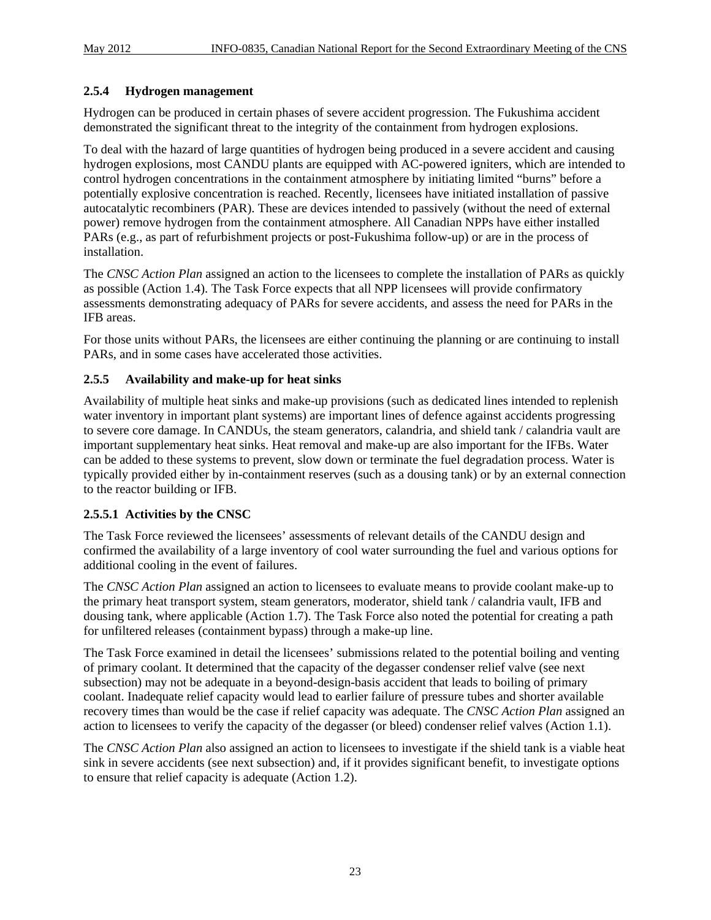### **2.5.4 Hydrogen management**

Hydrogen can be produced in certain phases of severe accident progression. The Fukushima accident demonstrated the significant threat to the integrity of the containment from hydrogen explosions.

To deal with the hazard of large quantities of hydrogen being produced in a severe accident and causing hydrogen explosions, most CANDU plants are equipped with AC-powered igniters, which are intended to control hydrogen concentrations in the containment atmosphere by initiating limited "burns" before a potentially explosive concentration is reached. Recently, licensees have initiated installation of passive autocatalytic recombiners (PAR). These are devices intended to passively (without the need of external power) remove hydrogen from the containment atmosphere. All Canadian NPPs have either installed PARs (e.g., as part of refurbishment projects or post-Fukushima follow-up) or are in the process of installation.

The *CNSC Action Plan* assigned an action to the licensees to complete the installation of PARs as quickly as possible (Action 1.4). The Task Force expects that all NPP licensees will provide confirmatory assessments demonstrating adequacy of PARs for severe accidents, and assess the need for PARs in the IFB areas.

For those units without PARs, the licensees are either continuing the planning or are continuing to install PARs, and in some cases have accelerated those activities.

#### **2.5.5 Availability and make-up for heat sinks**

Availability of multiple heat sinks and make-up provisions (such as dedicated lines intended to replenish water inventory in important plant systems) are important lines of defence against accidents progressing to severe core damage. In CANDUs, the steam generators, calandria, and shield tank / calandria vault are important supplementary heat sinks. Heat removal and make-up are also important for the IFBs. Water can be added to these systems to prevent, slow down or terminate the fuel degradation process. Water is typically provided either by in-containment reserves (such as a dousing tank) or by an external connection to the reactor building or IFB.

### **2.5.5.1 Activities by the CNSC**

The Task Force reviewed the licensees' assessments of relevant details of the CANDU design and confirmed the availability of a large inventory of cool water surrounding the fuel and various options for additional cooling in the event of failures.

The *CNSC Action Plan* assigned an action to licensees to evaluate means to provide coolant make-up to the primary heat transport system, steam generators, moderator, shield tank / calandria vault, IFB and dousing tank, where applicable (Action 1.7). The Task Force also noted the potential for creating a path for unfiltered releases (containment bypass) through a make-up line.

The Task Force examined in detail the licensees' submissions related to the potential boiling and venting of primary coolant. It determined that the capacity of the degasser condenser relief valve (see next subsection) may not be adequate in a beyond-design-basis accident that leads to boiling of primary coolant. Inadequate relief capacity would lead to earlier failure of pressure tubes and shorter available recovery times than would be the case if relief capacity was adequate. The *CNSC Action Plan* assigned an action to licensees to verify the capacity of the degasser (or bleed) condenser relief valves (Action 1.1).

The *CNSC Action Plan* also assigned an action to licensees to investigate if the shield tank is a viable heat sink in severe accidents (see next subsection) and, if it provides significant benefit, to investigate options to ensure that relief capacity is adequate (Action 1.2).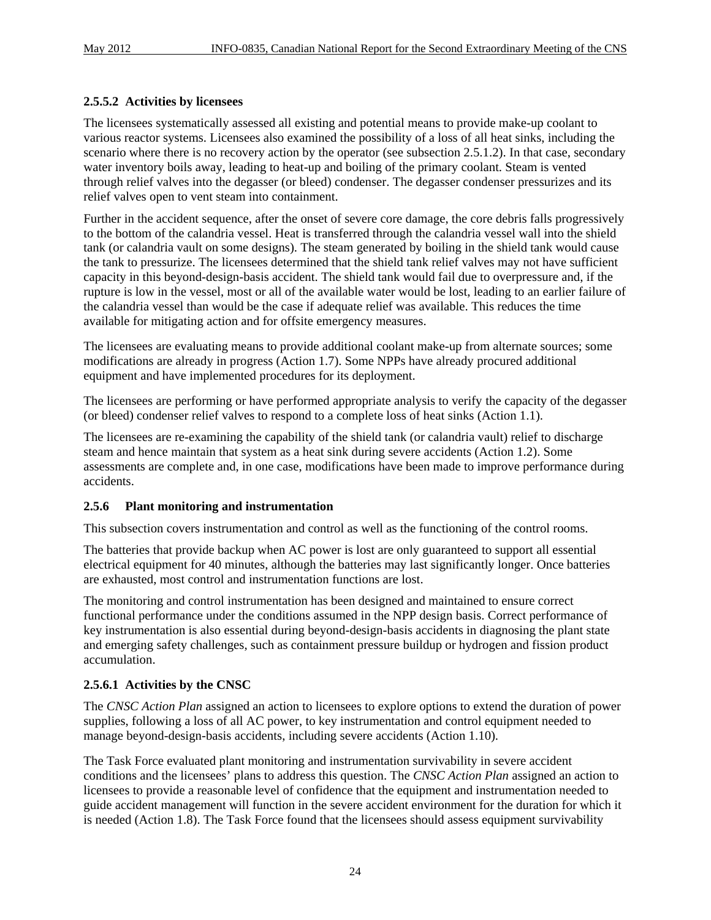#### **2.5.5.2 Activities by licensees**

The licensees systematically assessed all existing and potential means to provide make-up coolant to various reactor systems. Licensees also examined the possibility of a loss of all heat sinks, including the scenario where there is no recovery action by the operator (see subsection 2.5.1.2). In that case, secondary water inventory boils away, leading to heat-up and boiling of the primary coolant. Steam is vented through relief valves into the degasser (or bleed) condenser. The degasser condenser pressurizes and its relief valves open to vent steam into containment.

Further in the accident sequence, after the onset of severe core damage, the core debris falls progressively to the bottom of the calandria vessel. Heat is transferred through the calandria vessel wall into the shield tank (or calandria vault on some designs). The steam generated by boiling in the shield tank would cause the tank to pressurize. The licensees determined that the shield tank relief valves may not have sufficient capacity in this beyond-design-basis accident. The shield tank would fail due to overpressure and, if the rupture is low in the vessel, most or all of the available water would be lost, leading to an earlier failure of the calandria vessel than would be the case if adequate relief was available. This reduces the time available for mitigating action and for offsite emergency measures.

The licensees are evaluating means to provide additional coolant make-up from alternate sources; some modifications are already in progress (Action 1.7). Some NPPs have already procured additional equipment and have implemented procedures for its deployment.

The licensees are performing or have performed appropriate analysis to verify the capacity of the degasser (or bleed) condenser relief valves to respond to a complete loss of heat sinks (Action 1.1).

The licensees are re-examining the capability of the shield tank (or calandria vault) relief to discharge steam and hence maintain that system as a heat sink during severe accidents (Action 1.2). Some assessments are complete and, in one case, modifications have been made to improve performance during accidents.

#### **2.5.6 Plant monitoring and instrumentation**

This subsection covers instrumentation and control as well as the functioning of the control rooms.

The batteries that provide backup when AC power is lost are only guaranteed to support all essential electrical equipment for 40 minutes, although the batteries may last significantly longer. Once batteries are exhausted, most control and instrumentation functions are lost.

The monitoring and control instrumentation has been designed and maintained to ensure correct functional performance under the conditions assumed in the NPP design basis. Correct performance of key instrumentation is also essential during beyond-design-basis accidents in diagnosing the plant state and emerging safety challenges, such as containment pressure buildup or hydrogen and fission product accumulation.

#### **2.5.6.1 Activities by the CNSC**

The *CNSC Action Plan* assigned an action to licensees to explore options to extend the duration of power supplies, following a loss of all AC power, to key instrumentation and control equipment needed to manage beyond-design-basis accidents, including severe accidents (Action 1.10).

The Task Force evaluated plant monitoring and instrumentation survivability in severe accident conditions and the licensees' plans to address this question. The *CNSC Action Plan* assigned an action to licensees to provide a reasonable level of confidence that the equipment and instrumentation needed to guide accident management will function in the severe accident environment for the duration for which it is needed (Action 1.8). The Task Force found that the licensees should assess equipment survivability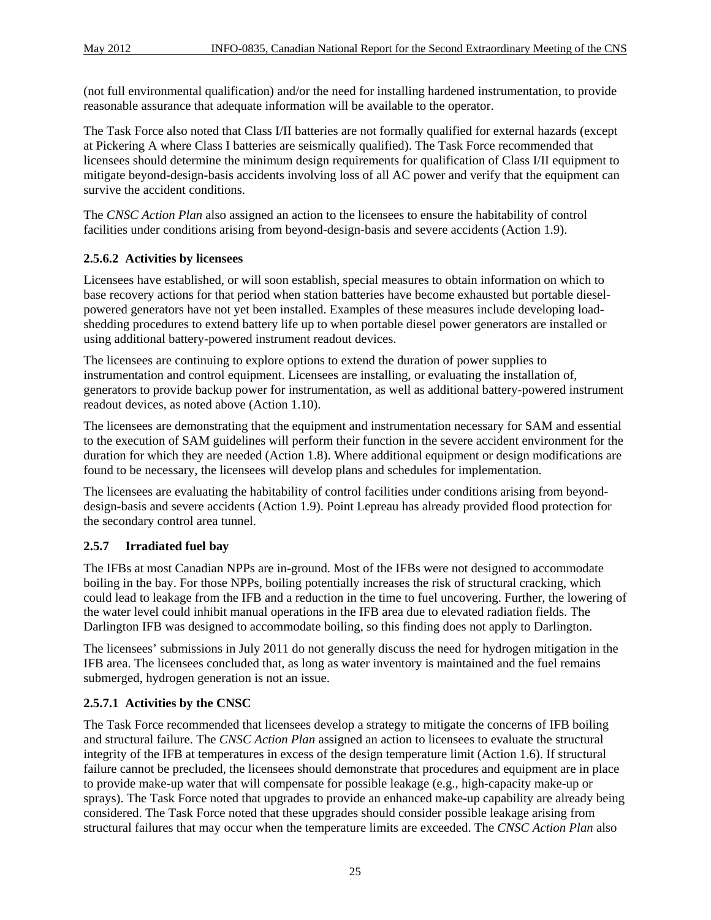(not full environmental qualification) and/or the need for installing hardened instrumentation, to provide reasonable assurance that adequate information will be available to the operator.

The Task Force also noted that Class I/II batteries are not formally qualified for external hazards (except at Pickering A where Class I batteries are seismically qualified). The Task Force recommended that licensees should determine the minimum design requirements for qualification of Class I/II equipment to mitigate beyond-design-basis accidents involving loss of all AC power and verify that the equipment can survive the accident conditions.

The *CNSC Action Plan* also assigned an action to the licensees to ensure the habitability of control facilities under conditions arising from beyond-design-basis and severe accidents (Action 1.9).

## **2.5.6.2 Activities by licensees**

Licensees have established, or will soon establish, special measures to obtain information on which to base recovery actions for that period when station batteries have become exhausted but portable dieselpowered generators have not yet been installed. Examples of these measures include developing loadshedding procedures to extend battery life up to when portable diesel power generators are installed or using additional battery-powered instrument readout devices.

The licensees are continuing to explore options to extend the duration of power supplies to instrumentation and control equipment. Licensees are installing, or evaluating the installation of, generators to provide backup power for instrumentation, as well as additional battery-powered instrument readout devices, as noted above (Action 1.10).

The licensees are demonstrating that the equipment and instrumentation necessary for SAM and essential to the execution of SAM guidelines will perform their function in the severe accident environment for the duration for which they are needed (Action 1.8). Where additional equipment or design modifications are found to be necessary, the licensees will develop plans and schedules for implementation.

The licensees are evaluating the habitability of control facilities under conditions arising from beyonddesign-basis and severe accidents (Action 1.9). Point Lepreau has already provided flood protection for the secondary control area tunnel.

## **2.5.7 Irradiated fuel bay**

The IFBs at most Canadian NPPs are in-ground. Most of the IFBs were not designed to accommodate boiling in the bay. For those NPPs, boiling potentially increases the risk of structural cracking, which could lead to leakage from the IFB and a reduction in the time to fuel uncovering. Further, the lowering of the water level could inhibit manual operations in the IFB area due to elevated radiation fields. The Darlington IFB was designed to accommodate boiling, so this finding does not apply to Darlington.

The licensees' submissions in July 2011 do not generally discuss the need for hydrogen mitigation in the IFB area. The licensees concluded that, as long as water inventory is maintained and the fuel remains submerged, hydrogen generation is not an issue.

#### **2.5.7.1 Activities by the CNSC**

The Task Force recommended that licensees develop a strategy to mitigate the concerns of IFB boiling and structural failure. The *CNSC Action Plan* assigned an action to licensees to evaluate the structural integrity of the IFB at temperatures in excess of the design temperature limit (Action 1.6). If structural failure cannot be precluded, the licensees should demonstrate that procedures and equipment are in place to provide make-up water that will compensate for possible leakage (e.g., high-capacity make-up or sprays). The Task Force noted that upgrades to provide an enhanced make-up capability are already being considered. The Task Force noted that these upgrades should consider possible leakage arising from structural failures that may occur when the temperature limits are exceeded. The *CNSC Action Plan* also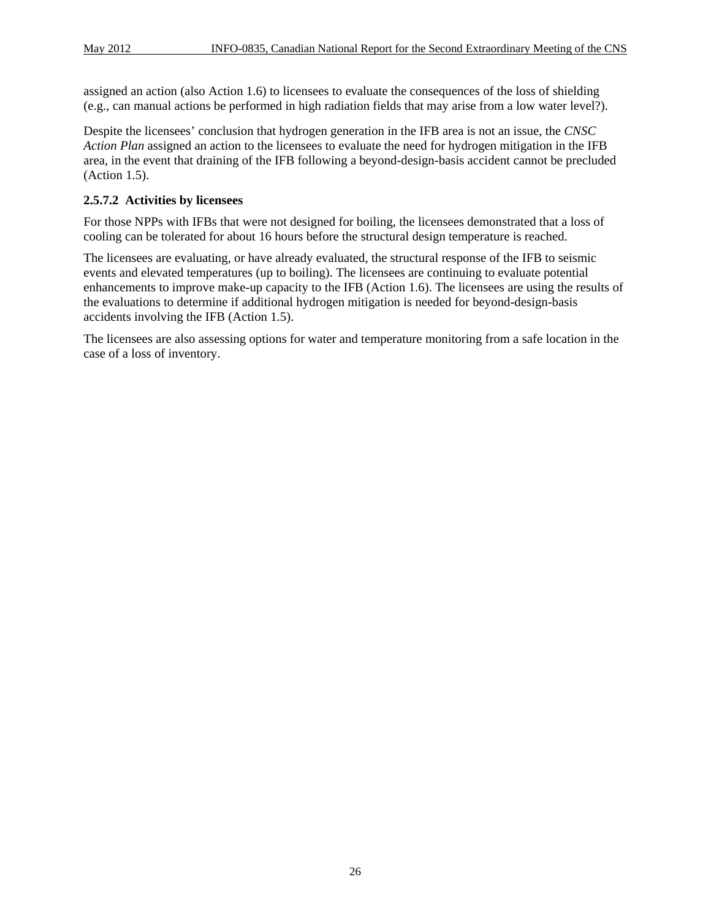assigned an action (also Action 1.6) to licensees to evaluate the consequences of the loss of shielding (e.g., can manual actions be performed in high radiation fields that may arise from a low water level?).

Despite the licensees' conclusion that hydrogen generation in the IFB area is not an issue, the *CNSC Action Plan* assigned an action to the licensees to evaluate the need for hydrogen mitigation in the IFB area, in the event that draining of the IFB following a beyond-design-basis accident cannot be precluded (Action 1.5).

#### **2.5.7.2 Activities by licensees**

For those NPPs with IFBs that were not designed for boiling, the licensees demonstrated that a loss of cooling can be tolerated for about 16 hours before the structural design temperature is reached.

The licensees are evaluating, or have already evaluated, the structural response of the IFB to seismic events and elevated temperatures (up to boiling). The licensees are continuing to evaluate potential enhancements to improve make-up capacity to the IFB (Action 1.6). The licensees are using the results of the evaluations to determine if additional hydrogen mitigation is needed for beyond-design-basis accidents involving the IFB (Action 1.5).

The licensees are also assessing options for water and temperature monitoring from a safe location in the case of a loss of inventory.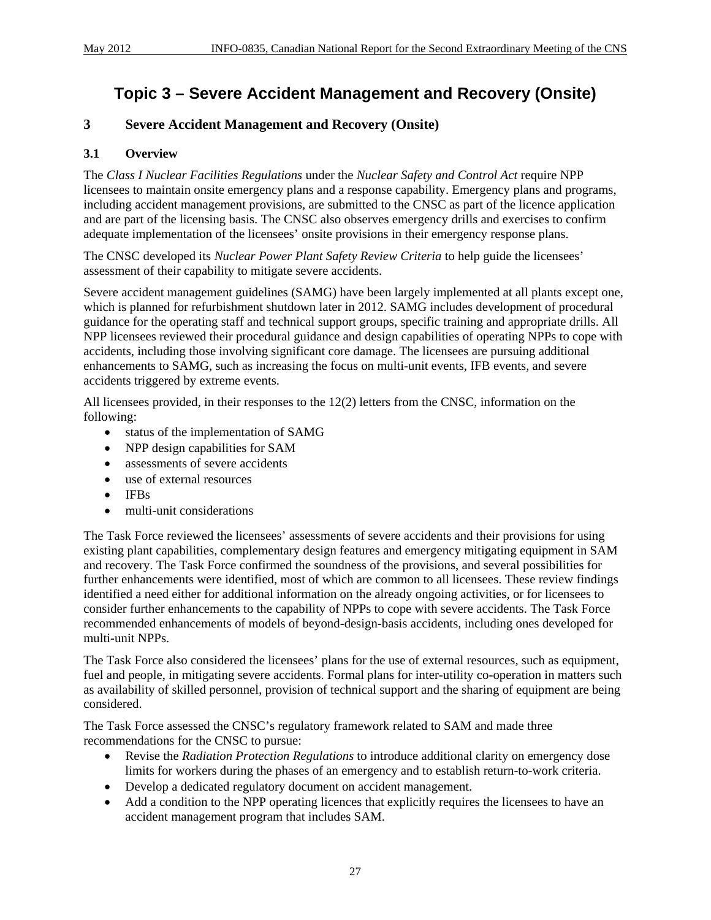## **Topic 3 – Severe Accident Management and Recovery (Onsite)**

## **3 Severe Accident Management and Recovery (Onsite)**

#### **3.1 Overview**

The *Class I Nuclear Facilities Regulations* under the *Nuclear Safety and Control Act* require NPP licensees to maintain onsite emergency plans and a response capability. Emergency plans and programs, including accident management provisions, are submitted to the CNSC as part of the licence application and are part of the licensing basis. The CNSC also observes emergency drills and exercises to confirm adequate implementation of the licensees' onsite provisions in their emergency response plans.

The CNSC developed its *Nuclear Power Plant Safety Review Criteria* to help guide the licensees' assessment of their capability to mitigate severe accidents.

Severe accident management guidelines (SAMG) have been largely implemented at all plants except one, which is planned for refurbishment shutdown later in 2012. SAMG includes development of procedural guidance for the operating staff and technical support groups, specific training and appropriate drills. All NPP licensees reviewed their procedural guidance and design capabilities of operating NPPs to cope with accidents, including those involving significant core damage. The licensees are pursuing additional enhancements to SAMG, such as increasing the focus on multi-unit events, IFB events, and severe accidents triggered by extreme events.

All licensees provided, in their responses to the 12(2) letters from the CNSC, information on the following:

- status of the implementation of SAMG
- NPP design capabilities for SAM
- assessments of severe accidents
- use of external resources
- IFBs
- multi-unit considerations

The Task Force reviewed the licensees' assessments of severe accidents and their provisions for using existing plant capabilities, complementary design features and emergency mitigating equipment in SAM and recovery. The Task Force confirmed the soundness of the provisions, and several possibilities for further enhancements were identified, most of which are common to all licensees. These review findings identified a need either for additional information on the already ongoing activities, or for licensees to consider further enhancements to the capability of NPPs to cope with severe accidents. The Task Force recommended enhancements of models of beyond-design-basis accidents, including ones developed for multi-unit NPPs.

The Task Force also considered the licensees' plans for the use of external resources, such as equipment, fuel and people, in mitigating severe accidents. Formal plans for inter-utility co-operation in matters such as availability of skilled personnel, provision of technical support and the sharing of equipment are being considered.

The Task Force assessed the CNSC's regulatory framework related to SAM and made three recommendations for the CNSC to pursue:

- Revise the *Radiation Protection Regulations* to introduce additional clarity on emergency dose limits for workers during the phases of an emergency and to establish return-to-work criteria.
- Develop a dedicated regulatory document on accident management.
- Add a condition to the NPP operating licences that explicitly requires the licensees to have an accident management program that includes SAM.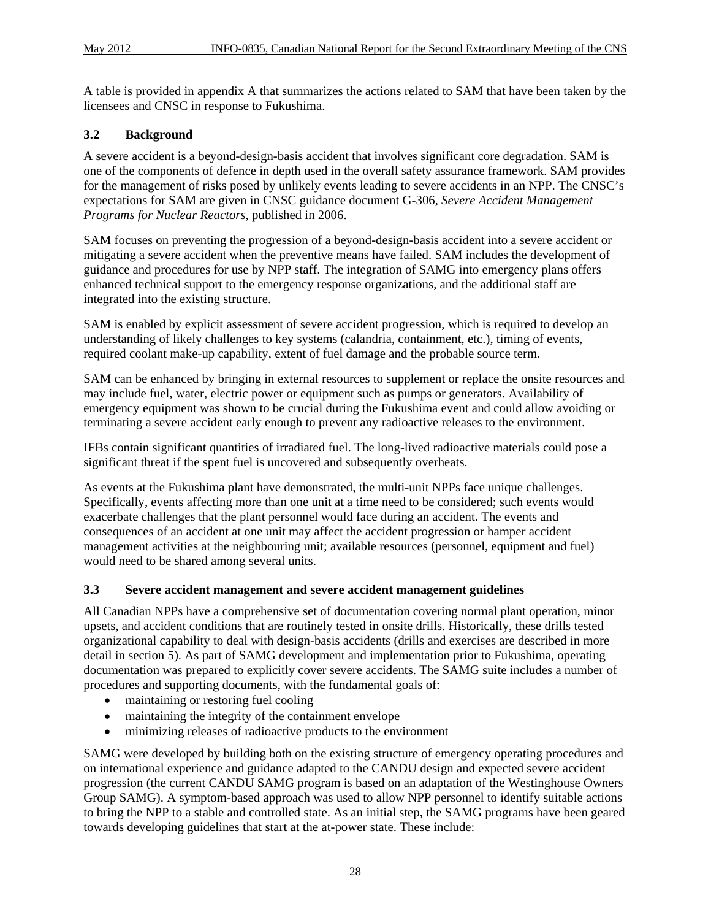A table is provided in appendix A that summarizes the actions related to SAM that have been taken by the licensees and CNSC in response to Fukushima.

## **3.2 Background**

A severe accident is a beyond-design-basis accident that involves significant core degradation. SAM is one of the components of defence in depth used in the overall safety assurance framework. SAM provides for the management of risks posed by unlikely events leading to severe accidents in an NPP. The CNSC's expectations for SAM are given in CNSC guidance document G-306, *Severe Accident Management Programs for Nuclear Reactors*, published in 2006.

SAM focuses on preventing the progression of a beyond-design-basis accident into a severe accident or mitigating a severe accident when the preventive means have failed. SAM includes the development of guidance and procedures for use by NPP staff. The integration of SAMG into emergency plans offers enhanced technical support to the emergency response organizations, and the additional staff are integrated into the existing structure.

SAM is enabled by explicit assessment of severe accident progression, which is required to develop an understanding of likely challenges to key systems (calandria, containment, etc.), timing of events, required coolant make-up capability, extent of fuel damage and the probable source term.

SAM can be enhanced by bringing in external resources to supplement or replace the onsite resources and may include fuel, water, electric power or equipment such as pumps or generators. Availability of emergency equipment was shown to be crucial during the Fukushima event and could allow avoiding or terminating a severe accident early enough to prevent any radioactive releases to the environment.

IFBs contain significant quantities of irradiated fuel. The long-lived radioactive materials could pose a significant threat if the spent fuel is uncovered and subsequently overheats.

As events at the Fukushima plant have demonstrated, the multi-unit NPPs face unique challenges. Specifically, events affecting more than one unit at a time need to be considered; such events would exacerbate challenges that the plant personnel would face during an accident. The events and consequences of an accident at one unit may affect the accident progression or hamper accident management activities at the neighbouring unit; available resources (personnel, equipment and fuel) would need to be shared among several units.

#### **3.3 Severe accident management and severe accident management guidelines**

All Canadian NPPs have a comprehensive set of documentation covering normal plant operation, minor upsets, and accident conditions that are routinely tested in onsite drills. Historically, these drills tested organizational capability to deal with design-basis accidents (drills and exercises are described in more detail in section 5). As part of SAMG development and implementation prior to Fukushima, operating documentation was prepared to explicitly cover severe accidents. The SAMG suite includes a number of procedures and supporting documents, with the fundamental goals of:

- maintaining or restoring fuel cooling
- maintaining the integrity of the containment envelope
- minimizing releases of radioactive products to the environment

SAMG were developed by building both on the existing structure of emergency operating procedures and on international experience and guidance adapted to the CANDU design and expected severe accident progression (the current CANDU SAMG program is based on an adaptation of the Westinghouse Owners Group SAMG). A symptom-based approach was used to allow NPP personnel to identify suitable actions to bring the NPP to a stable and controlled state. As an initial step, the SAMG programs have been geared towards developing guidelines that start at the at-power state. These include: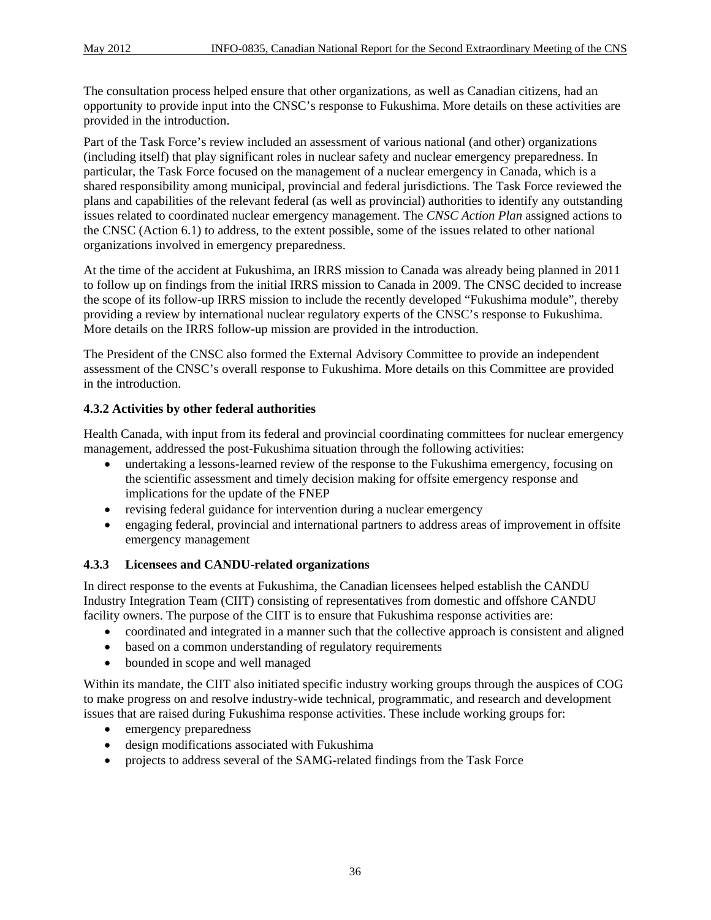The consultation process helped ensure that other organizations, as well as Canadian citizens, had an opportunity to provide input into the CNSC's response to Fukushima. More details on these activities are provided in the introduction.

Part of the Task Force's review included an assessment of various national (and other) organizations (including itself) that play significant roles in nuclear safety and nuclear emergency preparedness. In particular, the Task Force focused on the management of a nuclear emergency in Canada, which is a shared responsibility among municipal, provincial and federal jurisdictions. The Task Force reviewed the plans and capabilities of the relevant federal (as well as provincial) authorities to identify any outstanding issues related to coordinated nuclear emergency management. The *CNSC Action Plan* assigned actions to the CNSC (Action 6.1) to address, to the extent possible, some of the issues related to other national organizations involved in emergency preparedness.

At the time of the accident at Fukushima, an IRRS mission to Canada was already being planned in 2011 to follow up on findings from the initial IRRS mission to Canada in 2009. The CNSC decided to increase the scope of its follow-up IRRS mission to include the recently developed "Fukushima module", thereby providing a review by international nuclear regulatory experts of the CNSC's response to Fukushima. More details on the IRRS follow-up mission are provided in the introduction.

The President of the CNSC also formed the External Advisory Committee to provide an independent assessment of the CNSC's overall response to Fukushima. More details on this Committee are provided in the introduction.

## **4.3.2 Activities by other federal authorities**

Health Canada, with input from its federal and provincial coordinating committees for nuclear emergency management, addressed the post-Fukushima situation through the following activities:

- undertaking a lessons-learned review of the response to the Fukushima emergency, focusing on the scientific assessment and timely decision making for offsite emergency response and implications for the update of the FNEP
- revising federal guidance for intervention during a nuclear emergency
- engaging federal, provincial and international partners to address areas of improvement in offsite emergency management

#### **4.3.3 Licensees and CANDU-related organizations**

In direct response to the events at Fukushima, the Canadian licensees helped establish the CANDU Industry Integration Team (CIIT) consisting of representatives from domestic and offshore CANDU facility owners. The purpose of the CIIT is to ensure that Fukushima response activities are:

- coordinated and integrated in a manner such that the collective approach is consistent and aligned
- based on a common understanding of regulatory requirements
- bounded in scope and well managed

Within its mandate, the CIIT also initiated specific industry working groups through the auspices of COG to make progress on and resolve industry-wide technical, programmatic, and research and development issues that are raised during Fukushima response activities. These include working groups for:

- emergency preparedness
- design modifications associated with Fukushima
- projects to address several of the SAMG-related findings from the Task Force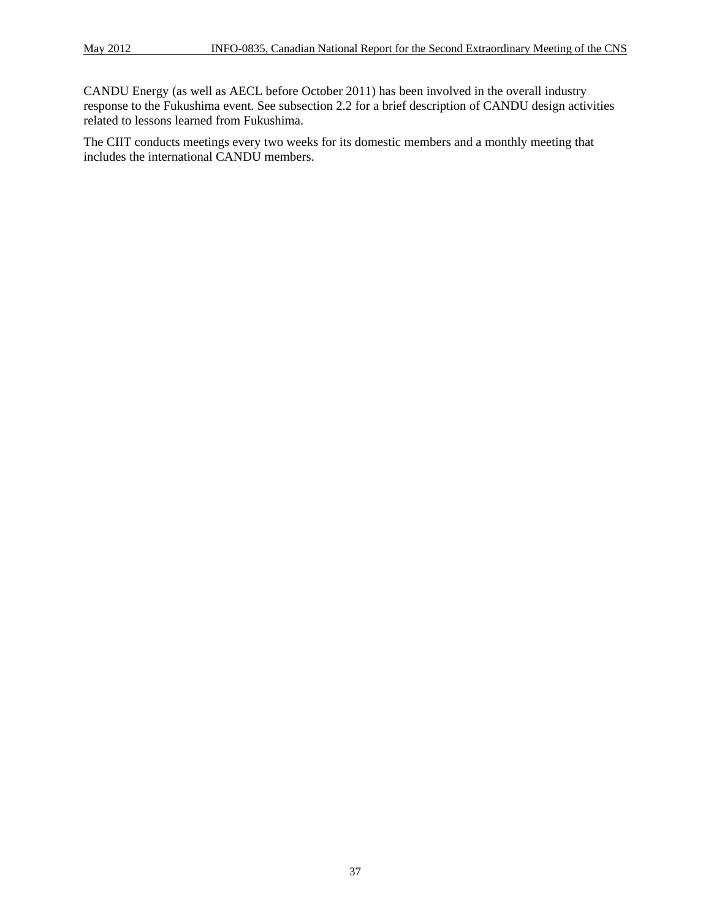CANDU Energy (as well as AECL before October 2011) has been involved in the overall industry response to the Fukushima event. See subsection 2.2 for a brief description of CANDU design activities related to lessons learned from Fukushima.

The CIIT conducts meetings every two weeks for its domestic members and a monthly meeting that includes the international CANDU members.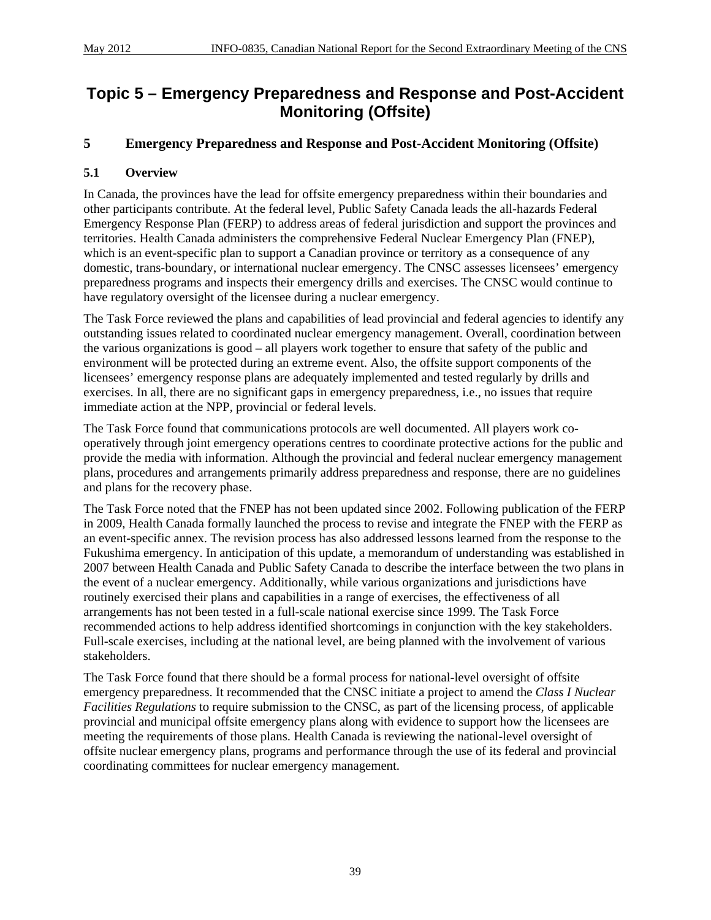## **Topic 5 – Emergency Preparedness and Response and Post-Accident Monitoring (Offsite)**

## **5 Emergency Preparedness and Response and Post-Accident Monitoring (Offsite)**

## **5.1 Overview**

In Canada, the provinces have the lead for offsite emergency preparedness within their boundaries and other participants contribute. At the federal level, Public Safety Canada leads the all-hazards Federal Emergency Response Plan (FERP) to address areas of federal jurisdiction and support the provinces and territories. Health Canada administers the comprehensive Federal Nuclear Emergency Plan (FNEP), which is an event-specific plan to support a Canadian province or territory as a consequence of any domestic, trans-boundary, or international nuclear emergency. The CNSC assesses licensees' emergency preparedness programs and inspects their emergency drills and exercises. The CNSC would continue to have regulatory oversight of the licensee during a nuclear emergency.

The Task Force reviewed the plans and capabilities of lead provincial and federal agencies to identify any outstanding issues related to coordinated nuclear emergency management. Overall, coordination between the various organizations is good – all players work together to ensure that safety of the public and environment will be protected during an extreme event. Also, the offsite support components of the licensees' emergency response plans are adequately implemented and tested regularly by drills and exercises. In all, there are no significant gaps in emergency preparedness, i.e., no issues that require immediate action at the NPP, provincial or federal levels.

The Task Force found that communications protocols are well documented. All players work cooperatively through joint emergency operations centres to coordinate protective actions for the public and provide the media with information. Although the provincial and federal nuclear emergency management plans, procedures and arrangements primarily address preparedness and response, there are no guidelines and plans for the recovery phase.

The Task Force noted that the FNEP has not been updated since 2002. Following publication of the FERP in 2009, Health Canada formally launched the process to revise and integrate the FNEP with the FERP as an event-specific annex. The revision process has also addressed lessons learned from the response to the Fukushima emergency. In anticipation of this update, a memorandum of understanding was established in 2007 between Health Canada and Public Safety Canada to describe the interface between the two plans in the event of a nuclear emergency. Additionally, while various organizations and jurisdictions have routinely exercised their plans and capabilities in a range of exercises, the effectiveness of all arrangements has not been tested in a full-scale national exercise since 1999. The Task Force recommended actions to help address identified shortcomings in conjunction with the key stakeholders. Full-scale exercises, including at the national level, are being planned with the involvement of various stakeholders.

The Task Force found that there should be a formal process for national-level oversight of offsite emergency preparedness. It recommended that the CNSC initiate a project to amend the *Class I Nuclear Facilities Regulations* to require submission to the CNSC, as part of the licensing process, of applicable provincial and municipal offsite emergency plans along with evidence to support how the licensees are meeting the requirements of those plans. Health Canada is reviewing the national-level oversight of offsite nuclear emergency plans, programs and performance through the use of its federal and provincial coordinating committees for nuclear emergency management.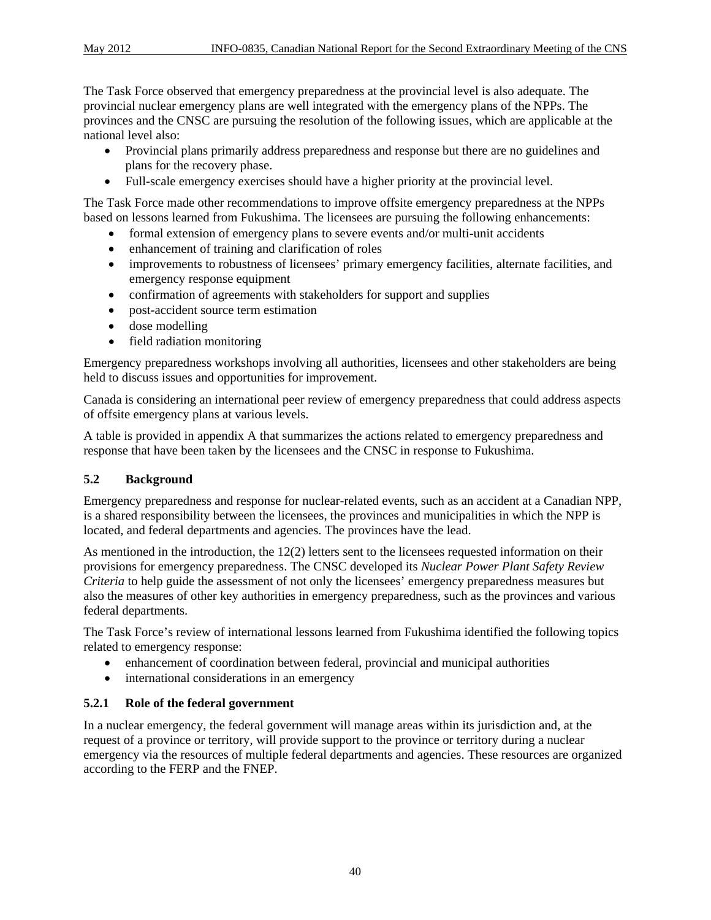The Task Force observed that emergency preparedness at the provincial level is also adequate. The provincial nuclear emergency plans are well integrated with the emergency plans of the NPPs. The provinces and the CNSC are pursuing the resolution of the following issues, which are applicable at the national level also:

- Provincial plans primarily address preparedness and response but there are no guidelines and plans for the recovery phase.
- Full-scale emergency exercises should have a higher priority at the provincial level.

The Task Force made other recommendations to improve offsite emergency preparedness at the NPPs based on lessons learned from Fukushima. The licensees are pursuing the following enhancements:

- formal extension of emergency plans to severe events and/or multi-unit accidents
- enhancement of training and clarification of roles
- improvements to robustness of licensees' primary emergency facilities, alternate facilities, and emergency response equipment
- confirmation of agreements with stakeholders for support and supplies
- post-accident source term estimation
- dose modelling
- field radiation monitoring

Emergency preparedness workshops involving all authorities, licensees and other stakeholders are being held to discuss issues and opportunities for improvement.

Canada is considering an international peer review of emergency preparedness that could address aspects of offsite emergency plans at various levels.

A table is provided in appendix A that summarizes the actions related to emergency preparedness and response that have been taken by the licensees and the CNSC in response to Fukushima.

## **5.2 Background**

Emergency preparedness and response for nuclear-related events, such as an accident at a Canadian NPP, is a shared responsibility between the licensees, the provinces and municipalities in which the NPP is located, and federal departments and agencies. The provinces have the lead.

As mentioned in the introduction, the 12(2) letters sent to the licensees requested information on their provisions for emergency preparedness. The CNSC developed its *Nuclear Power Plant Safety Review Criteria* to help guide the assessment of not only the licensees' emergency preparedness measures but also the measures of other key authorities in emergency preparedness, such as the provinces and various federal departments.

The Task Force's review of international lessons learned from Fukushima identified the following topics related to emergency response:

- enhancement of coordination between federal, provincial and municipal authorities
- international considerations in an emergency

## **5.2.1 Role of the federal government**

In a nuclear emergency, the federal government will manage areas within its jurisdiction and, at the request of a province or territory, will provide support to the province or territory during a nuclear emergency via the resources of multiple federal departments and agencies. These resources are organized according to the FERP and the FNEP.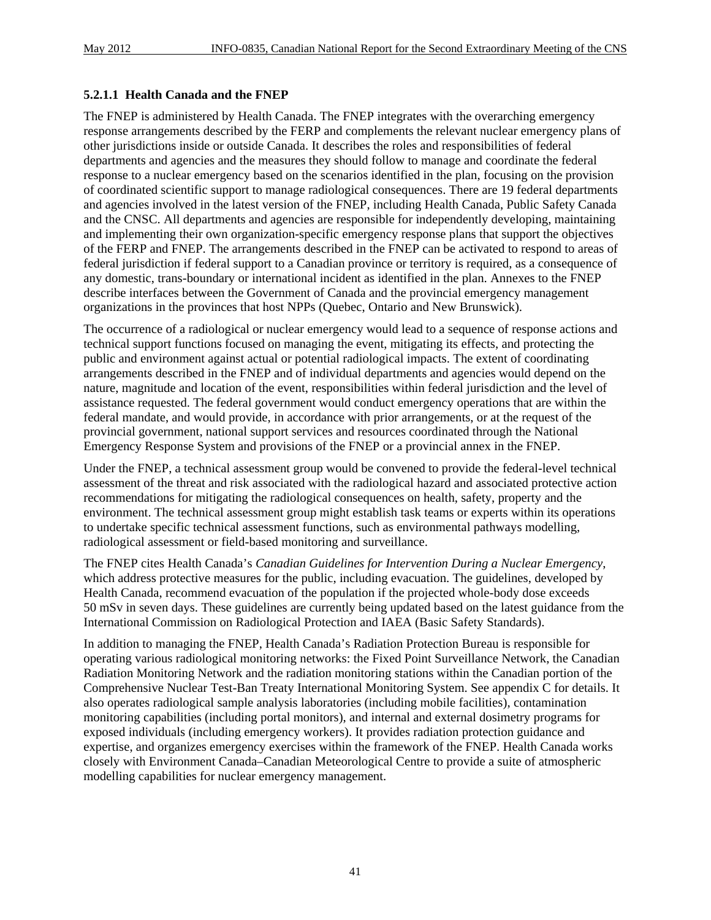#### **5.2.1.1 Health Canada and the FNEP**

The FNEP is administered by Health Canada. The FNEP integrates with the overarching emergency response arrangements described by the FERP and complements the relevant nuclear emergency plans of other jurisdictions inside or outside Canada. It describes the roles and responsibilities of federal departments and agencies and the measures they should follow to manage and coordinate the federal response to a nuclear emergency based on the scenarios identified in the plan, focusing on the provision of coordinated scientific support to manage radiological consequences. There are 19 federal departments and agencies involved in the latest version of the FNEP, including Health Canada, Public Safety Canada and the CNSC. All departments and agencies are responsible for independently developing, maintaining and implementing their own organization-specific emergency response plans that support the objectives of the FERP and FNEP. The arrangements described in the FNEP can be activated to respond to areas of federal jurisdiction if federal support to a Canadian province or territory is required, as a consequence of any domestic, trans-boundary or international incident as identified in the plan. Annexes to the FNEP describe interfaces between the Government of Canada and the provincial emergency management organizations in the provinces that host NPPs (Quebec, Ontario and New Brunswick).

The occurrence of a radiological or nuclear emergency would lead to a sequence of response actions and technical support functions focused on managing the event, mitigating its effects, and protecting the public and environment against actual or potential radiological impacts. The extent of coordinating arrangements described in the FNEP and of individual departments and agencies would depend on the nature, magnitude and location of the event, responsibilities within federal jurisdiction and the level of assistance requested. The federal government would conduct emergency operations that are within the federal mandate, and would provide, in accordance with prior arrangements, or at the request of the provincial government, national support services and resources coordinated through the National Emergency Response System and provisions of the FNEP or a provincial annex in the FNEP.

Under the FNEP, a technical assessment group would be convened to provide the federal-level technical assessment of the threat and risk associated with the radiological hazard and associated protective action recommendations for mitigating the radiological consequences on health, safety, property and the environment. The technical assessment group might establish task teams or experts within its operations to undertake specific technical assessment functions, such as environmental pathways modelling, radiological assessment or field-based monitoring and surveillance.

The FNEP cites Health Canada's *Canadian Guidelines for Intervention During a Nuclear Emergency*, which address protective measures for the public, including evacuation. The guidelines, developed by Health Canada, recommend evacuation of the population if the projected whole-body dose exceeds 50 mSv in seven days. These guidelines are currently being updated based on the latest guidance from the International Commission on Radiological Protection and IAEA (Basic Safety Standards).

In addition to managing the FNEP, Health Canada's Radiation Protection Bureau is responsible for operating various radiological monitoring networks: the Fixed Point Surveillance Network, the Canadian Radiation Monitoring Network and the radiation monitoring stations within the Canadian portion of the Comprehensive Nuclear Test-Ban Treaty International Monitoring System. See appendix C for details. It also operates radiological sample analysis laboratories (including mobile facilities), contamination monitoring capabilities (including portal monitors), and internal and external dosimetry programs for exposed individuals (including emergency workers). It provides radiation protection guidance and expertise, and organizes emergency exercises within the framework of the FNEP. Health Canada works closely with Environment Canada–Canadian Meteorological Centre to provide a suite of atmospheric modelling capabilities for nuclear emergency management.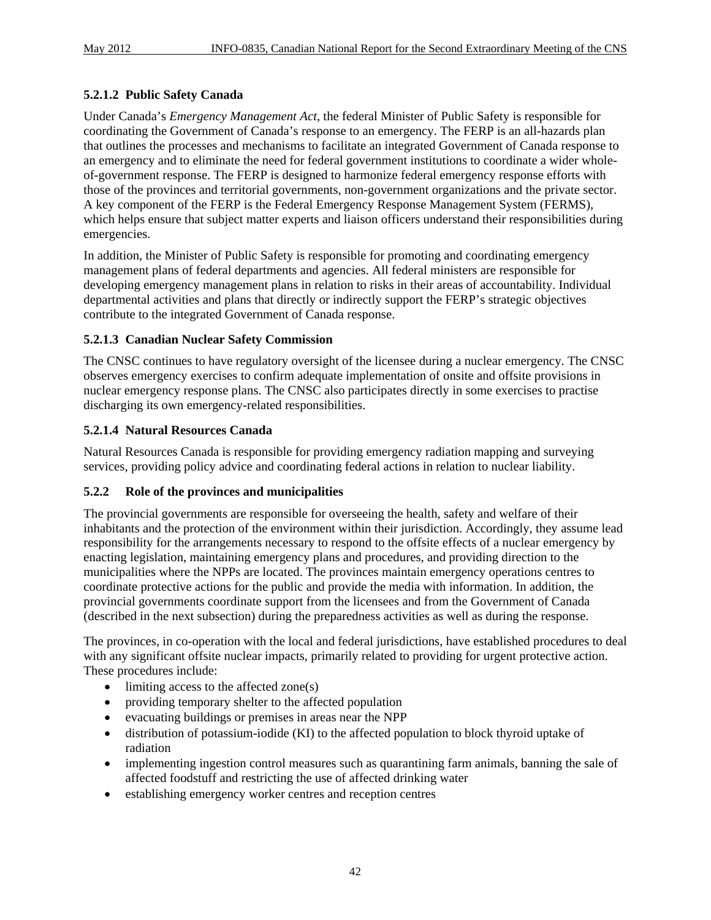#### **5.2.1.2 Public Safety Canada**

Under Canada's *Emergency Management Act*, the federal Minister of Public Safety is responsible for coordinating the Government of Canada's response to an emergency. The FERP is an all-hazards plan that outlines the processes and mechanisms to facilitate an integrated Government of Canada response to an emergency and to eliminate the need for federal government institutions to coordinate a wider wholeof-government response. The FERP is designed to harmonize federal emergency response efforts with those of the provinces and territorial governments, non-government organizations and the private sector. A key component of the FERP is the Federal Emergency Response Management System (FERMS), which helps ensure that subject matter experts and liaison officers understand their responsibilities during emergencies.

In addition, the Minister of Public Safety is responsible for promoting and coordinating emergency management plans of federal departments and agencies. All federal ministers are responsible for developing emergency management plans in relation to risks in their areas of accountability. Individual departmental activities and plans that directly or indirectly support the FERP's strategic objectives contribute to the integrated Government of Canada response.

#### **5.2.1.3 Canadian Nuclear Safety Commission**

The CNSC continues to have regulatory oversight of the licensee during a nuclear emergency. The CNSC observes emergency exercises to confirm adequate implementation of onsite and offsite provisions in nuclear emergency response plans. The CNSC also participates directly in some exercises to practise discharging its own emergency-related responsibilities.

#### **5.2.1.4 Natural Resources Canada**

Natural Resources Canada is responsible for providing emergency radiation mapping and surveying services, providing policy advice and coordinating federal actions in relation to nuclear liability.

#### **5.2.2 Role of the provinces and municipalities**

The provincial governments are responsible for overseeing the health, safety and welfare of their inhabitants and the protection of the environment within their jurisdiction. Accordingly, they assume lead responsibility for the arrangements necessary to respond to the offsite effects of a nuclear emergency by enacting legislation, maintaining emergency plans and procedures, and providing direction to the municipalities where the NPPs are located. The provinces maintain emergency operations centres to coordinate protective actions for the public and provide the media with information. In addition, the provincial governments coordinate support from the licensees and from the Government of Canada (described in the next subsection) during the preparedness activities as well as during the response.

The provinces, in co-operation with the local and federal jurisdictions, have established procedures to deal with any significant offsite nuclear impacts, primarily related to providing for urgent protective action. These procedures include:

- limiting access to the affected zone(s)
- providing temporary shelter to the affected population
- evacuating buildings or premises in areas near the NPP
- distribution of potassium-iodide (KI) to the affected population to block thyroid uptake of radiation
- implementing ingestion control measures such as quarantining farm animals, banning the sale of affected foodstuff and restricting the use of affected drinking water
- establishing emergency worker centres and reception centres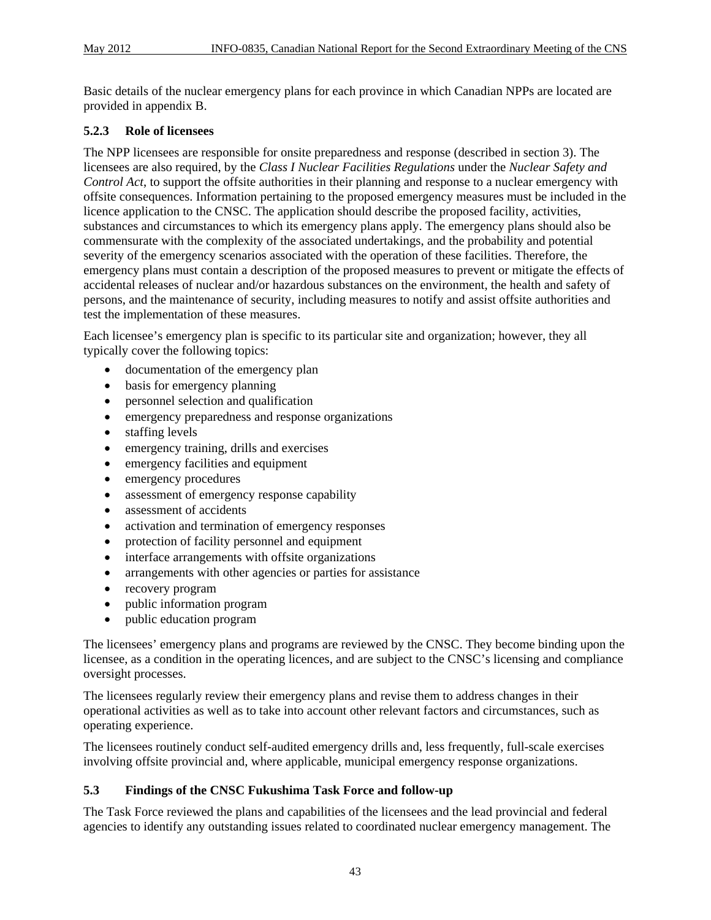Basic details of the nuclear emergency plans for each province in which Canadian NPPs are located are provided in appendix B.

#### **5.2.3 Role of licensees**

The NPP licensees are responsible for onsite preparedness and response (described in section 3). The licensees are also required, by the *Class I Nuclear Facilities Regulations* under the *Nuclear Safety and Control Act*, to support the offsite authorities in their planning and response to a nuclear emergency with offsite consequences. Information pertaining to the proposed emergency measures must be included in the licence application to the CNSC. The application should describe the proposed facility, activities, substances and circumstances to which its emergency plans apply. The emergency plans should also be commensurate with the complexity of the associated undertakings, and the probability and potential severity of the emergency scenarios associated with the operation of these facilities. Therefore, the emergency plans must contain a description of the proposed measures to prevent or mitigate the effects of accidental releases of nuclear and/or hazardous substances on the environment, the health and safety of persons, and the maintenance of security, including measures to notify and assist offsite authorities and test the implementation of these measures.

Each licensee's emergency plan is specific to its particular site and organization; however, they all typically cover the following topics:

- documentation of the emergency plan
- basis for emergency planning
- personnel selection and qualification
- emergency preparedness and response organizations
- staffing levels
- emergency training, drills and exercises
- emergency facilities and equipment
- emergency procedures
- assessment of emergency response capability
- assessment of accidents
- activation and termination of emergency responses
- protection of facility personnel and equipment
- interface arrangements with offsite organizations
- arrangements with other agencies or parties for assistance
- recovery program
- public information program
- public education program

The licensees' emergency plans and programs are reviewed by the CNSC. They become binding upon the licensee, as a condition in the operating licences, and are subject to the CNSC's licensing and compliance oversight processes.

The licensees regularly review their emergency plans and revise them to address changes in their operational activities as well as to take into account other relevant factors and circumstances, such as operating experience.

The licensees routinely conduct self-audited emergency drills and, less frequently, full-scale exercises involving offsite provincial and, where applicable, municipal emergency response organizations.

#### **5.3 Findings of the CNSC Fukushima Task Force and follow-up**

The Task Force reviewed the plans and capabilities of the licensees and the lead provincial and federal agencies to identify any outstanding issues related to coordinated nuclear emergency management. The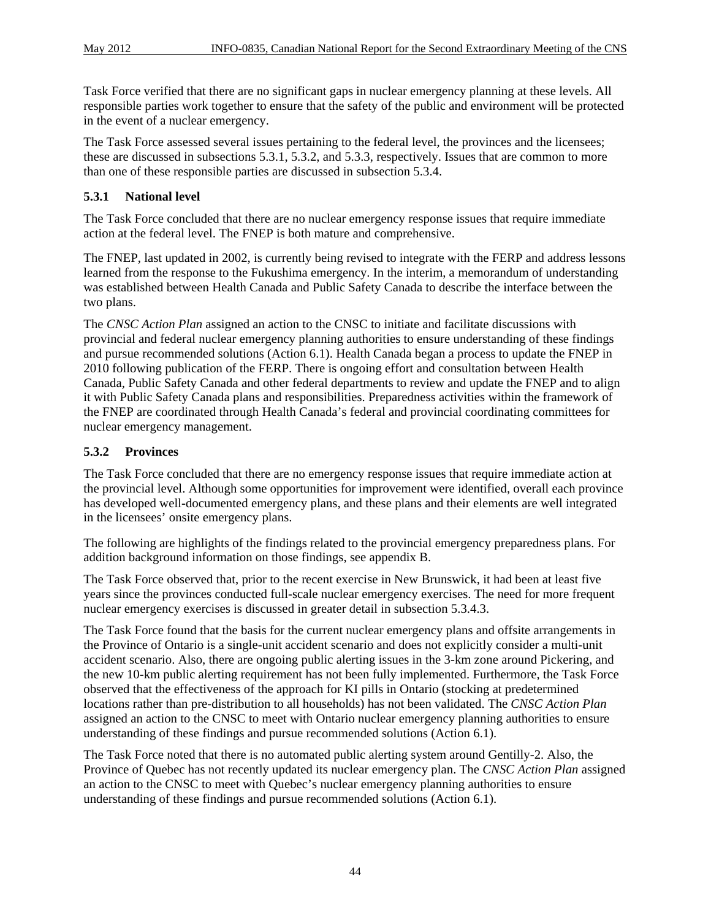Task Force verified that there are no significant gaps in nuclear emergency planning at these levels. All responsible parties work together to ensure that the safety of the public and environment will be protected in the event of a nuclear emergency.

The Task Force assessed several issues pertaining to the federal level, the provinces and the licensees; these are discussed in subsections 5.3.1, 5.3.2, and 5.3.3, respectively. Issues that are common to more than one of these responsible parties are discussed in subsection 5.3.4.

#### **5.3.1 National level**

The Task Force concluded that there are no nuclear emergency response issues that require immediate action at the federal level. The FNEP is both mature and comprehensive.

The FNEP, last updated in 2002, is currently being revised to integrate with the FERP and address lessons learned from the response to the Fukushima emergency. In the interim, a memorandum of understanding was established between Health Canada and Public Safety Canada to describe the interface between the two plans.

The *CNSC Action Plan* assigned an action to the CNSC to initiate and facilitate discussions with provincial and federal nuclear emergency planning authorities to ensure understanding of these findings and pursue recommended solutions (Action 6.1). Health Canada began a process to update the FNEP in 2010 following publication of the FERP. There is ongoing effort and consultation between Health Canada, Public Safety Canada and other federal departments to review and update the FNEP and to align it with Public Safety Canada plans and responsibilities. Preparedness activities within the framework of the FNEP are coordinated through Health Canada's federal and provincial coordinating committees for nuclear emergency management.

## **5.3.2 Provinces**

The Task Force concluded that there are no emergency response issues that require immediate action at the provincial level. Although some opportunities for improvement were identified, overall each province has developed well-documented emergency plans, and these plans and their elements are well integrated in the licensees' onsite emergency plans.

The following are highlights of the findings related to the provincial emergency preparedness plans. For addition background information on those findings, see appendix B.

The Task Force observed that, prior to the recent exercise in New Brunswick, it had been at least five years since the provinces conducted full-scale nuclear emergency exercises. The need for more frequent nuclear emergency exercises is discussed in greater detail in subsection 5.3.4.3.

The Task Force found that the basis for the current nuclear emergency plans and offsite arrangements in the Province of Ontario is a single-unit accident scenario and does not explicitly consider a multi-unit accident scenario. Also, there are ongoing public alerting issues in the 3-km zone around Pickering, and the new 10-km public alerting requirement has not been fully implemented. Furthermore, the Task Force observed that the effectiveness of the approach for KI pills in Ontario (stocking at predetermined locations rather than pre-distribution to all households) has not been validated. The *CNSC Action Plan* assigned an action to the CNSC to meet with Ontario nuclear emergency planning authorities to ensure understanding of these findings and pursue recommended solutions (Action 6.1).

The Task Force noted that there is no automated public alerting system around Gentilly-2. Also, the Province of Quebec has not recently updated its nuclear emergency plan. The *CNSC Action Plan* assigned an action to the CNSC to meet with Quebec's nuclear emergency planning authorities to ensure understanding of these findings and pursue recommended solutions (Action 6.1).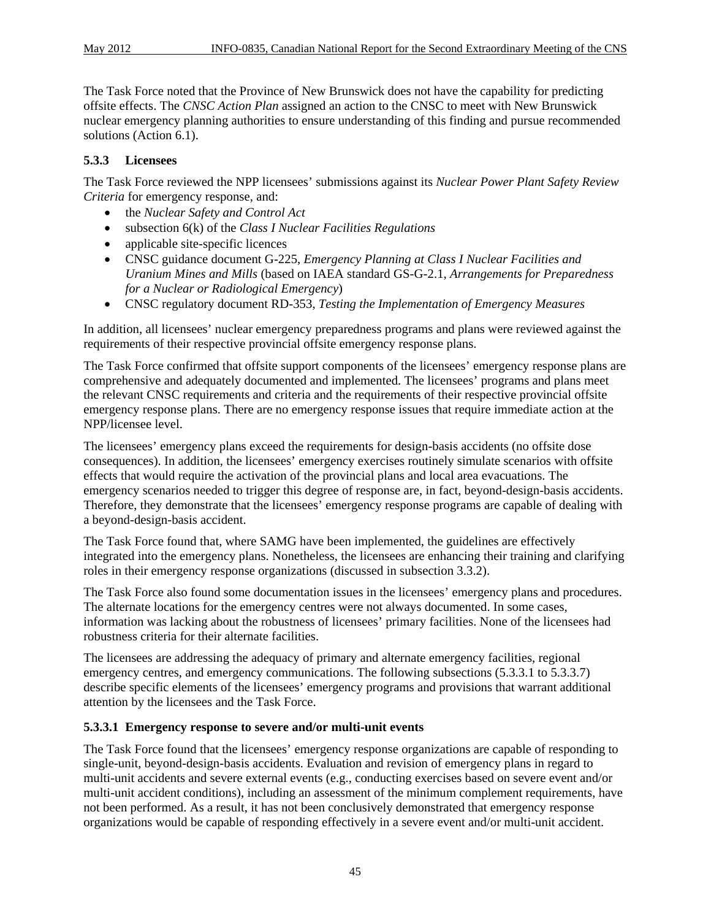The Task Force noted that the Province of New Brunswick does not have the capability for predicting offsite effects. The *CNSC Action Plan* assigned an action to the CNSC to meet with New Brunswick nuclear emergency planning authorities to ensure understanding of this finding and pursue recommended solutions (Action 6.1).

## **5.3.3 Licensees**

The Task Force reviewed the NPP licensees' submissions against its *Nuclear Power Plant Safety Review Criteria* for emergency response, and:

- the *Nuclear Safety and Control Act*
- subsection 6(k) of the *Class I Nuclear Facilities Regulations*
- applicable site-specific licences
- CNSC guidance document G-225, *Emergency Planning at Class I Nuclear Facilities and Uranium Mines and Mills* (based on IAEA standard GS-G-2.1, *Arrangements for Preparedness for a Nuclear or Radiological Emergency*)
- CNSC regulatory document RD-353, *Testing the Implementation of Emergency Measures*

In addition, all licensees' nuclear emergency preparedness programs and plans were reviewed against the requirements of their respective provincial offsite emergency response plans.

The Task Force confirmed that offsite support components of the licensees' emergency response plans are comprehensive and adequately documented and implemented. The licensees' programs and plans meet the relevant CNSC requirements and criteria and the requirements of their respective provincial offsite emergency response plans. There are no emergency response issues that require immediate action at the NPP/licensee level.

The licensees' emergency plans exceed the requirements for design-basis accidents (no offsite dose consequences). In addition, the licensees' emergency exercises routinely simulate scenarios with offsite effects that would require the activation of the provincial plans and local area evacuations. The emergency scenarios needed to trigger this degree of response are, in fact, beyond-design-basis accidents. Therefore, they demonstrate that the licensees' emergency response programs are capable of dealing with a beyond-design-basis accident.

The Task Force found that, where SAMG have been implemented, the guidelines are effectively integrated into the emergency plans. Nonetheless, the licensees are enhancing their training and clarifying roles in their emergency response organizations (discussed in subsection 3.3.2).

The Task Force also found some documentation issues in the licensees' emergency plans and procedures. The alternate locations for the emergency centres were not always documented. In some cases, information was lacking about the robustness of licensees' primary facilities. None of the licensees had robustness criteria for their alternate facilities.

The licensees are addressing the adequacy of primary and alternate emergency facilities, regional emergency centres, and emergency communications. The following subsections (5.3.3.1 to 5.3.3.7) describe specific elements of the licensees' emergency programs and provisions that warrant additional attention by the licensees and the Task Force.

#### **5.3.3.1 Emergency response to severe and/or multi-unit events**

The Task Force found that the licensees' emergency response organizations are capable of responding to single-unit, beyond-design-basis accidents. Evaluation and revision of emergency plans in regard to multi-unit accidents and severe external events (e.g., conducting exercises based on severe event and/or multi-unit accident conditions), including an assessment of the minimum complement requirements, have not been performed. As a result, it has not been conclusively demonstrated that emergency response organizations would be capable of responding effectively in a severe event and/or multi-unit accident.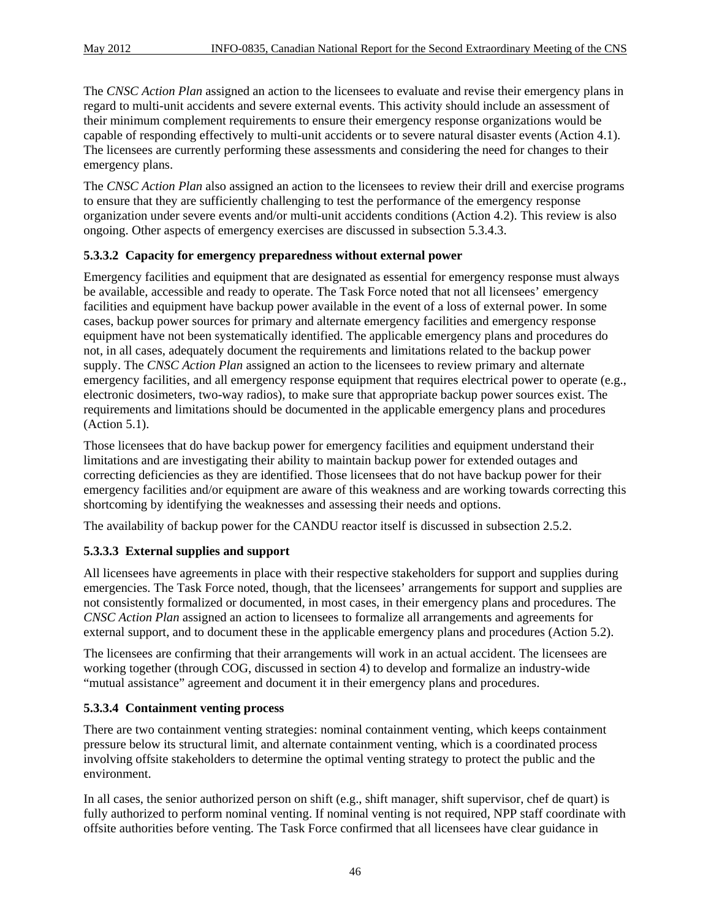The *CNSC Action Plan* assigned an action to the licensees to evaluate and revise their emergency plans in regard to multi-unit accidents and severe external events. This activity should include an assessment of their minimum complement requirements to ensure their emergency response organizations would be capable of responding effectively to multi-unit accidents or to severe natural disaster events (Action 4.1). The licensees are currently performing these assessments and considering the need for changes to their emergency plans.

The *CNSC Action Plan* also assigned an action to the licensees to review their drill and exercise programs to ensure that they are sufficiently challenging to test the performance of the emergency response organization under severe events and/or multi-unit accidents conditions (Action 4.2). This review is also ongoing. Other aspects of emergency exercises are discussed in subsection 5.3.4.3.

## **5.3.3.2 Capacity for emergency preparedness without external power**

Emergency facilities and equipment that are designated as essential for emergency response must always be available, accessible and ready to operate. The Task Force noted that not all licensees' emergency facilities and equipment have backup power available in the event of a loss of external power. In some cases, backup power sources for primary and alternate emergency facilities and emergency response equipment have not been systematically identified. The applicable emergency plans and procedures do not, in all cases, adequately document the requirements and limitations related to the backup power supply. The *CNSC Action Plan* assigned an action to the licensees to review primary and alternate emergency facilities, and all emergency response equipment that requires electrical power to operate (e.g., electronic dosimeters, two-way radios), to make sure that appropriate backup power sources exist. The requirements and limitations should be documented in the applicable emergency plans and procedures (Action 5.1).

Those licensees that do have backup power for emergency facilities and equipment understand their limitations and are investigating their ability to maintain backup power for extended outages and correcting deficiencies as they are identified. Those licensees that do not have backup power for their emergency facilities and/or equipment are aware of this weakness and are working towards correcting this shortcoming by identifying the weaknesses and assessing their needs and options.

The availability of backup power for the CANDU reactor itself is discussed in subsection 2.5.2.

#### **5.3.3.3 External supplies and support**

All licensees have agreements in place with their respective stakeholders for support and supplies during emergencies. The Task Force noted, though, that the licensees' arrangements for support and supplies are not consistently formalized or documented, in most cases, in their emergency plans and procedures. The *CNSC Action Plan* assigned an action to licensees to formalize all arrangements and agreements for external support, and to document these in the applicable emergency plans and procedures (Action 5.2).

The licensees are confirming that their arrangements will work in an actual accident. The licensees are working together (through COG, discussed in section 4) to develop and formalize an industry-wide "mutual assistance" agreement and document it in their emergency plans and procedures.

#### **5.3.3.4 Containment venting process**

There are two containment venting strategies: nominal containment venting, which keeps containment pressure below its structural limit, and alternate containment venting, which is a coordinated process involving offsite stakeholders to determine the optimal venting strategy to protect the public and the environment.

In all cases, the senior authorized person on shift (e.g., shift manager, shift supervisor, chef de quart) is fully authorized to perform nominal venting. If nominal venting is not required, NPP staff coordinate with offsite authorities before venting. The Task Force confirmed that all licensees have clear guidance in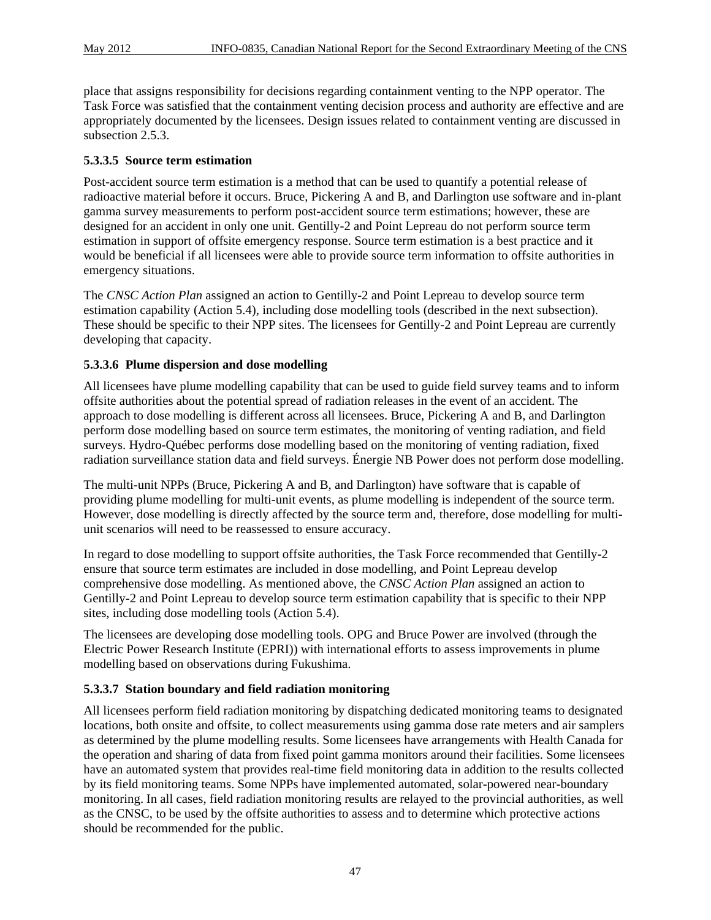place that assigns responsibility for decisions regarding containment venting to the NPP operator. The Task Force was satisfied that the containment venting decision process and authority are effective and are appropriately documented by the licensees. Design issues related to containment venting are discussed in subsection 2.5.3.

#### **5.3.3.5 Source term estimation**

Post-accident source term estimation is a method that can be used to quantify a potential release of radioactive material before it occurs. Bruce, Pickering A and B, and Darlington use software and in-plant gamma survey measurements to perform post-accident source term estimations; however, these are designed for an accident in only one unit. Gentilly-2 and Point Lepreau do not perform source term estimation in support of offsite emergency response. Source term estimation is a best practice and it would be beneficial if all licensees were able to provide source term information to offsite authorities in emergency situations.

The *CNSC Action Plan* assigned an action to Gentilly-2 and Point Lepreau to develop source term estimation capability (Action 5.4), including dose modelling tools (described in the next subsection). These should be specific to their NPP sites. The licensees for Gentilly-2 and Point Lepreau are currently developing that capacity.

#### **5.3.3.6 Plume dispersion and dose modelling**

All licensees have plume modelling capability that can be used to guide field survey teams and to inform offsite authorities about the potential spread of radiation releases in the event of an accident. The approach to dose modelling is different across all licensees. Bruce, Pickering A and B, and Darlington perform dose modelling based on source term estimates, the monitoring of venting radiation, and field surveys. Hydro-Québec performs dose modelling based on the monitoring of venting radiation, fixed radiation surveillance station data and field surveys. Énergie NB Power does not perform dose modelling.

The multi-unit NPPs (Bruce, Pickering A and B, and Darlington) have software that is capable of providing plume modelling for multi-unit events, as plume modelling is independent of the source term. However, dose modelling is directly affected by the source term and, therefore, dose modelling for multiunit scenarios will need to be reassessed to ensure accuracy.

In regard to dose modelling to support offsite authorities, the Task Force recommended that Gentilly-2 ensure that source term estimates are included in dose modelling, and Point Lepreau develop comprehensive dose modelling. As mentioned above, the *CNSC Action Plan* assigned an action to Gentilly-2 and Point Lepreau to develop source term estimation capability that is specific to their NPP sites, including dose modelling tools (Action 5.4).

The licensees are developing dose modelling tools. OPG and Bruce Power are involved (through the Electric Power Research Institute (EPRI)) with international efforts to assess improvements in plume modelling based on observations during Fukushima.

#### **5.3.3.7 Station boundary and field radiation monitoring**

All licensees perform field radiation monitoring by dispatching dedicated monitoring teams to designated locations, both onsite and offsite, to collect measurements using gamma dose rate meters and air samplers as determined by the plume modelling results. Some licensees have arrangements with Health Canada for the operation and sharing of data from fixed point gamma monitors around their facilities. Some licensees have an automated system that provides real-time field monitoring data in addition to the results collected by its field monitoring teams. Some NPPs have implemented automated, solar-powered near-boundary monitoring. In all cases, field radiation monitoring results are relayed to the provincial authorities, as well as the CNSC, to be used by the offsite authorities to assess and to determine which protective actions should be recommended for the public.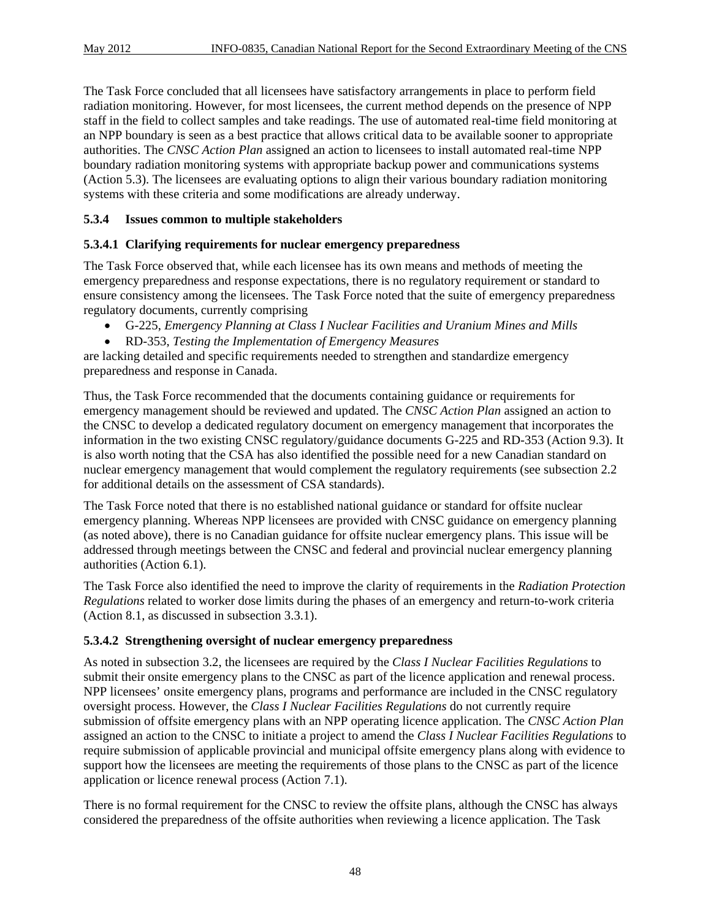The Task Force concluded that all licensees have satisfactory arrangements in place to perform field radiation monitoring. However, for most licensees, the current method depends on the presence of NPP staff in the field to collect samples and take readings. The use of automated real-time field monitoring at an NPP boundary is seen as a best practice that allows critical data to be available sooner to appropriate authorities. The *CNSC Action Plan* assigned an action to licensees to install automated real-time NPP boundary radiation monitoring systems with appropriate backup power and communications systems (Action 5.3). The licensees are evaluating options to align their various boundary radiation monitoring systems with these criteria and some modifications are already underway.

## **5.3.4 Issues common to multiple stakeholders**

## **5.3.4.1 Clarifying requirements for nuclear emergency preparedness**

The Task Force observed that, while each licensee has its own means and methods of meeting the emergency preparedness and response expectations, there is no regulatory requirement or standard to ensure consistency among the licensees. The Task Force noted that the suite of emergency preparedness regulatory documents, currently comprising

- G-225, *Emergency Planning at Class I Nuclear Facilities and Uranium Mines and Mills*
- RD-353, *Testing the Implementation of Emergency Measures*

are lacking detailed and specific requirements needed to strengthen and standardize emergency preparedness and response in Canada.

Thus, the Task Force recommended that the documents containing guidance or requirements for emergency management should be reviewed and updated. The *CNSC Action Plan* assigned an action to the CNSC to develop a dedicated regulatory document on emergency management that incorporates the information in the two existing CNSC regulatory/guidance documents G-225 and RD-353 (Action 9.3). It is also worth noting that the CSA has also identified the possible need for a new Canadian standard on nuclear emergency management that would complement the regulatory requirements (see subsection 2.2 for additional details on the assessment of CSA standards).

The Task Force noted that there is no established national guidance or standard for offsite nuclear emergency planning. Whereas NPP licensees are provided with CNSC guidance on emergency planning (as noted above), there is no Canadian guidance for offsite nuclear emergency plans. This issue will be addressed through meetings between the CNSC and federal and provincial nuclear emergency planning authorities (Action 6.1).

The Task Force also identified the need to improve the clarity of requirements in the *Radiation Protection Regulations* related to worker dose limits during the phases of an emergency and return-to-work criteria (Action 8.1, as discussed in subsection 3.3.1).

#### **5.3.4.2 Strengthening oversight of nuclear emergency preparedness**

As noted in subsection 3.2, the licensees are required by the *Class I Nuclear Facilities Regulations* to submit their onsite emergency plans to the CNSC as part of the licence application and renewal process. NPP licensees' onsite emergency plans, programs and performance are included in the CNSC regulatory oversight process. However, the *Class I Nuclear Facilities Regulations* do not currently require submission of offsite emergency plans with an NPP operating licence application. The *CNSC Action Plan* assigned an action to the CNSC to initiate a project to amend the *Class I Nuclear Facilities Regulations* to require submission of applicable provincial and municipal offsite emergency plans along with evidence to support how the licensees are meeting the requirements of those plans to the CNSC as part of the licence application or licence renewal process (Action 7.1).

There is no formal requirement for the CNSC to review the offsite plans, although the CNSC has always considered the preparedness of the offsite authorities when reviewing a licence application. The Task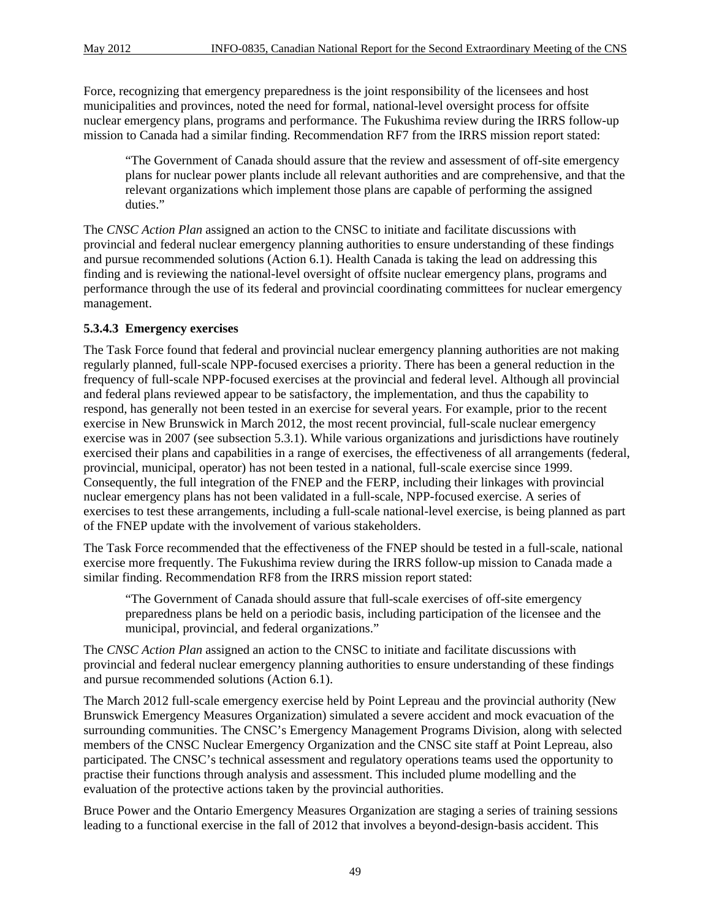Force, recognizing that emergency preparedness is the joint responsibility of the licensees and host municipalities and provinces, noted the need for formal, national-level oversight process for offsite nuclear emergency plans, programs and performance. The Fukushima review during the IRRS follow-up mission to Canada had a similar finding. Recommendation RF7 from the IRRS mission report stated:

"The Government of Canada should assure that the review and assessment of off-site emergency plans for nuclear power plants include all relevant authorities and are comprehensive, and that the relevant organizations which implement those plans are capable of performing the assigned duties."

The *CNSC Action Plan* assigned an action to the CNSC to initiate and facilitate discussions with provincial and federal nuclear emergency planning authorities to ensure understanding of these findings and pursue recommended solutions (Action 6.1). Health Canada is taking the lead on addressing this finding and is reviewing the national-level oversight of offsite nuclear emergency plans, programs and performance through the use of its federal and provincial coordinating committees for nuclear emergency management.

## **5.3.4.3 Emergency exercises**

The Task Force found that federal and provincial nuclear emergency planning authorities are not making regularly planned, full-scale NPP-focused exercises a priority. There has been a general reduction in the frequency of full-scale NPP-focused exercises at the provincial and federal level. Although all provincial and federal plans reviewed appear to be satisfactory, the implementation, and thus the capability to respond, has generally not been tested in an exercise for several years. For example, prior to the recent exercise in New Brunswick in March 2012, the most recent provincial, full-scale nuclear emergency exercise was in 2007 (see subsection 5.3.1). While various organizations and jurisdictions have routinely exercised their plans and capabilities in a range of exercises, the effectiveness of all arrangements (federal, provincial, municipal, operator) has not been tested in a national, full-scale exercise since 1999. Consequently, the full integration of the FNEP and the FERP, including their linkages with provincial nuclear emergency plans has not been validated in a full-scale, NPP-focused exercise. A series of exercises to test these arrangements, including a full-scale national-level exercise, is being planned as part of the FNEP update with the involvement of various stakeholders.

The Task Force recommended that the effectiveness of the FNEP should be tested in a full-scale, national exercise more frequently. The Fukushima review during the IRRS follow-up mission to Canada made a similar finding. Recommendation RF8 from the IRRS mission report stated:

"The Government of Canada should assure that full-scale exercises of off-site emergency preparedness plans be held on a periodic basis, including participation of the licensee and the municipal, provincial, and federal organizations."

The *CNSC Action Plan* assigned an action to the CNSC to initiate and facilitate discussions with provincial and federal nuclear emergency planning authorities to ensure understanding of these findings and pursue recommended solutions (Action 6.1).

The March 2012 full-scale emergency exercise held by Point Lepreau and the provincial authority (New Brunswick Emergency Measures Organization) simulated a severe accident and mock evacuation of the surrounding communities. The CNSC's Emergency Management Programs Division, along with selected members of the CNSC Nuclear Emergency Organization and the CNSC site staff at Point Lepreau, also participated. The CNSC's technical assessment and regulatory operations teams used the opportunity to practise their functions through analysis and assessment. This included plume modelling and the evaluation of the protective actions taken by the provincial authorities.

Bruce Power and the Ontario Emergency Measures Organization are staging a series of training sessions leading to a functional exercise in the fall of 2012 that involves a beyond-design-basis accident. This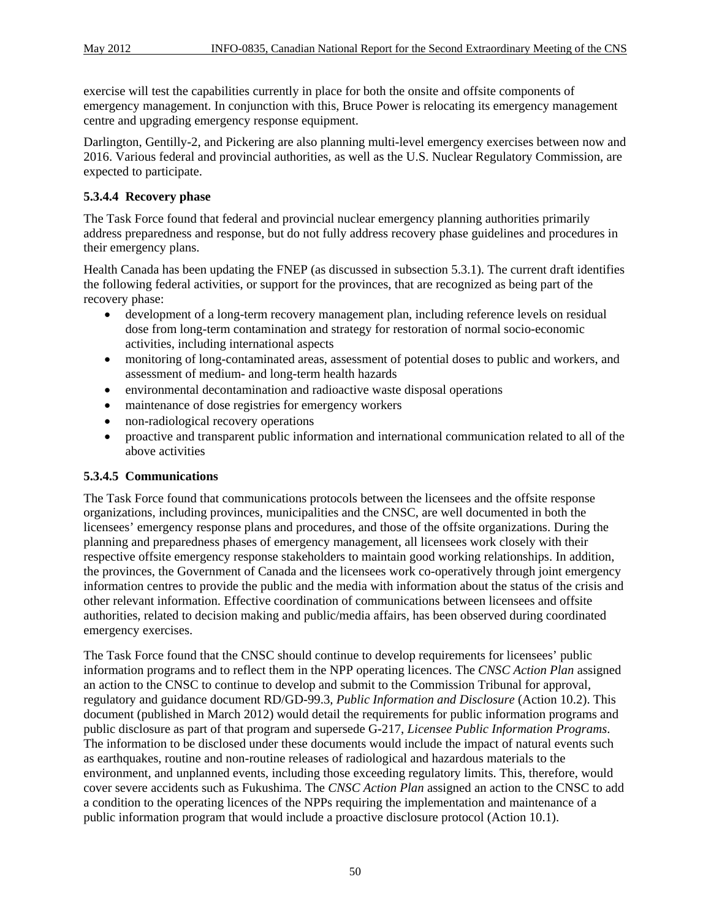exercise will test the capabilities currently in place for both the onsite and offsite components of emergency management. In conjunction with this, Bruce Power is relocating its emergency management centre and upgrading emergency response equipment.

Darlington, Gentilly-2, and Pickering are also planning multi-level emergency exercises between now and 2016. Various federal and provincial authorities, as well as the U.S. Nuclear Regulatory Commission, are expected to participate.

#### **5.3.4.4 Recovery phase**

The Task Force found that federal and provincial nuclear emergency planning authorities primarily address preparedness and response, but do not fully address recovery phase guidelines and procedures in their emergency plans.

Health Canada has been updating the FNEP (as discussed in subsection 5.3.1). The current draft identifies the following federal activities, or support for the provinces, that are recognized as being part of the recovery phase:

- development of a long-term recovery management plan, including reference levels on residual dose from long-term contamination and strategy for restoration of normal socio-economic activities, including international aspects
- monitoring of long-contaminated areas, assessment of potential doses to public and workers, and assessment of medium- and long-term health hazards
- environmental decontamination and radioactive waste disposal operations
- maintenance of dose registries for emergency workers
- non-radiological recovery operations
- proactive and transparent public information and international communication related to all of the above activities

#### **5.3.4.5 Communications**

The Task Force found that communications protocols between the licensees and the offsite response organizations, including provinces, municipalities and the CNSC, are well documented in both the licensees' emergency response plans and procedures, and those of the offsite organizations. During the planning and preparedness phases of emergency management, all licensees work closely with their respective offsite emergency response stakeholders to maintain good working relationships. In addition, the provinces, the Government of Canada and the licensees work co-operatively through joint emergency information centres to provide the public and the media with information about the status of the crisis and other relevant information. Effective coordination of communications between licensees and offsite authorities, related to decision making and public/media affairs, has been observed during coordinated emergency exercises.

The Task Force found that the CNSC should continue to develop requirements for licensees' public information programs and to reflect them in the NPP operating licences. The *CNSC Action Plan* assigned an action to the CNSC to continue to develop and submit to the Commission Tribunal for approval, regulatory and guidance document RD/GD-99.3*, Public Information and Disclosure* (Action 10.2). This document (published in March 2012) would detail the requirements for public information programs and public disclosure as part of that program and supersede G-217, *Licensee Public Information Programs*. The information to be disclosed under these documents would include the impact of natural events such as earthquakes, routine and non-routine releases of radiological and hazardous materials to the environment, and unplanned events, including those exceeding regulatory limits. This, therefore, would cover severe accidents such as Fukushima. The *CNSC Action Plan* assigned an action to the CNSC to add a condition to the operating licences of the NPPs requiring the implementation and maintenance of a public information program that would include a proactive disclosure protocol (Action 10.1).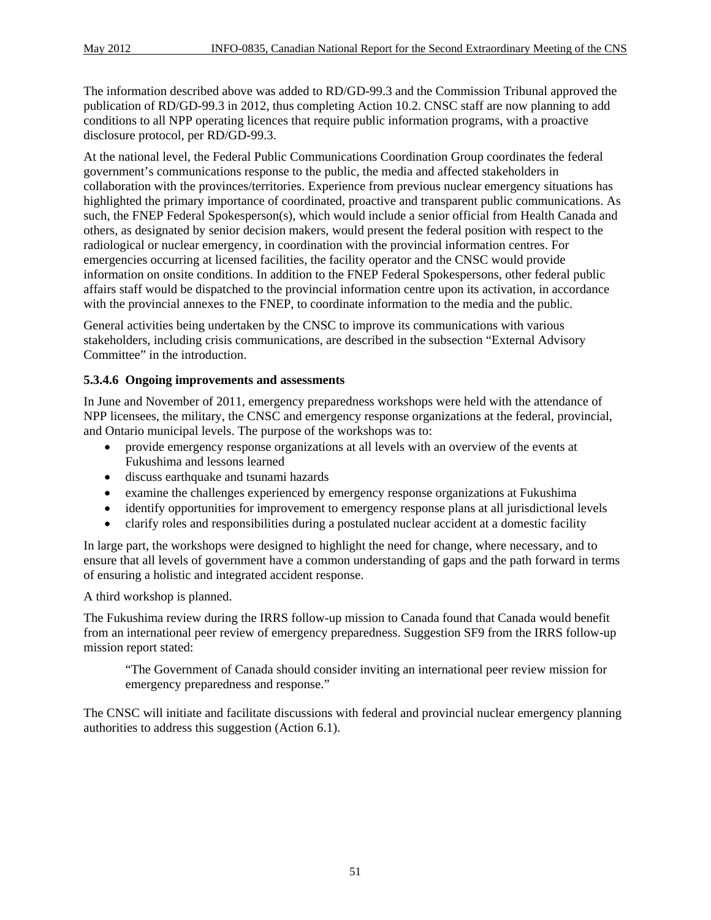The information described above was added to RD/GD-99.3 and the Commission Tribunal approved the publication of RD/GD-99.3 in 2012, thus completing Action 10.2. CNSC staff are now planning to add conditions to all NPP operating licences that require public information programs, with a proactive disclosure protocol, per RD/GD-99.3.

At the national level, the Federal Public Communications Coordination Group coordinates the federal government's communications response to the public, the media and affected stakeholders in collaboration with the provinces/territories. Experience from previous nuclear emergency situations has highlighted the primary importance of coordinated, proactive and transparent public communications. As such, the FNEP Federal Spokesperson(s), which would include a senior official from Health Canada and others, as designated by senior decision makers, would present the federal position with respect to the radiological or nuclear emergency, in coordination with the provincial information centres. For emergencies occurring at licensed facilities, the facility operator and the CNSC would provide information on onsite conditions. In addition to the FNEP Federal Spokespersons, other federal public affairs staff would be dispatched to the provincial information centre upon its activation, in accordance with the provincial annexes to the FNEP, to coordinate information to the media and the public.

General activities being undertaken by the CNSC to improve its communications with various stakeholders, including crisis communications, are described in the subsection "External Advisory Committee" in the introduction.

#### **5.3.4.6 Ongoing improvements and assessments**

In June and November of 2011, emergency preparedness workshops were held with the attendance of NPP licensees, the military, the CNSC and emergency response organizations at the federal, provincial, and Ontario municipal levels. The purpose of the workshops was to:

- provide emergency response organizations at all levels with an overview of the events at Fukushima and lessons learned
- discuss earthquake and tsunami hazards
- examine the challenges experienced by emergency response organizations at Fukushima
- identify opportunities for improvement to emergency response plans at all jurisdictional levels
- clarify roles and responsibilities during a postulated nuclear accident at a domestic facility

In large part, the workshops were designed to highlight the need for change, where necessary, and to ensure that all levels of government have a common understanding of gaps and the path forward in terms of ensuring a holistic and integrated accident response.

A third workshop is planned.

The Fukushima review during the IRRS follow-up mission to Canada found that Canada would benefit from an international peer review of emergency preparedness. Suggestion SF9 from the IRRS follow-up mission report stated:

"The Government of Canada should consider inviting an international peer review mission for emergency preparedness and response."

The CNSC will initiate and facilitate discussions with federal and provincial nuclear emergency planning authorities to address this suggestion (Action 6.1).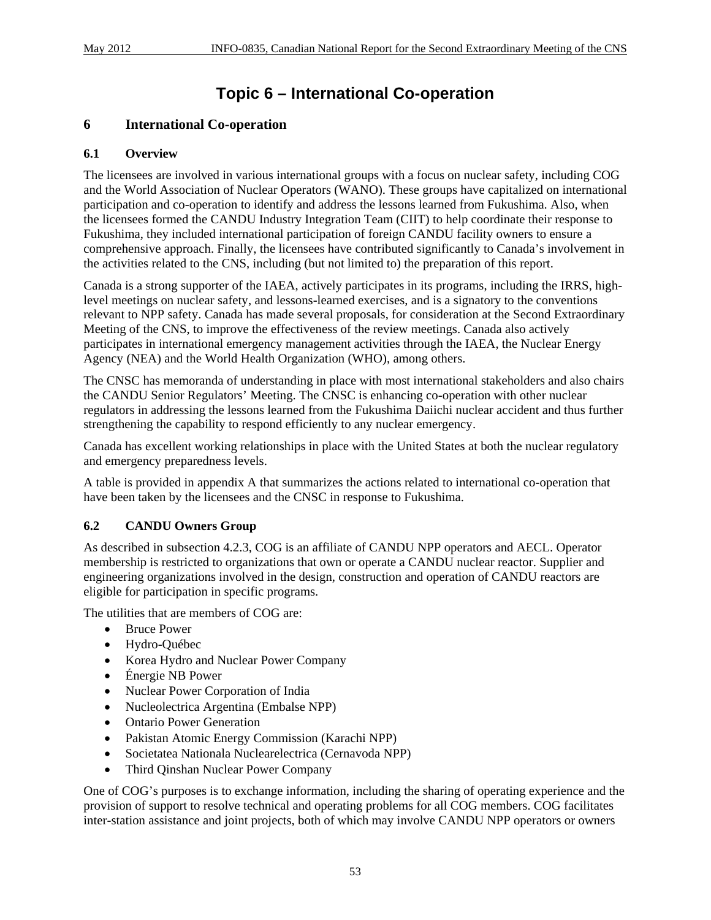## **Topic 6 – International Co-operation**

## **6 International Co-operation**

#### **6.1 Overview**

The licensees are involved in various international groups with a focus on nuclear safety, including COG and the World Association of Nuclear Operators (WANO). These groups have capitalized on international participation and co-operation to identify and address the lessons learned from Fukushima. Also, when the licensees formed the CANDU Industry Integration Team (CIIT) to help coordinate their response to Fukushima, they included international participation of foreign CANDU facility owners to ensure a comprehensive approach. Finally, the licensees have contributed significantly to Canada's involvement in the activities related to the CNS, including (but not limited to) the preparation of this report.

Canada is a strong supporter of the IAEA, actively participates in its programs, including the IRRS, highlevel meetings on nuclear safety, and lessons-learned exercises, and is a signatory to the conventions relevant to NPP safety. Canada has made several proposals, for consideration at the Second Extraordinary Meeting of the CNS, to improve the effectiveness of the review meetings. Canada also actively participates in international emergency management activities through the IAEA, the Nuclear Energy Agency (NEA) and the World Health Organization (WHO), among others.

The CNSC has memoranda of understanding in place with most international stakeholders and also chairs the CANDU Senior Regulators' Meeting. The CNSC is enhancing co-operation with other nuclear regulators in addressing the lessons learned from the Fukushima Daiichi nuclear accident and thus further strengthening the capability to respond efficiently to any nuclear emergency.

Canada has excellent working relationships in place with the United States at both the nuclear regulatory and emergency preparedness levels.

A table is provided in appendix A that summarizes the actions related to international co-operation that have been taken by the licensees and the CNSC in response to Fukushima.

#### **6.2 CANDU Owners Group**

As described in subsection 4.2.3, COG is an affiliate of CANDU NPP operators and AECL. Operator membership is restricted to organizations that own or operate a CANDU nuclear reactor. Supplier and engineering organizations involved in the design, construction and operation of CANDU reactors are eligible for participation in specific programs.

The utilities that are members of COG are:

- Bruce Power
- Hydro-Québec
- Korea Hydro and Nuclear Power Company
- Énergie NB Power
- Nuclear Power Corporation of India
- Nucleolectrica Argentina (Embalse NPP)
- Ontario Power Generation
- Pakistan Atomic Energy Commission (Karachi NPP)
- Societatea Nationala Nuclearelectrica (Cernavoda NPP)
- Third Qinshan Nuclear Power Company

One of COG's purposes is to exchange information, including the sharing of operating experience and the provision of support to resolve technical and operating problems for all COG members. COG facilitates inter-station assistance and joint projects, both of which may involve CANDU NPP operators or owners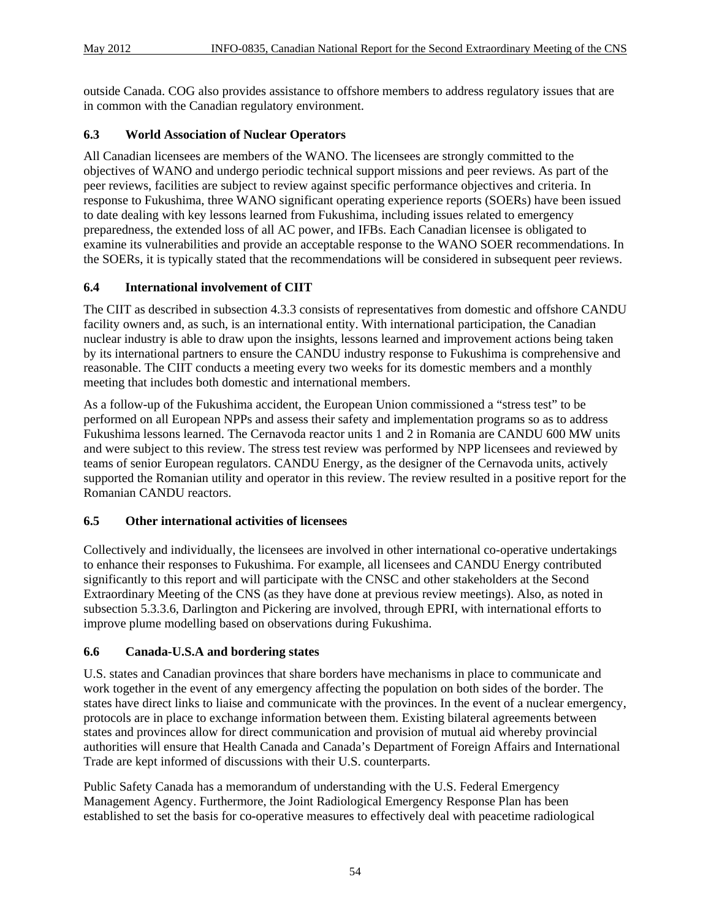outside Canada. COG also provides assistance to offshore members to address regulatory issues that are in common with the Canadian regulatory environment.

## **6.3 World Association of Nuclear Operators**

All Canadian licensees are members of the WANO. The licensees are strongly committed to the objectives of WANO and undergo periodic technical support missions and peer reviews. As part of the peer reviews, facilities are subject to review against specific performance objectives and criteria. In response to Fukushima, three WANO significant operating experience reports (SOERs) have been issued to date dealing with key lessons learned from Fukushima, including issues related to emergency preparedness, the extended loss of all AC power, and IFBs. Each Canadian licensee is obligated to examine its vulnerabilities and provide an acceptable response to the WANO SOER recommendations. In the SOERs, it is typically stated that the recommendations will be considered in subsequent peer reviews.

## **6.4 International involvement of CIIT**

The CIIT as described in subsection 4.3.3 consists of representatives from domestic and offshore CANDU facility owners and, as such, is an international entity. With international participation, the Canadian nuclear industry is able to draw upon the insights, lessons learned and improvement actions being taken by its international partners to ensure the CANDU industry response to Fukushima is comprehensive and reasonable. The CIIT conducts a meeting every two weeks for its domestic members and a monthly meeting that includes both domestic and international members.

As a follow-up of the Fukushima accident, the European Union commissioned a "stress test" to be performed on all European NPPs and assess their safety and implementation programs so as to address Fukushima lessons learned. The Cernavoda reactor units 1 and 2 in Romania are CANDU 600 MW units and were subject to this review. The stress test review was performed by NPP licensees and reviewed by teams of senior European regulators. CANDU Energy, as the designer of the Cernavoda units, actively supported the Romanian utility and operator in this review. The review resulted in a positive report for the Romanian CANDU reactors.

## **6.5 Other international activities of licensees**

Collectively and individually, the licensees are involved in other international co-operative undertakings to enhance their responses to Fukushima. For example, all licensees and CANDU Energy contributed significantly to this report and will participate with the CNSC and other stakeholders at the Second Extraordinary Meeting of the CNS (as they have done at previous review meetings). Also, as noted in subsection 5.3.3.6, Darlington and Pickering are involved, through EPRI, with international efforts to improve plume modelling based on observations during Fukushima.

## **6.6 Canada-U.S.A and bordering states**

U.S. states and Canadian provinces that share borders have mechanisms in place to communicate and work together in the event of any emergency affecting the population on both sides of the border. The states have direct links to liaise and communicate with the provinces. In the event of a nuclear emergency, protocols are in place to exchange information between them. Existing bilateral agreements between states and provinces allow for direct communication and provision of mutual aid whereby provincial authorities will ensure that Health Canada and Canada's Department of Foreign Affairs and International Trade are kept informed of discussions with their U.S. counterparts.

Public Safety Canada has a memorandum of understanding with the U.S. Federal Emergency Management Agency. Furthermore, the Joint Radiological Emergency Response Plan has been established to set the basis for co-operative measures to effectively deal with peacetime radiological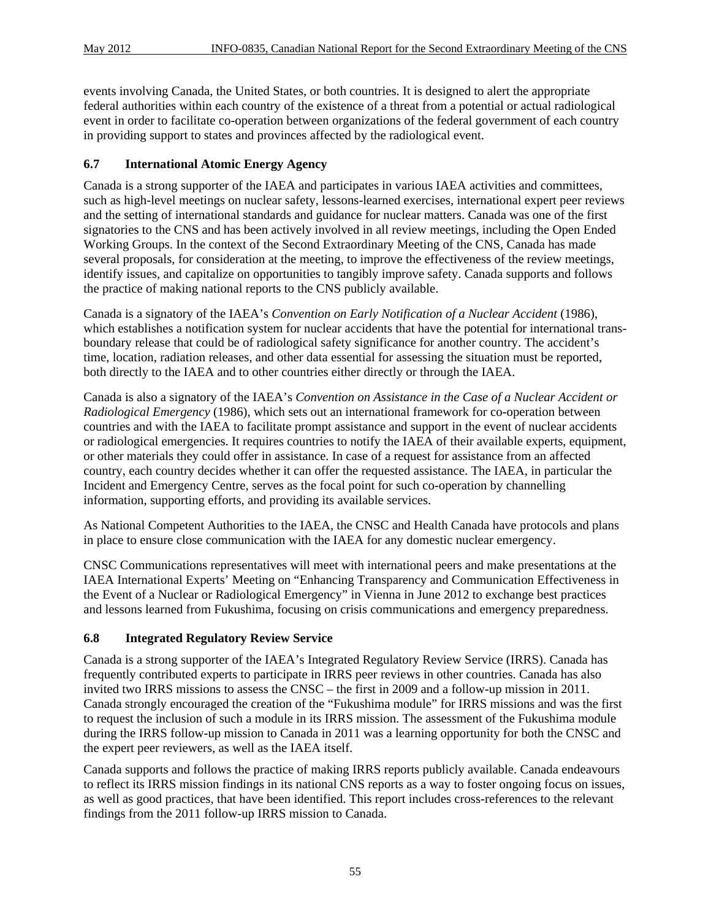events involving Canada, the United States, or both countries. It is designed to alert the appropriate federal authorities within each country of the existence of a threat from a potential or actual radiological event in order to facilitate co-operation between organizations of the federal government of each country in providing support to states and provinces affected by the radiological event.

#### **6.7 International Atomic Energy Agency**

Canada is a strong supporter of the IAEA and participates in various IAEA activities and committees, such as high-level meetings on nuclear safety, lessons-learned exercises, international expert peer reviews and the setting of international standards and guidance for nuclear matters. Canada was one of the first signatories to the CNS and has been actively involved in all review meetings, including the Open Ended Working Groups. In the context of the Second Extraordinary Meeting of the CNS, Canada has made several proposals, for consideration at the meeting, to improve the effectiveness of the review meetings, identify issues, and capitalize on opportunities to tangibly improve safety. Canada supports and follows the practice of making national reports to the CNS publicly available.

Canada is a signatory of the IAEA's *Convention on Early Notification of a Nuclear Accident* (1986), which establishes a notification system for nuclear accidents that have the potential for international transboundary release that could be of radiological safety significance for another country. The accident's time, location, radiation releases, and other data essential for assessing the situation must be reported, both directly to the IAEA and to other countries either directly or through the IAEA.

Canada is also a signatory of the IAEA's *Convention on Assistance in the Case of a Nuclear Accident or Radiological Emergency* (1986), which sets out an international framework for co-operation between countries and with the IAEA to facilitate prompt assistance and support in the event of nuclear accidents or radiological emergencies. It requires countries to notify the IAEA of their available experts, equipment, or other materials they could offer in assistance. In case of a request for assistance from an affected country, each country decides whether it can offer the requested assistance. The IAEA, in particular the Incident and Emergency Centre, serves as the focal point for such co-operation by channelling information, supporting efforts, and providing its available services.

As National Competent Authorities to the IAEA, the CNSC and Health Canada have protocols and plans in place to ensure close communication with the IAEA for any domestic nuclear emergency.

CNSC Communications representatives will meet with international peers and make presentations at the IAEA International Experts' Meeting on "Enhancing Transparency and Communication Effectiveness in the Event of a Nuclear or Radiological Emergency" in Vienna in June 2012 to exchange best practices and lessons learned from Fukushima, focusing on crisis communications and emergency preparedness.

#### **6.8 Integrated Regulatory Review Service**

Canada is a strong supporter of the IAEA's Integrated Regulatory Review Service (IRRS). Canada has frequently contributed experts to participate in IRRS peer reviews in other countries. Canada has also invited two IRRS missions to assess the CNSC – the first in 2009 and a follow-up mission in 2011. Canada strongly encouraged the creation of the "Fukushima module" for IRRS missions and was the first to request the inclusion of such a module in its IRRS mission. The assessment of the Fukushima module during the IRRS follow-up mission to Canada in 2011 was a learning opportunity for both the CNSC and the expert peer reviewers, as well as the IAEA itself.

Canada supports and follows the practice of making IRRS reports publicly available. Canada endeavours to reflect its IRRS mission findings in its national CNS reports as a way to foster ongoing focus on issues, as well as good practices, that have been identified. This report includes cross-references to the relevant findings from the 2011 follow-up IRRS mission to Canada.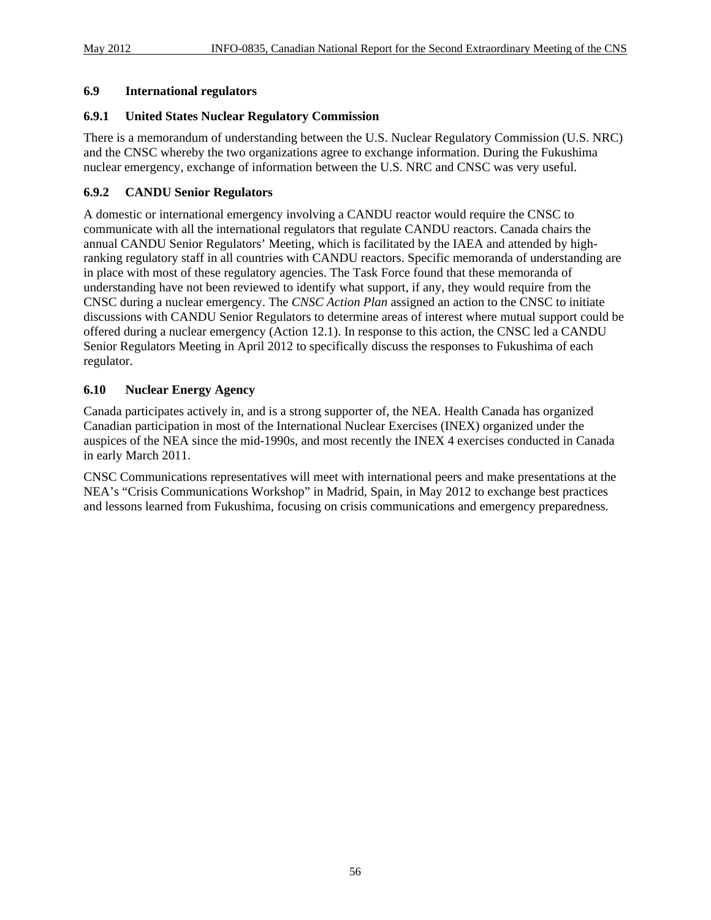#### **6.9 International regulators**

#### **6.9.1 United States Nuclear Regulatory Commission**

There is a memorandum of understanding between the U.S. Nuclear Regulatory Commission (U.S. NRC) and the CNSC whereby the two organizations agree to exchange information. During the Fukushima nuclear emergency, exchange of information between the U.S. NRC and CNSC was very useful.

#### **6.9.2 CANDU Senior Regulators**

A domestic or international emergency involving a CANDU reactor would require the CNSC to communicate with all the international regulators that regulate CANDU reactors. Canada chairs the annual CANDU Senior Regulators' Meeting, which is facilitated by the IAEA and attended by highranking regulatory staff in all countries with CANDU reactors. Specific memoranda of understanding are in place with most of these regulatory agencies. The Task Force found that these memoranda of understanding have not been reviewed to identify what support, if any, they would require from the CNSC during a nuclear emergency. The *CNSC Action Plan* assigned an action to the CNSC to initiate discussions with CANDU Senior Regulators to determine areas of interest where mutual support could be offered during a nuclear emergency (Action 12.1). In response to this action, the CNSC led a CANDU Senior Regulators Meeting in April 2012 to specifically discuss the responses to Fukushima of each regulator.

#### **6.10 Nuclear Energy Agency**

Canada participates actively in, and is a strong supporter of, the NEA. Health Canada has organized Canadian participation in most of the International Nuclear Exercises (INEX) organized under the auspices of the NEA since the mid-1990s, and most recently the INEX 4 exercises conducted in Canada in early March 2011.

CNSC Communications representatives will meet with international peers and make presentations at the NEA's "Crisis Communications Workshop" in Madrid, Spain, in May 2012 to exchange best practices and lessons learned from Fukushima, focusing on crisis communications and emergency preparedness.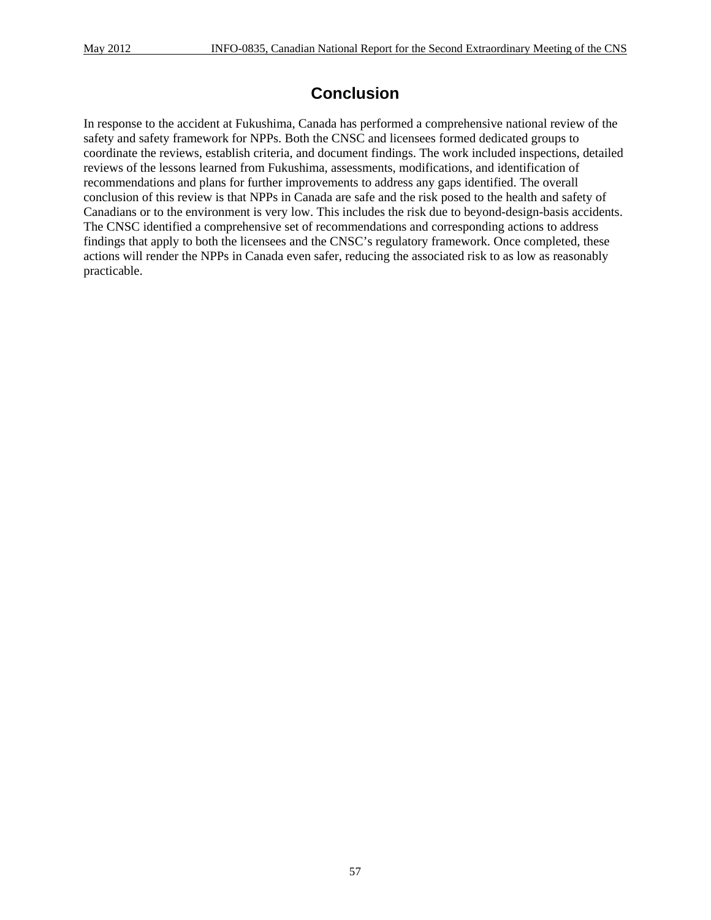## **Conclusion**

In response to the accident at Fukushima, Canada has performed a comprehensive national review of the safety and safety framework for NPPs. Both the CNSC and licensees formed dedicated groups to coordinate the reviews, establish criteria, and document findings. The work included inspections, detailed reviews of the lessons learned from Fukushima, assessments, modifications, and identification of recommendations and plans for further improvements to address any gaps identified. The overall conclusion of this review is that NPPs in Canada are safe and the risk posed to the health and safety of Canadians or to the environment is very low. This includes the risk due to beyond-design-basis accidents. The CNSC identified a comprehensive set of recommendations and corresponding actions to address findings that apply to both the licensees and the CNSC's regulatory framework. Once completed, these actions will render the NPPs in Canada even safer, reducing the associated risk to as low as reasonably practicable.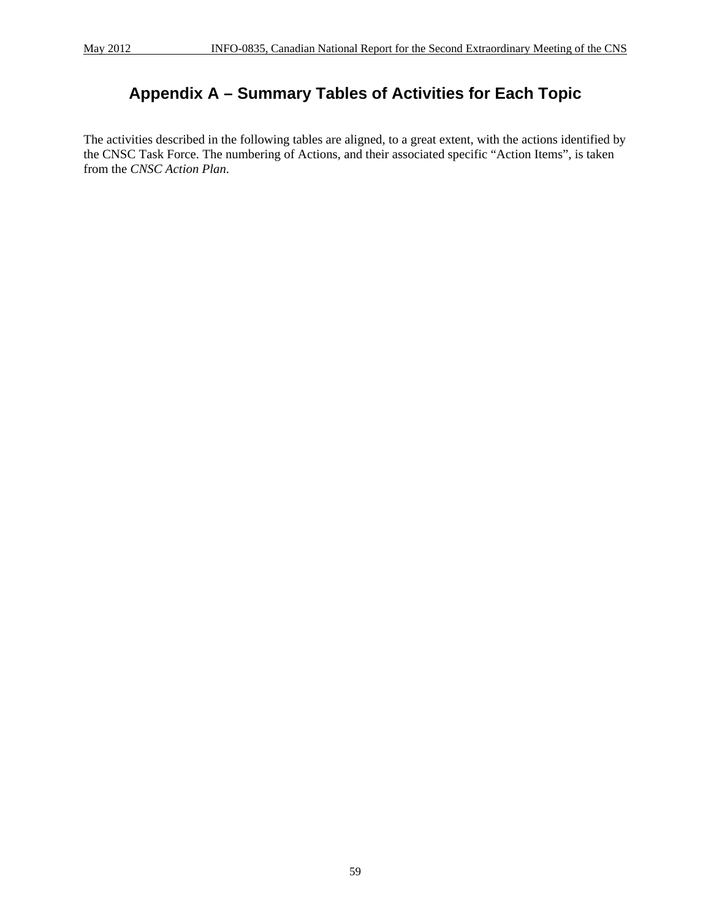# **Appendix A – Summary Tables of Activities for Each Topic**

The activities described in the following tables are aligned, to a great extent, with the actions identified by the CNSC Task Force. The numbering of Actions, and their associated specific "Action Items", is taken from the *CNSC Action Plan*.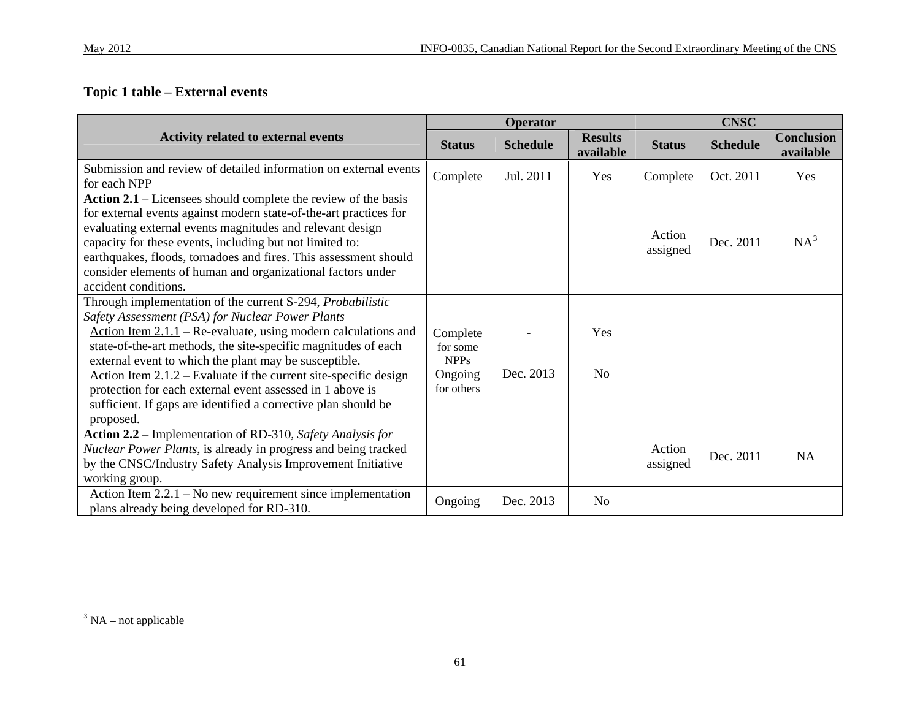## **Topic 1 table – External events**

|                                                                                                                                                                                                                                                                                                                                                                                                                                                                                                                                 |                                                              | Operator        |                             |                    | <b>CNSC</b>     |                                |
|---------------------------------------------------------------------------------------------------------------------------------------------------------------------------------------------------------------------------------------------------------------------------------------------------------------------------------------------------------------------------------------------------------------------------------------------------------------------------------------------------------------------------------|--------------------------------------------------------------|-----------------|-----------------------------|--------------------|-----------------|--------------------------------|
| <b>Activity related to external events</b>                                                                                                                                                                                                                                                                                                                                                                                                                                                                                      | <b>Status</b>                                                | <b>Schedule</b> | <b>Results</b><br>available | <b>Status</b>      | <b>Schedule</b> | <b>Conclusion</b><br>available |
| Submission and review of detailed information on external events<br>for each NPP                                                                                                                                                                                                                                                                                                                                                                                                                                                | Complete                                                     | Jul. 2011       | Yes                         | Complete           | Oct. 2011       | Yes                            |
| Action 2.1 – Licensees should complete the review of the basis<br>for external events against modern state-of-the-art practices for<br>evaluating external events magnitudes and relevant design<br>capacity for these events, including but not limited to:<br>earthquakes, floods, tornadoes and fires. This assessment should<br>consider elements of human and organizational factors under<br>accident conditions.                                                                                                         |                                                              |                 |                             | Action<br>assigned | Dec. 2011       | $NA^3$                         |
| Through implementation of the current S-294, Probabilistic<br>Safety Assessment (PSA) for Nuclear Power Plants<br>Action Item $2.1.1$ – Re-evaluate, using modern calculations and<br>state-of-the-art methods, the site-specific magnitudes of each<br>external event to which the plant may be susceptible.<br>Action Item $2.1.2$ – Evaluate if the current site-specific design<br>protection for each external event assessed in 1 above is<br>sufficient. If gaps are identified a corrective plan should be<br>proposed. | Complete<br>for some<br><b>NPPs</b><br>Ongoing<br>for others | Dec. 2013       | Yes<br>N <sub>o</sub>       |                    |                 |                                |
| Action 2.2 – Implementation of RD-310, Safety Analysis for<br>Nuclear Power Plants, is already in progress and being tracked<br>by the CNSC/Industry Safety Analysis Improvement Initiative<br>working group.                                                                                                                                                                                                                                                                                                                   |                                                              |                 |                             | Action<br>assigned | Dec. 2011       | <b>NA</b>                      |
| Action Item $2.2.1$ – No new requirement since implementation<br>plans already being developed for RD-310.                                                                                                                                                                                                                                                                                                                                                                                                                      | Ongoing                                                      | Dec. 2013       | <b>No</b>                   |                    |                 |                                |

<span id="page-72-0"></span> $3$  NA – not applicable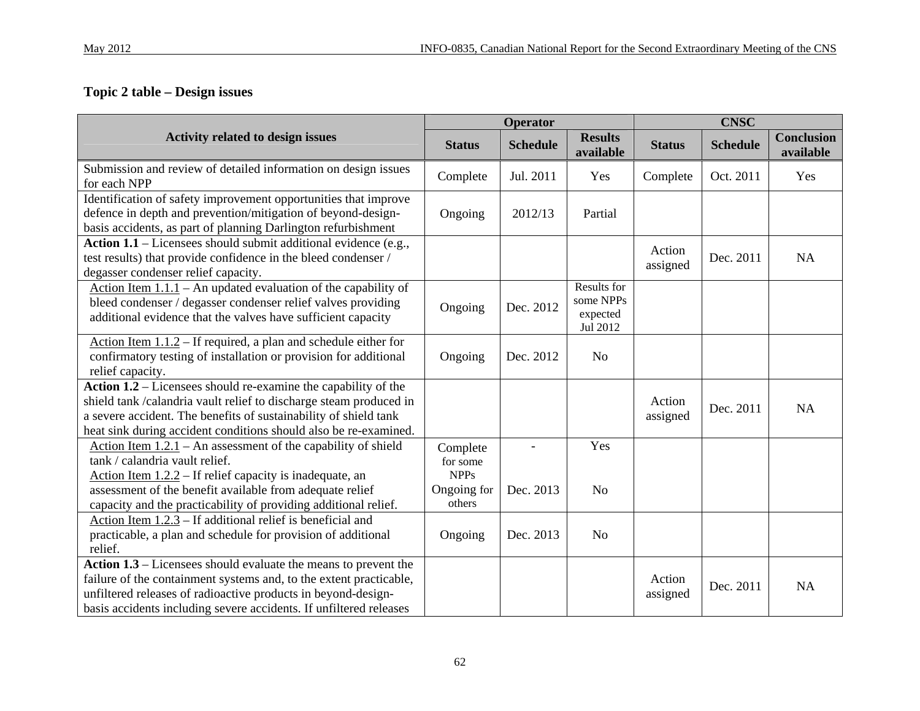# **Topic 2 table – Design issues**

|                                                                                                                                                                                                                                                                                |                                     | Operator                 |                                                  |                    | <b>CNSC</b>     |                                |
|--------------------------------------------------------------------------------------------------------------------------------------------------------------------------------------------------------------------------------------------------------------------------------|-------------------------------------|--------------------------|--------------------------------------------------|--------------------|-----------------|--------------------------------|
| <b>Activity related to design issues</b>                                                                                                                                                                                                                                       | <b>Status</b>                       | <b>Schedule</b>          | <b>Results</b><br>available                      | <b>Status</b>      | <b>Schedule</b> | <b>Conclusion</b><br>available |
| Submission and review of detailed information on design issues<br>for each NPP                                                                                                                                                                                                 | Complete                            | Jul. 2011                | Yes                                              | Complete           | Oct. 2011       | Yes                            |
| Identification of safety improvement opportunities that improve<br>defence in depth and prevention/mitigation of beyond-design-<br>basis accidents, as part of planning Darlington refurbishment                                                                               | Ongoing                             | 2012/13                  | Partial                                          |                    |                 |                                |
| Action $1.1$ – Licensees should submit additional evidence (e.g.,<br>test results) that provide confidence in the bleed condenser /<br>degasser condenser relief capacity.                                                                                                     |                                     |                          |                                                  | Action<br>assigned | Dec. 2011       | NA                             |
| Action Item $1.1.1$ – An updated evaluation of the capability of<br>bleed condenser / degasser condenser relief valves providing<br>additional evidence that the valves have sufficient capacity                                                                               | Ongoing                             | Dec. 2012                | Results for<br>some NPPs<br>expected<br>Jul 2012 |                    |                 |                                |
| Action Item $1.1.2$ – If required, a plan and schedule either for<br>confirmatory testing of installation or provision for additional<br>relief capacity.                                                                                                                      | Ongoing                             | Dec. 2012                | N <sub>o</sub>                                   |                    |                 |                                |
| Action $1.2$ – Licensees should re-examine the capability of the<br>shield tank /calandria vault relief to discharge steam produced in<br>a severe accident. The benefits of sustainability of shield tank<br>heat sink during accident conditions should also be re-examined. |                                     |                          |                                                  | Action<br>assigned | Dec. 2011       | NA                             |
| Action Item $1.2.1$ – An assessment of the capability of shield<br>tank / calandria vault relief.<br>Action Item $1.2.2$ – If relief capacity is inadequate, an                                                                                                                | Complete<br>for some<br><b>NPPs</b> | $\overline{\phantom{a}}$ | Yes                                              |                    |                 |                                |
| assessment of the benefit available from adequate relief<br>capacity and the practicability of providing additional relief.                                                                                                                                                    | Ongoing for<br>others               | Dec. 2013                | N <sub>o</sub>                                   |                    |                 |                                |
| Action Item $1.2.3$ – If additional relief is beneficial and<br>practicable, a plan and schedule for provision of additional<br>relief.                                                                                                                                        | Ongoing                             | Dec. 2013                | N <sub>o</sub>                                   |                    |                 |                                |
| Action $1.3$ – Licensees should evaluate the means to prevent the<br>failure of the containment systems and, to the extent practicable,<br>unfiltered releases of radioactive products in beyond-design-<br>basis accidents including severe accidents. If unfiltered releases |                                     |                          |                                                  | Action<br>assigned | Dec. 2011       | <b>NA</b>                      |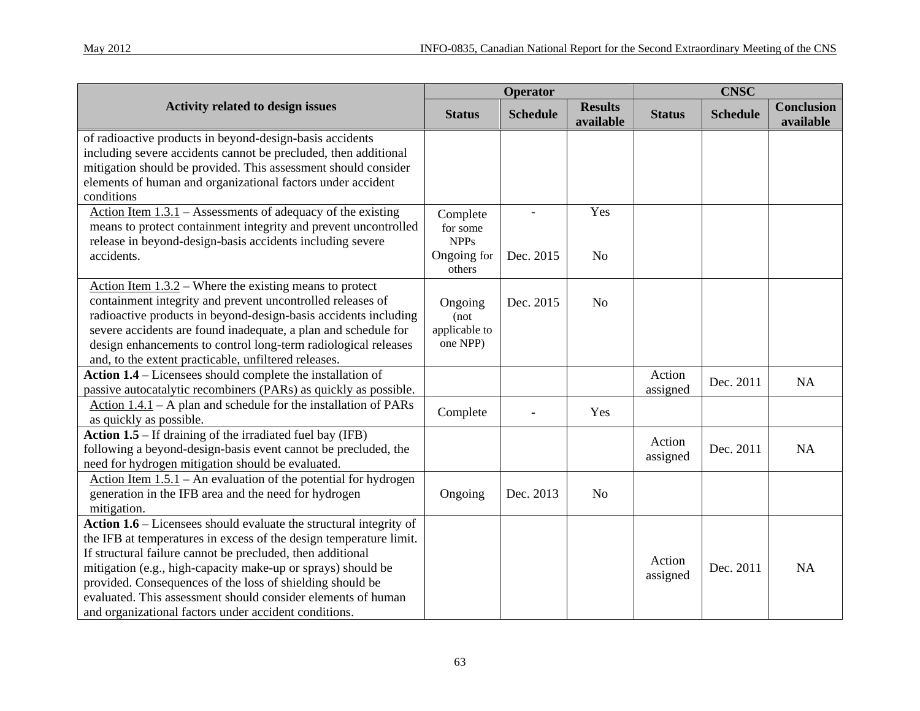|                                                                                                                                                                                                                                                                                                                                                                                                                                                              |                                                              | <b>Operator</b> |                             |                    | <b>CNSC</b>     |                                |
|--------------------------------------------------------------------------------------------------------------------------------------------------------------------------------------------------------------------------------------------------------------------------------------------------------------------------------------------------------------------------------------------------------------------------------------------------------------|--------------------------------------------------------------|-----------------|-----------------------------|--------------------|-----------------|--------------------------------|
| <b>Activity related to design issues</b>                                                                                                                                                                                                                                                                                                                                                                                                                     | <b>Status</b>                                                | <b>Schedule</b> | <b>Results</b><br>available | <b>Status</b>      | <b>Schedule</b> | <b>Conclusion</b><br>available |
| of radioactive products in beyond-design-basis accidents<br>including severe accidents cannot be precluded, then additional<br>mitigation should be provided. This assessment should consider<br>elements of human and organizational factors under accident<br>conditions                                                                                                                                                                                   |                                                              |                 |                             |                    |                 |                                |
| Action Item $1.3.1$ – Assessments of adequacy of the existing<br>means to protect containment integrity and prevent uncontrolled<br>release in beyond-design-basis accidents including severe<br>accidents.                                                                                                                                                                                                                                                  | Complete<br>for some<br><b>NPPs</b><br>Ongoing for<br>others | Dec. 2015       | Yes<br>N <sub>o</sub>       |                    |                 |                                |
| Action Item $1.3.2$ – Where the existing means to protect<br>containment integrity and prevent uncontrolled releases of<br>radioactive products in beyond-design-basis accidents including<br>severe accidents are found inadequate, a plan and schedule for<br>design enhancements to control long-term radiological releases<br>and, to the extent practicable, unfiltered releases.                                                                       | Ongoing<br>(not)<br>applicable to<br>one NPP)                | Dec. 2015       | No                          |                    |                 |                                |
| Action 1.4 – Licensees should complete the installation of<br>passive autocatalytic recombiners (PARs) as quickly as possible.                                                                                                                                                                                                                                                                                                                               |                                                              |                 |                             | Action<br>assigned | Dec. 2011       | <b>NA</b>                      |
| Action $1.4.1$ – A plan and schedule for the installation of PARs<br>as quickly as possible.                                                                                                                                                                                                                                                                                                                                                                 | Complete                                                     |                 | Yes                         |                    |                 |                                |
| Action $1.5$ – If draining of the irradiated fuel bay (IFB)<br>following a beyond-design-basis event cannot be precluded, the<br>need for hydrogen mitigation should be evaluated.                                                                                                                                                                                                                                                                           |                                                              |                 |                             | Action<br>assigned | Dec. 2011       | NA                             |
| Action Item $1.5.1$ – An evaluation of the potential for hydrogen<br>generation in the IFB area and the need for hydrogen<br>mitigation.                                                                                                                                                                                                                                                                                                                     | Ongoing                                                      | Dec. 2013       | N <sub>o</sub>              |                    |                 |                                |
| Action 1.6 – Licensees should evaluate the structural integrity of<br>the IFB at temperatures in excess of the design temperature limit.<br>If structural failure cannot be precluded, then additional<br>mitigation (e.g., high-capacity make-up or sprays) should be<br>provided. Consequences of the loss of shielding should be<br>evaluated. This assessment should consider elements of human<br>and organizational factors under accident conditions. |                                                              |                 |                             | Action<br>assigned | Dec. 2011       | <b>NA</b>                      |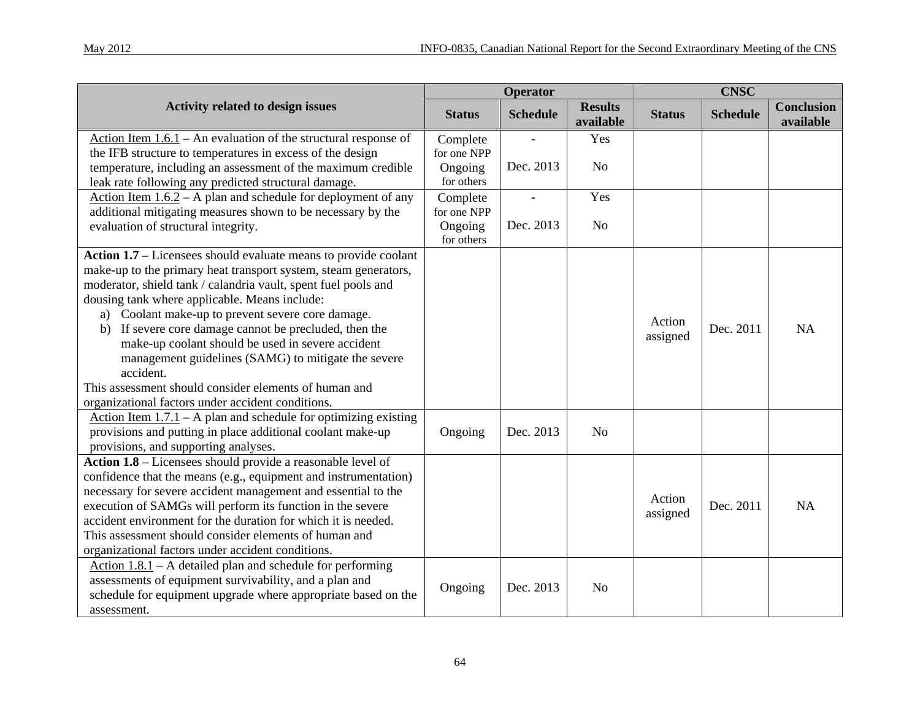|                                                                                                                                |                         | Operator                 |                             |               | <b>CNSC</b>     |                                |
|--------------------------------------------------------------------------------------------------------------------------------|-------------------------|--------------------------|-----------------------------|---------------|-----------------|--------------------------------|
| <b>Activity related to design issues</b>                                                                                       | <b>Status</b>           | <b>Schedule</b>          | <b>Results</b><br>available | <b>Status</b> | <b>Schedule</b> | <b>Conclusion</b><br>available |
| Action Item $1.6.1$ – An evaluation of the structural response of<br>the IFB structure to temperatures in excess of the design | Complete<br>for one NPP |                          | Yes                         |               |                 |                                |
| temperature, including an assessment of the maximum credible<br>leak rate following any predicted structural damage.           | Ongoing<br>for others   | Dec. 2013                | N <sub>0</sub>              |               |                 |                                |
| Action Item $1.6.2 - A$ plan and schedule for deployment of any<br>additional mitigating measures shown to be necessary by the | Complete<br>for one NPP | $\overline{\phantom{a}}$ | Yes                         |               |                 |                                |
| evaluation of structural integrity.                                                                                            | Ongoing<br>for others   | Dec. 2013                | N <sub>o</sub>              |               |                 |                                |
| Action 1.7 – Licensees should evaluate means to provide coolant                                                                |                         |                          |                             |               |                 |                                |
| make-up to the primary heat transport system, steam generators,                                                                |                         |                          |                             |               |                 |                                |
| moderator, shield tank / calandria vault, spent fuel pools and<br>dousing tank where applicable. Means include:                |                         |                          |                             |               |                 |                                |
| a) Coolant make-up to prevent severe core damage.                                                                              |                         |                          |                             |               |                 |                                |
| b) If severe core damage cannot be precluded, then the                                                                         |                         |                          |                             | Action        | Dec. 2011       | NA                             |
| make-up coolant should be used in severe accident                                                                              |                         |                          |                             | assigned      |                 |                                |
| management guidelines (SAMG) to mitigate the severe                                                                            |                         |                          |                             |               |                 |                                |
| accident.                                                                                                                      |                         |                          |                             |               |                 |                                |
| This assessment should consider elements of human and<br>organizational factors under accident conditions.                     |                         |                          |                             |               |                 |                                |
| Action Item $1.7.1 - A$ plan and schedule for optimizing existing                                                              |                         |                          |                             |               |                 |                                |
| provisions and putting in place additional coolant make-up                                                                     | Ongoing                 | Dec. 2013                | N <sub>o</sub>              |               |                 |                                |
| provisions, and supporting analyses.                                                                                           |                         |                          |                             |               |                 |                                |
| Action 1.8 – Licensees should provide a reasonable level of                                                                    |                         |                          |                             |               |                 |                                |
| confidence that the means (e.g., equipment and instrumentation)                                                                |                         |                          |                             |               |                 |                                |
| necessary for severe accident management and essential to the                                                                  |                         |                          |                             | Action        |                 |                                |
| execution of SAMGs will perform its function in the severe                                                                     |                         |                          |                             | assigned      | Dec. 2011       | NA                             |
| accident environment for the duration for which it is needed.                                                                  |                         |                          |                             |               |                 |                                |
| This assessment should consider elements of human and                                                                          |                         |                          |                             |               |                 |                                |
| organizational factors under accident conditions.                                                                              |                         |                          |                             |               |                 |                                |
| Action $1.8.1$ – A detailed plan and schedule for performing                                                                   |                         |                          |                             |               |                 |                                |
| assessments of equipment survivability, and a plan and<br>schedule for equipment upgrade where appropriate based on the        | Ongoing                 | Dec. 2013                | No                          |               |                 |                                |
| assessment.                                                                                                                    |                         |                          |                             |               |                 |                                |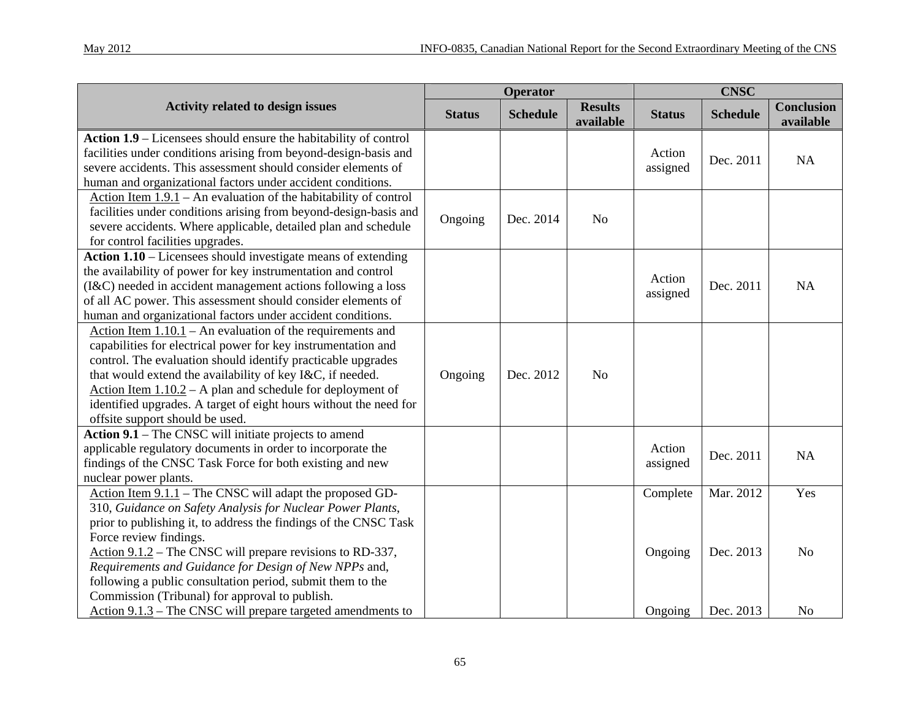|                                                                                                                                                                                                                                                                                                                                                                                                                                    |               | Operator        |                             |                    | <b>CNSC</b>     |                                |
|------------------------------------------------------------------------------------------------------------------------------------------------------------------------------------------------------------------------------------------------------------------------------------------------------------------------------------------------------------------------------------------------------------------------------------|---------------|-----------------|-----------------------------|--------------------|-----------------|--------------------------------|
| <b>Activity related to design issues</b>                                                                                                                                                                                                                                                                                                                                                                                           | <b>Status</b> | <b>Schedule</b> | <b>Results</b><br>available | <b>Status</b>      | <b>Schedule</b> | <b>Conclusion</b><br>available |
| Action 1.9 - Licensees should ensure the habitability of control<br>facilities under conditions arising from beyond-design-basis and<br>severe accidents. This assessment should consider elements of<br>human and organizational factors under accident conditions.                                                                                                                                                               |               |                 |                             | Action<br>assigned | Dec. 2011       | NA                             |
| Action Item $1.9.1$ – An evaluation of the habitability of control<br>facilities under conditions arising from beyond-design-basis and<br>severe accidents. Where applicable, detailed plan and schedule<br>for control facilities upgrades.                                                                                                                                                                                       | Ongoing       | Dec. 2014       | N <sub>o</sub>              |                    |                 |                                |
| Action 1.10 – Licensees should investigate means of extending<br>the availability of power for key instrumentation and control<br>(I&C) needed in accident management actions following a loss<br>of all AC power. This assessment should consider elements of<br>human and organizational factors under accident conditions.                                                                                                      |               |                 |                             | Action<br>assigned | Dec. 2011       | NA                             |
| Action Item $1.10.1$ – An evaluation of the requirements and<br>capabilities for electrical power for key instrumentation and<br>control. The evaluation should identify practicable upgrades<br>that would extend the availability of key I&C, if needed.<br>Action Item $1.10.2 - A$ plan and schedule for deployment of<br>identified upgrades. A target of eight hours without the need for<br>offsite support should be used. | Ongoing       | Dec. 2012       | N <sub>o</sub>              |                    |                 |                                |
| Action 9.1 – The CNSC will initiate projects to amend<br>applicable regulatory documents in order to incorporate the<br>findings of the CNSC Task Force for both existing and new<br>nuclear power plants.                                                                                                                                                                                                                         |               |                 |                             | Action<br>assigned | Dec. 2011       | NA                             |
| Action Item $9.1.1$ – The CNSC will adapt the proposed GD-<br>310, Guidance on Safety Analysis for Nuclear Power Plants,<br>prior to publishing it, to address the findings of the CNSC Task<br>Force review findings.                                                                                                                                                                                                             |               |                 |                             | Complete           | Mar. 2012       | Yes                            |
| Action $9.1.2$ – The CNSC will prepare revisions to RD-337,<br>Requirements and Guidance for Design of New NPPs and,<br>following a public consultation period, submit them to the<br>Commission (Tribunal) for approval to publish.                                                                                                                                                                                               |               |                 |                             | Ongoing            | Dec. 2013       | No                             |
| Action $9.1.3$ – The CNSC will prepare targeted amendments to                                                                                                                                                                                                                                                                                                                                                                      |               |                 |                             | Ongoing            | Dec. 2013       | N <sub>o</sub>                 |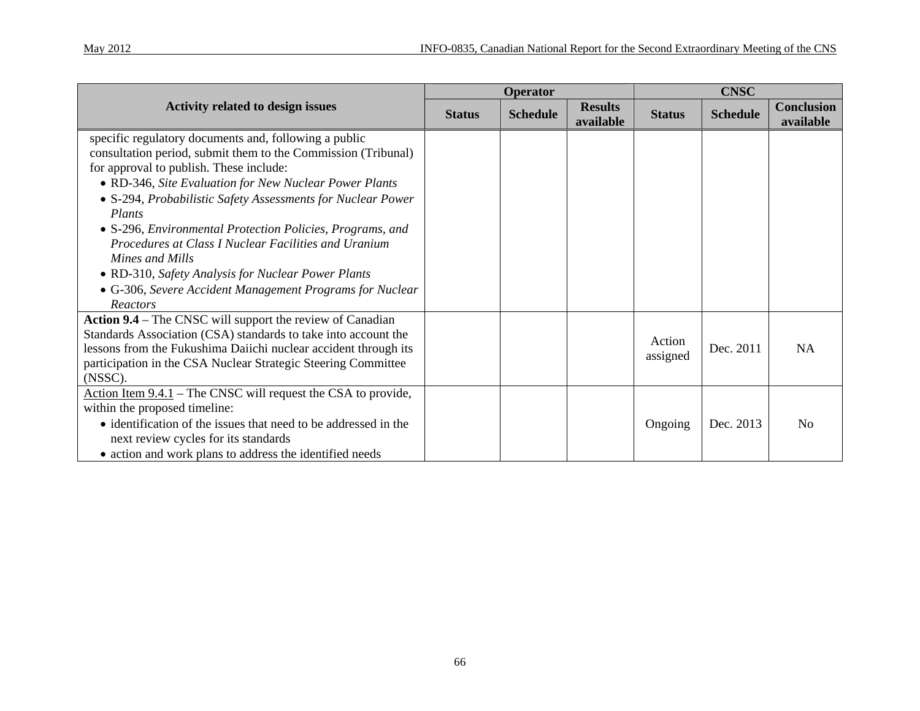|                                                                                                                                                                                                                                                                                                                                                                                                                                                                                                                                                                            |               | Operator        |                             |                    | <b>CNSC</b>     |                                |
|----------------------------------------------------------------------------------------------------------------------------------------------------------------------------------------------------------------------------------------------------------------------------------------------------------------------------------------------------------------------------------------------------------------------------------------------------------------------------------------------------------------------------------------------------------------------------|---------------|-----------------|-----------------------------|--------------------|-----------------|--------------------------------|
| <b>Activity related to design issues</b>                                                                                                                                                                                                                                                                                                                                                                                                                                                                                                                                   | <b>Status</b> | <b>Schedule</b> | <b>Results</b><br>available | <b>Status</b>      | <b>Schedule</b> | <b>Conclusion</b><br>available |
| specific regulatory documents and, following a public<br>consultation period, submit them to the Commission (Tribunal)<br>for approval to publish. These include:<br>• RD-346, Site Evaluation for New Nuclear Power Plants<br>• S-294, Probabilistic Safety Assessments for Nuclear Power<br>Plants<br>• S-296, Environmental Protection Policies, Programs, and<br>Procedures at Class I Nuclear Facilities and Uranium<br>Mines and Mills<br>• RD-310, Safety Analysis for Nuclear Power Plants<br>• G-306, Severe Accident Management Programs for Nuclear<br>Reactors |               |                 |                             |                    |                 |                                |
| <b>Action 9.4</b> – The CNSC will support the review of Canadian<br>Standards Association (CSA) standards to take into account the<br>lessons from the Fukushima Daiichi nuclear accident through its<br>participation in the CSA Nuclear Strategic Steering Committee<br>(NSSC).                                                                                                                                                                                                                                                                                          |               |                 |                             | Action<br>assigned | Dec. 2011       | <b>NA</b>                      |
| Action Item $9.4.1$ – The CNSC will request the CSA to provide,<br>within the proposed timeline:<br>• identification of the issues that need to be addressed in the<br>next review cycles for its standards<br>• action and work plans to address the identified needs                                                                                                                                                                                                                                                                                                     |               |                 |                             | Ongoing            | Dec. 2013       | N <sub>0</sub>                 |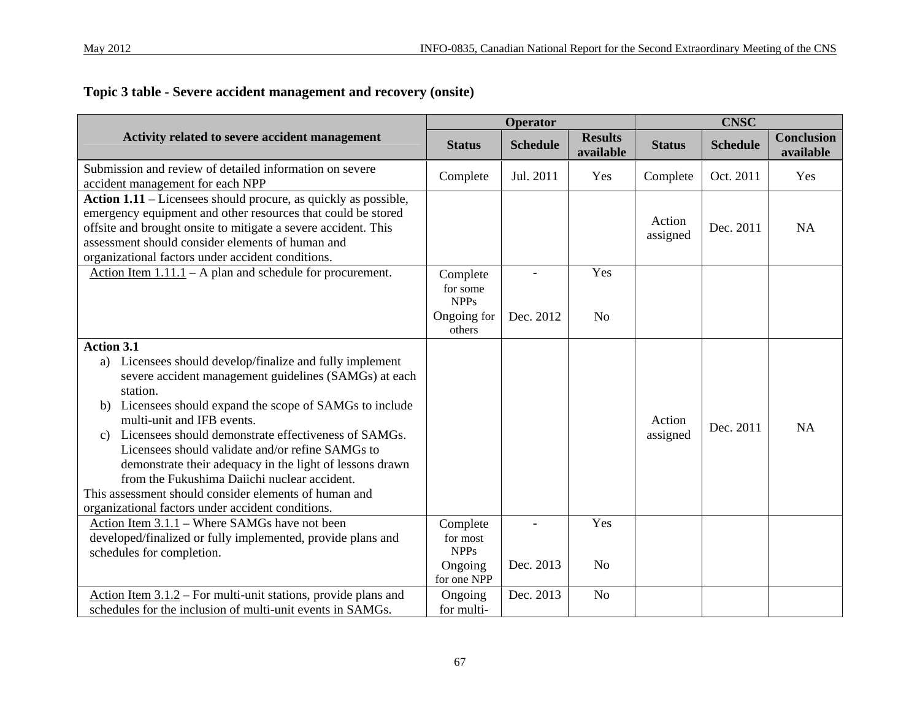## **Topic 3 table - Severe accident management and recovery (onsite)**

|                                                                                                                                                                                                                                                                                                                                                                                                                                                                                                                                                                                          |                                                               | <b>Operator</b> |                             |                    | <b>CNSC</b>     |                                |
|------------------------------------------------------------------------------------------------------------------------------------------------------------------------------------------------------------------------------------------------------------------------------------------------------------------------------------------------------------------------------------------------------------------------------------------------------------------------------------------------------------------------------------------------------------------------------------------|---------------------------------------------------------------|-----------------|-----------------------------|--------------------|-----------------|--------------------------------|
| Activity related to severe accident management                                                                                                                                                                                                                                                                                                                                                                                                                                                                                                                                           | <b>Status</b>                                                 | <b>Schedule</b> | <b>Results</b><br>available | <b>Status</b>      | <b>Schedule</b> | <b>Conclusion</b><br>available |
| Submission and review of detailed information on severe<br>accident management for each NPP                                                                                                                                                                                                                                                                                                                                                                                                                                                                                              | Complete                                                      | Jul. 2011       | Yes                         | Complete           | Oct. 2011       | Yes                            |
| Action 1.11 – Licensees should procure, as quickly as possible,<br>emergency equipment and other resources that could be stored<br>offsite and brought onsite to mitigate a severe accident. This<br>assessment should consider elements of human and<br>organizational factors under accident conditions.                                                                                                                                                                                                                                                                               |                                                               |                 |                             | Action<br>assigned | Dec. 2011       | <b>NA</b>                      |
| Action Item $1.11.1 - A$ plan and schedule for procurement.                                                                                                                                                                                                                                                                                                                                                                                                                                                                                                                              | Complete<br>for some<br><b>NPPs</b>                           |                 | Yes                         |                    |                 |                                |
|                                                                                                                                                                                                                                                                                                                                                                                                                                                                                                                                                                                          | Ongoing for<br>others                                         | Dec. 2012       | N <sub>o</sub>              |                    |                 |                                |
| <b>Action 3.1</b><br>a) Licensees should develop/finalize and fully implement<br>severe accident management guidelines (SAMGs) at each<br>station.<br>Licensees should expand the scope of SAMGs to include<br>b)<br>multi-unit and IFB events.<br>c) Licensees should demonstrate effectiveness of SAMGs.<br>Licensees should validate and/or refine SAMGs to<br>demonstrate their adequacy in the light of lessons drawn<br>from the Fukushima Daiichi nuclear accident.<br>This assessment should consider elements of human and<br>organizational factors under accident conditions. |                                                               |                 |                             | Action<br>assigned | Dec. 2011       | <b>NA</b>                      |
| Action Item 3.1.1 – Where SAMGs have not been<br>developed/finalized or fully implemented, provide plans and<br>schedules for completion.                                                                                                                                                                                                                                                                                                                                                                                                                                                | Complete<br>for most<br><b>NPPs</b><br>Ongoing<br>for one NPP | Dec. 2013       | Yes<br>N <sub>o</sub>       |                    |                 |                                |
| Action Item $3.1.2$ – For multi-unit stations, provide plans and<br>schedules for the inclusion of multi-unit events in SAMGs.                                                                                                                                                                                                                                                                                                                                                                                                                                                           | Ongoing<br>for multi-                                         | Dec. 2013       | N <sub>o</sub>              |                    |                 |                                |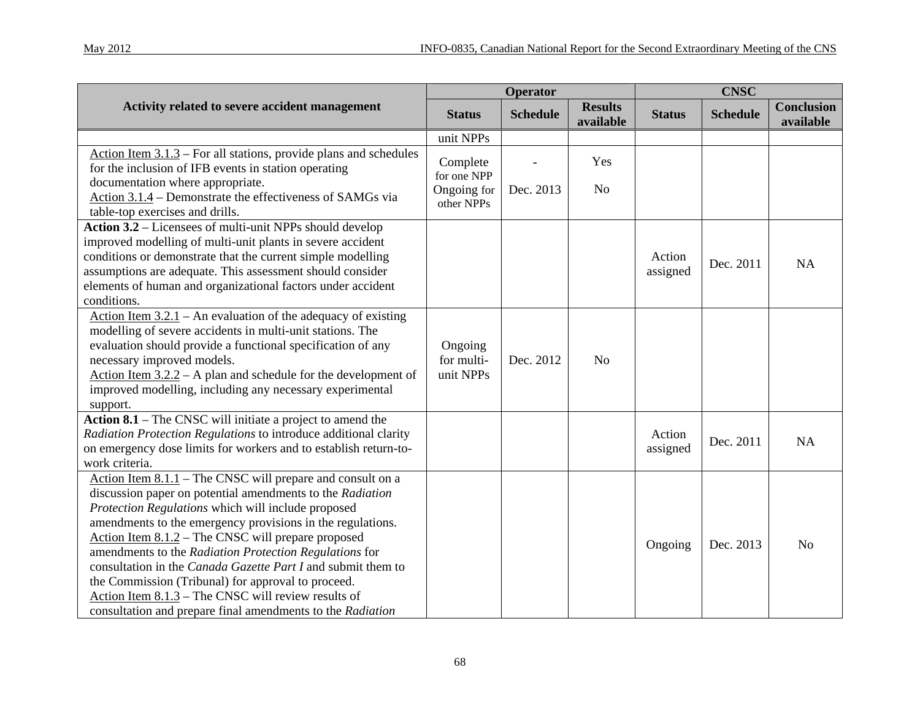|                                                                                                                                                                                                                                                                                                                                                                                                                                                                                                                                                                                                            |                                                      | Operator        |                             |                    | <b>CNSC</b>     |                                |
|------------------------------------------------------------------------------------------------------------------------------------------------------------------------------------------------------------------------------------------------------------------------------------------------------------------------------------------------------------------------------------------------------------------------------------------------------------------------------------------------------------------------------------------------------------------------------------------------------------|------------------------------------------------------|-----------------|-----------------------------|--------------------|-----------------|--------------------------------|
| Activity related to severe accident management                                                                                                                                                                                                                                                                                                                                                                                                                                                                                                                                                             | <b>Status</b>                                        | <b>Schedule</b> | <b>Results</b><br>available | <b>Status</b>      | <b>Schedule</b> | <b>Conclusion</b><br>available |
|                                                                                                                                                                                                                                                                                                                                                                                                                                                                                                                                                                                                            | unit NPPs                                            |                 |                             |                    |                 |                                |
| Action Item 3.1.3 - For all stations, provide plans and schedules<br>for the inclusion of IFB events in station operating<br>documentation where appropriate.<br>Action 3.1.4 – Demonstrate the effectiveness of SAMGs via<br>table-top exercises and drills.                                                                                                                                                                                                                                                                                                                                              | Complete<br>for one NPP<br>Ongoing for<br>other NPPs | Dec. 2013       | Yes<br>N <sub>o</sub>       |                    |                 |                                |
| Action 3.2 – Licensees of multi-unit NPPs should develop<br>improved modelling of multi-unit plants in severe accident<br>conditions or demonstrate that the current simple modelling<br>assumptions are adequate. This assessment should consider<br>elements of human and organizational factors under accident<br>conditions.                                                                                                                                                                                                                                                                           |                                                      |                 |                             | Action<br>assigned | Dec. 2011       | NA                             |
| Action Item $3.2.1$ – An evaluation of the adequacy of existing<br>modelling of severe accidents in multi-unit stations. The<br>evaluation should provide a functional specification of any<br>necessary improved models.<br>Action Item $3.2.2 - A$ plan and schedule for the development of<br>improved modelling, including any necessary experimental<br>support.                                                                                                                                                                                                                                      | Ongoing<br>for multi-<br>unit NPPs                   | Dec. 2012       | N <sub>o</sub>              |                    |                 |                                |
| Action $8.1$ – The CNSC will initiate a project to amend the<br>Radiation Protection Regulations to introduce additional clarity<br>on emergency dose limits for workers and to establish return-to-<br>work criteria.                                                                                                                                                                                                                                                                                                                                                                                     |                                                      |                 |                             | Action<br>assigned | Dec. 2011       | NA                             |
| Action Item $8.1.1$ – The CNSC will prepare and consult on a<br>discussion paper on potential amendments to the Radiation<br>Protection Regulations which will include proposed<br>amendments to the emergency provisions in the regulations.<br>Action Item 8.1.2 - The CNSC will prepare proposed<br>amendments to the Radiation Protection Regulations for<br>consultation in the Canada Gazette Part I and submit them to<br>the Commission (Tribunal) for approval to proceed.<br>Action Item $8.1.3$ – The CNSC will review results of<br>consultation and prepare final amendments to the Radiation |                                                      |                 |                             | Ongoing            | Dec. 2013       | N <sub>o</sub>                 |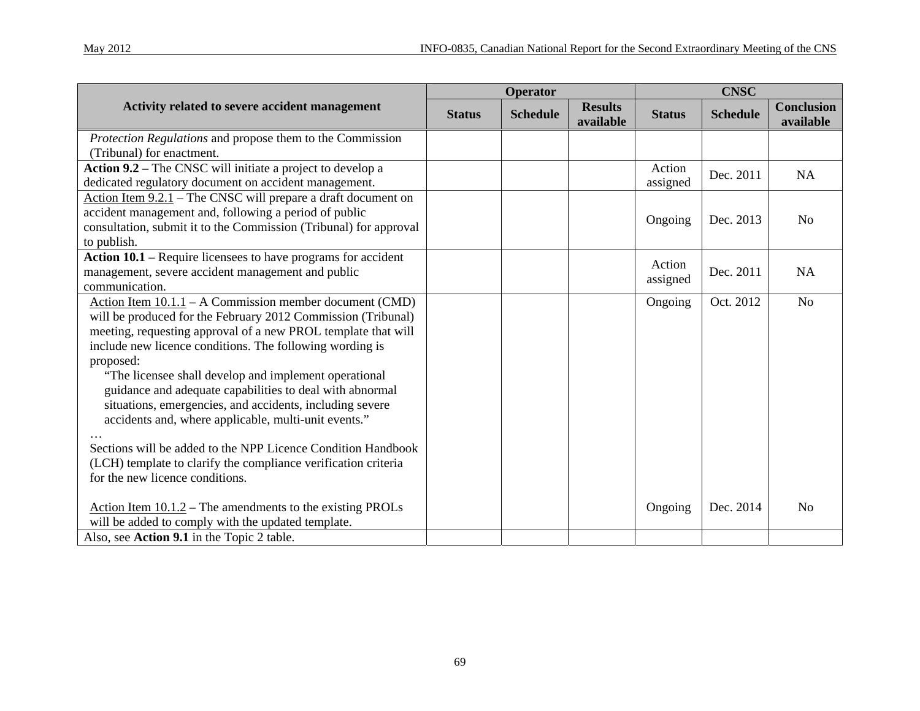| May 2012 |
|----------|
|----------|

|                                                                                                                     |               | Operator        |                             |                    | <b>CNSC</b>     |                                |
|---------------------------------------------------------------------------------------------------------------------|---------------|-----------------|-----------------------------|--------------------|-----------------|--------------------------------|
| Activity related to severe accident management                                                                      | <b>Status</b> | <b>Schedule</b> | <b>Results</b><br>available | <b>Status</b>      | <b>Schedule</b> | <b>Conclusion</b><br>available |
| Protection Regulations and propose them to the Commission                                                           |               |                 |                             |                    |                 |                                |
| (Tribunal) for enactment.                                                                                           |               |                 |                             |                    |                 |                                |
| Action 9.2 – The CNSC will initiate a project to develop a<br>dedicated regulatory document on accident management. |               |                 |                             | Action<br>assigned | Dec. 2011       | <b>NA</b>                      |
| Action Item $9.2.1$ – The CNSC will prepare a draft document on                                                     |               |                 |                             |                    |                 |                                |
| accident management and, following a period of public                                                               |               |                 |                             |                    | Dec. 2013       |                                |
| consultation, submit it to the Commission (Tribunal) for approval                                                   |               |                 |                             | Ongoing            |                 | N <sub>0</sub>                 |
| to publish.                                                                                                         |               |                 |                             |                    |                 |                                |
| Action 10.1 – Require licensees to have programs for accident                                                       |               |                 |                             | Action             |                 |                                |
| management, severe accident management and public                                                                   |               |                 |                             | assigned           | Dec. 2011       | NA                             |
| communication.                                                                                                      |               |                 |                             |                    |                 |                                |
| Action Item $10.1.1 - A$ Commission member document (CMD)                                                           |               |                 |                             | Ongoing            | Oct. 2012       | N <sub>o</sub>                 |
| will be produced for the February 2012 Commission (Tribunal)                                                        |               |                 |                             |                    |                 |                                |
| meeting, requesting approval of a new PROL template that will                                                       |               |                 |                             |                    |                 |                                |
| include new licence conditions. The following wording is                                                            |               |                 |                             |                    |                 |                                |
| proposed:                                                                                                           |               |                 |                             |                    |                 |                                |
| "The licensee shall develop and implement operational                                                               |               |                 |                             |                    |                 |                                |
| guidance and adequate capabilities to deal with abnormal                                                            |               |                 |                             |                    |                 |                                |
| situations, emergencies, and accidents, including severe                                                            |               |                 |                             |                    |                 |                                |
| accidents and, where applicable, multi-unit events."                                                                |               |                 |                             |                    |                 |                                |
|                                                                                                                     |               |                 |                             |                    |                 |                                |
| Sections will be added to the NPP Licence Condition Handbook                                                        |               |                 |                             |                    |                 |                                |
| (LCH) template to clarify the compliance verification criteria                                                      |               |                 |                             |                    |                 |                                |
| for the new licence conditions.                                                                                     |               |                 |                             |                    |                 |                                |
|                                                                                                                     |               |                 |                             |                    |                 |                                |
| Action Item $10.1.2$ – The amendments to the existing PROLs                                                         |               |                 |                             | Ongoing            | Dec. 2014       | N <sub>o</sub>                 |
| will be added to comply with the updated template.                                                                  |               |                 |                             |                    |                 |                                |
| Also, see Action 9.1 in the Topic 2 table.                                                                          |               |                 |                             |                    |                 |                                |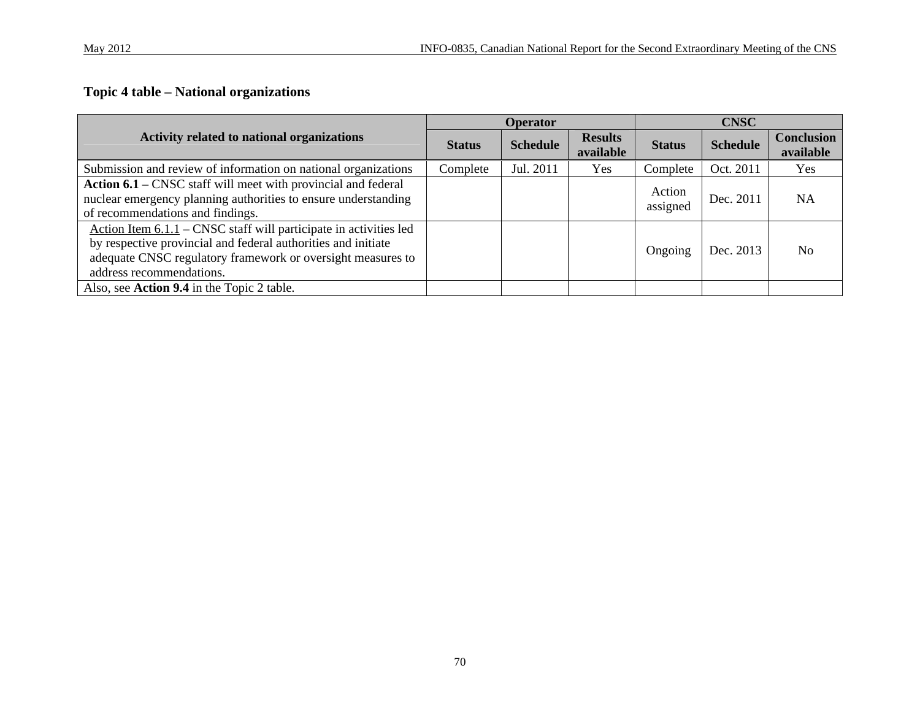## **Topic 4 table – National organizations**

|                                                                                                                                                                                                                                 |               | <b>Operator</b> |                             |                    | <b>CNSC</b>     |                                |
|---------------------------------------------------------------------------------------------------------------------------------------------------------------------------------------------------------------------------------|---------------|-----------------|-----------------------------|--------------------|-----------------|--------------------------------|
| <b>Activity related to national organizations</b>                                                                                                                                                                               | <b>Status</b> | <b>Schedule</b> | <b>Results</b><br>available | <b>Status</b>      | <b>Schedule</b> | <b>Conclusion</b><br>available |
| Submission and review of information on national organizations                                                                                                                                                                  | Complete      | Jul. 2011       | Yes                         | Complete           | Oct. 2011       | <b>Yes</b>                     |
| Action 6.1 – CNSC staff will meet with provincial and federal<br>nuclear emergency planning authorities to ensure understanding<br>of recommendations and findings.                                                             |               |                 |                             | Action<br>assigned | Dec. 2011       | <b>NA</b>                      |
| Action Item $6.1.1$ – CNSC staff will participate in activities led<br>by respective provincial and federal authorities and initiate<br>adequate CNSC regulatory framework or oversight measures to<br>address recommendations. |               |                 |                             | Ongoing            | Dec. 2013       | No.                            |
| Also, see Action 9.4 in the Topic 2 table.                                                                                                                                                                                      |               |                 |                             |                    |                 |                                |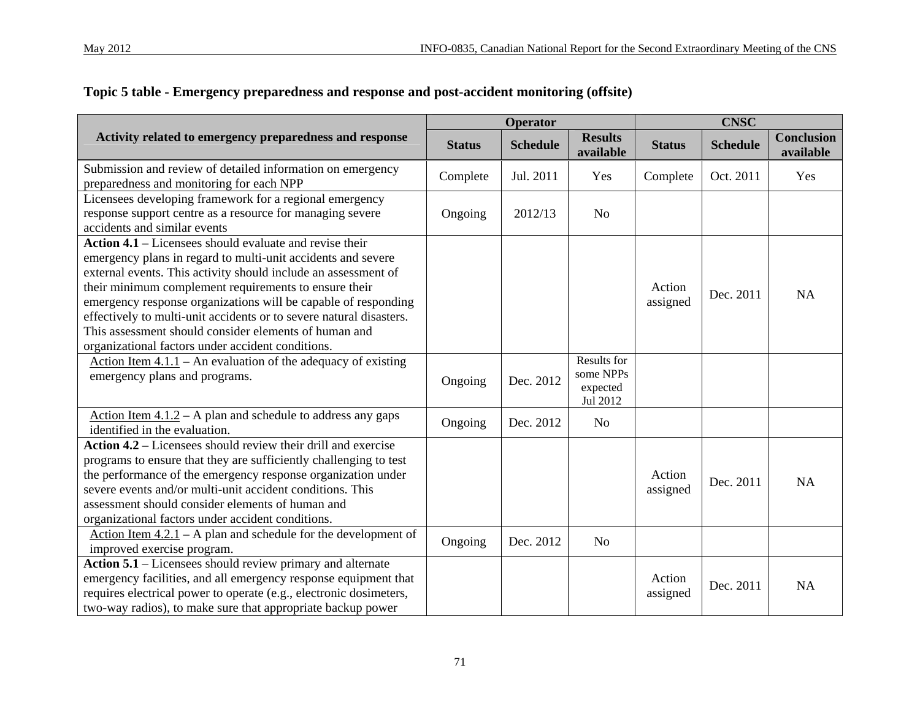|                                                                                                                                                                                                                                                                                                                                                                                                                                                                                                             | Operator      |                 |                                                  | <b>CNSC</b>        |                 |                                |
|-------------------------------------------------------------------------------------------------------------------------------------------------------------------------------------------------------------------------------------------------------------------------------------------------------------------------------------------------------------------------------------------------------------------------------------------------------------------------------------------------------------|---------------|-----------------|--------------------------------------------------|--------------------|-----------------|--------------------------------|
| Activity related to emergency preparedness and response                                                                                                                                                                                                                                                                                                                                                                                                                                                     | <b>Status</b> | <b>Schedule</b> | <b>Results</b><br>available                      | <b>Status</b>      | <b>Schedule</b> | <b>Conclusion</b><br>available |
| Submission and review of detailed information on emergency<br>preparedness and monitoring for each NPP                                                                                                                                                                                                                                                                                                                                                                                                      | Complete      | Jul. 2011       | Yes                                              | Complete           | Oct. 2011       | Yes                            |
| Licensees developing framework for a regional emergency<br>response support centre as a resource for managing severe<br>accidents and similar events                                                                                                                                                                                                                                                                                                                                                        | Ongoing       | 2012/13         | N <sub>o</sub>                                   |                    |                 |                                |
| Action $4.1$ – Licensees should evaluate and revise their<br>emergency plans in regard to multi-unit accidents and severe<br>external events. This activity should include an assessment of<br>their minimum complement requirements to ensure their<br>emergency response organizations will be capable of responding<br>effectively to multi-unit accidents or to severe natural disasters.<br>This assessment should consider elements of human and<br>organizational factors under accident conditions. |               |                 |                                                  | Action<br>assigned | Dec. 2011       | <b>NA</b>                      |
| Action Item $4.1.1$ – An evaluation of the adequacy of existing<br>emergency plans and programs.                                                                                                                                                                                                                                                                                                                                                                                                            | Ongoing       | Dec. 2012       | Results for<br>some NPPs<br>expected<br>Jul 2012 |                    |                 |                                |
| Action Item $4.1.2 - A$ plan and schedule to address any gaps<br>identified in the evaluation.                                                                                                                                                                                                                                                                                                                                                                                                              | Ongoing       | Dec. 2012       | N <sub>o</sub>                                   |                    |                 |                                |
| Action $4.2$ – Licensees should review their drill and exercise<br>programs to ensure that they are sufficiently challenging to test<br>the performance of the emergency response organization under<br>severe events and/or multi-unit accident conditions. This<br>assessment should consider elements of human and<br>organizational factors under accident conditions.                                                                                                                                  |               |                 |                                                  | Action<br>assigned | Dec. 2011       | <b>NA</b>                      |
| Action Item $4.2.1 - A$ plan and schedule for the development of<br>improved exercise program.                                                                                                                                                                                                                                                                                                                                                                                                              | Ongoing       | Dec. 2012       | N <sub>o</sub>                                   |                    |                 |                                |
| Action 5.1 - Licensees should review primary and alternate<br>emergency facilities, and all emergency response equipment that<br>requires electrical power to operate (e.g., electronic dosimeters,<br>two-way radios), to make sure that appropriate backup power                                                                                                                                                                                                                                          |               |                 |                                                  | Action<br>assigned | Dec. 2011       | <b>NA</b>                      |

### **Topic 5 table - Emergency preparedness and response and post-accident monitoring (offsite)**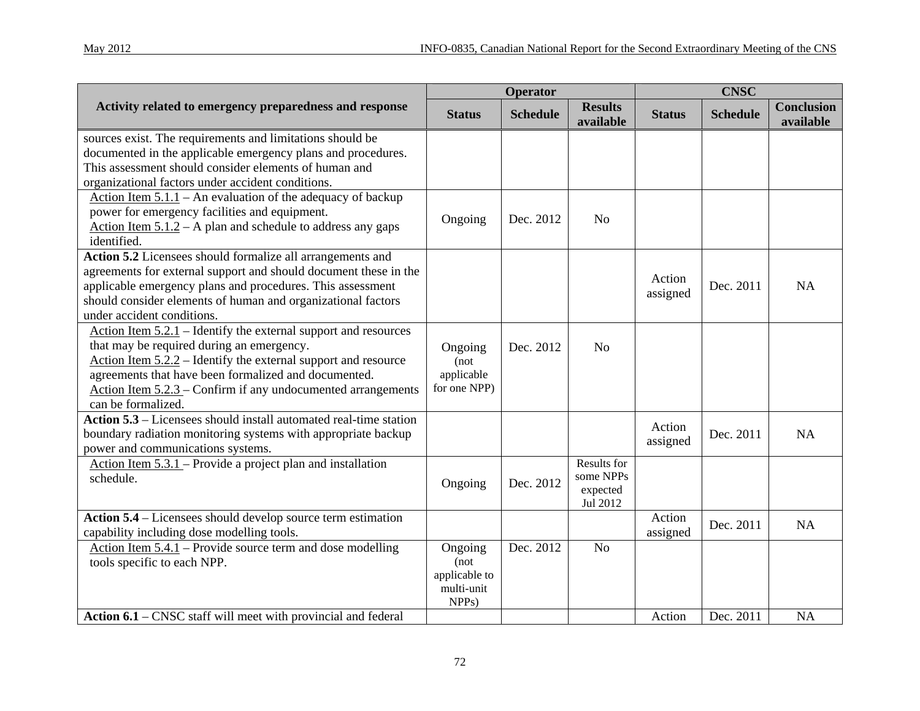|                                                                                                                                                                                                                                                                                                                                    | <b>Operator</b>                                                       |                 |                                                  | <b>CNSC</b>        |                 |                                |
|------------------------------------------------------------------------------------------------------------------------------------------------------------------------------------------------------------------------------------------------------------------------------------------------------------------------------------|-----------------------------------------------------------------------|-----------------|--------------------------------------------------|--------------------|-----------------|--------------------------------|
| Activity related to emergency preparedness and response                                                                                                                                                                                                                                                                            | <b>Status</b>                                                         | <b>Schedule</b> | <b>Results</b><br>available                      | <b>Status</b>      | <b>Schedule</b> | <b>Conclusion</b><br>available |
| sources exist. The requirements and limitations should be<br>documented in the applicable emergency plans and procedures.<br>This assessment should consider elements of human and<br>organizational factors under accident conditions.                                                                                            |                                                                       |                 |                                                  |                    |                 |                                |
| Action Item $5.1.1$ – An evaluation of the adequacy of backup<br>power for emergency facilities and equipment.<br>Action Item $5.1.2 - A$ plan and schedule to address any gaps<br>identified.                                                                                                                                     | Ongoing                                                               | Dec. 2012       | No                                               |                    |                 |                                |
| Action 5.2 Licensees should formalize all arrangements and<br>agreements for external support and should document these in the<br>applicable emergency plans and procedures. This assessment<br>should consider elements of human and organizational factors<br>under accident conditions.                                         |                                                                       |                 |                                                  | Action<br>assigned | Dec. 2011       | NA                             |
| Action Item $5.2.1$ – Identify the external support and resources<br>that may be required during an emergency.<br>Action Item $5.2.2$ – Identify the external support and resource<br>agreements that have been formalized and documented.<br>Action Item $5.2.3$ – Confirm if any undocumented arrangements<br>can be formalized. | Ongoing<br>(not<br>applicable<br>for one NPP)                         | Dec. 2012       | No                                               |                    |                 |                                |
| Action 5.3 – Licensees should install automated real-time station<br>boundary radiation monitoring systems with appropriate backup<br>power and communications systems.                                                                                                                                                            |                                                                       |                 |                                                  | Action<br>assigned | Dec. 2011       | NA                             |
| Action Item $5.3.1$ – Provide a project plan and installation<br>schedule.                                                                                                                                                                                                                                                         | Ongoing                                                               | Dec. 2012       | Results for<br>some NPPs<br>expected<br>Jul 2012 |                    |                 |                                |
| Action 5.4 – Licensees should develop source term estimation<br>capability including dose modelling tools.                                                                                                                                                                                                                         |                                                                       |                 |                                                  | Action<br>assigned | Dec. 2011       | NA                             |
| Action Item $5.4.1$ – Provide source term and dose modelling<br>tools specific to each NPP.                                                                                                                                                                                                                                        | Ongoing<br>(not)<br>applicable to<br>multi-unit<br>NPP <sub>s</sub> ) | Dec. 2012       | N <sub>o</sub>                                   |                    |                 |                                |
| Action 6.1 – CNSC staff will meet with provincial and federal                                                                                                                                                                                                                                                                      |                                                                       |                 |                                                  | Action             | Dec. 2011       | NA                             |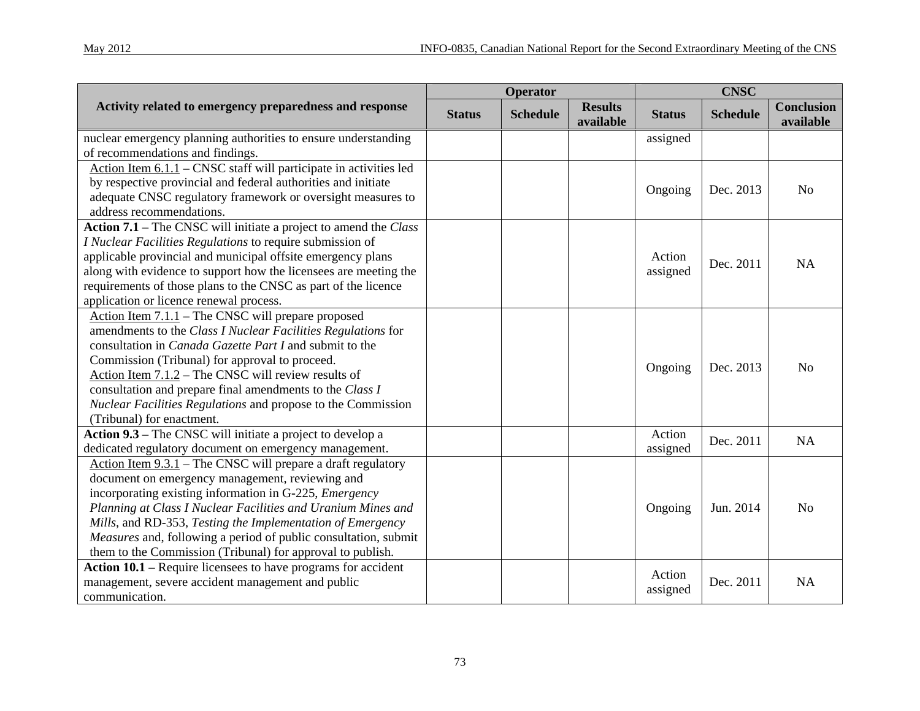| Mav | $20^{\circ}$ |
|-----|--------------|
|     |              |

|                                                                                                                                                                                                                                                                                                                                                                                                                                                        | <b>Operator</b> |                 |                             | <b>CNSC</b>        |                 |                                |
|--------------------------------------------------------------------------------------------------------------------------------------------------------------------------------------------------------------------------------------------------------------------------------------------------------------------------------------------------------------------------------------------------------------------------------------------------------|-----------------|-----------------|-----------------------------|--------------------|-----------------|--------------------------------|
| Activity related to emergency preparedness and response                                                                                                                                                                                                                                                                                                                                                                                                | <b>Status</b>   | <b>Schedule</b> | <b>Results</b><br>available | <b>Status</b>      | <b>Schedule</b> | <b>Conclusion</b><br>available |
| nuclear emergency planning authorities to ensure understanding<br>of recommendations and findings.                                                                                                                                                                                                                                                                                                                                                     |                 |                 |                             | assigned           |                 |                                |
| Action Item 6.1.1 – CNSC staff will participate in activities led<br>by respective provincial and federal authorities and initiate<br>adequate CNSC regulatory framework or oversight measures to<br>address recommendations.                                                                                                                                                                                                                          |                 |                 |                             | Ongoing            | Dec. 2013       | N <sub>o</sub>                 |
| Action 7.1 – The CNSC will initiate a project to amend the Class<br>I Nuclear Facilities Regulations to require submission of<br>applicable provincial and municipal offsite emergency plans<br>along with evidence to support how the licensees are meeting the<br>requirements of those plans to the CNSC as part of the licence<br>application or licence renewal process.                                                                          |                 |                 |                             | Action<br>assigned | Dec. 2011       | <b>NA</b>                      |
| Action Item 7.1.1 – The CNSC will prepare proposed<br>amendments to the Class I Nuclear Facilities Regulations for<br>consultation in <i>Canada Gazette Part I</i> and submit to the<br>Commission (Tribunal) for approval to proceed.<br>Action Item 7.1.2 – The CNSC will review results of<br>consultation and prepare final amendments to the Class I<br>Nuclear Facilities Regulations and propose to the Commission<br>(Tribunal) for enactment. |                 |                 |                             | Ongoing            | Dec. 2013       | N <sub>o</sub>                 |
| Action 9.3 – The CNSC will initiate a project to develop a<br>dedicated regulatory document on emergency management.                                                                                                                                                                                                                                                                                                                                   |                 |                 |                             | Action<br>assigned | Dec. 2011       | NA                             |
| Action Item $9.3.1$ – The CNSC will prepare a draft regulatory<br>document on emergency management, reviewing and<br>incorporating existing information in G-225, Emergency<br>Planning at Class I Nuclear Facilities and Uranium Mines and<br>Mills, and RD-353, Testing the Implementation of Emergency<br>Measures and, following a period of public consultation, submit<br>them to the Commission (Tribunal) for approval to publish.             |                 |                 |                             | Ongoing            | Jun. 2014       | N <sub>o</sub>                 |
| Action $10.1$ – Require licensees to have programs for accident<br>management, severe accident management and public<br>communication.                                                                                                                                                                                                                                                                                                                 |                 |                 |                             | Action<br>assigned | Dec. 2011       | <b>NA</b>                      |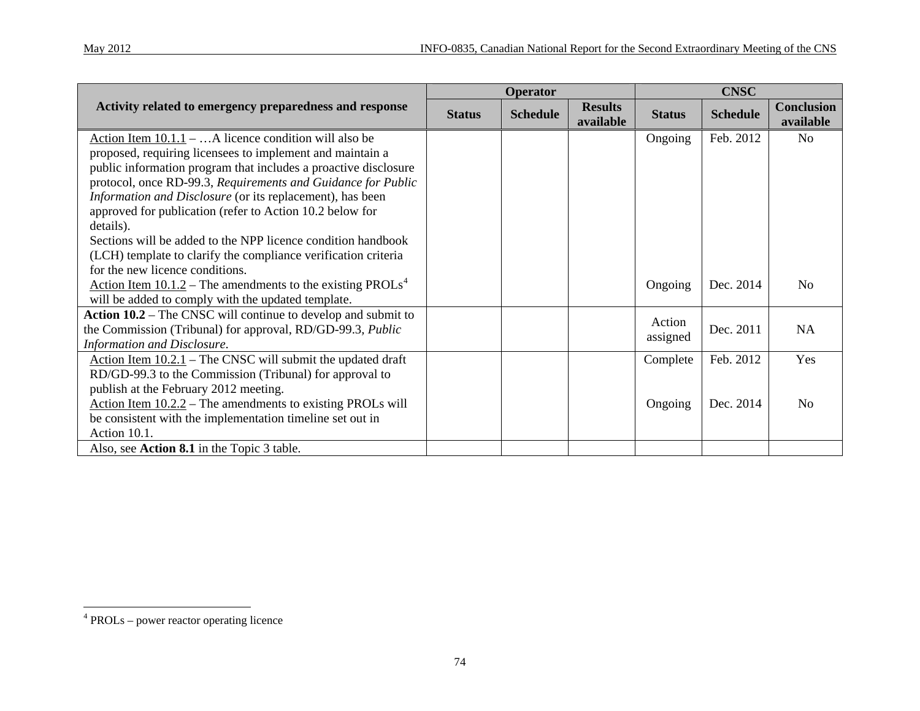|                                                                               | Operator      |                 |                             | <b>CNSC</b>   |                 |                                |
|-------------------------------------------------------------------------------|---------------|-----------------|-----------------------------|---------------|-----------------|--------------------------------|
| Activity related to emergency preparedness and response                       | <b>Status</b> | <b>Schedule</b> | <b>Results</b><br>available | <b>Status</b> | <b>Schedule</b> | <b>Conclusion</b><br>available |
| Action Item $10.1.1 - $ A licence condition will also be                      |               |                 |                             | Ongoing       | Feb. 2012       | No                             |
| proposed, requiring licensees to implement and maintain a                     |               |                 |                             |               |                 |                                |
| public information program that includes a proactive disclosure               |               |                 |                             |               |                 |                                |
| protocol, once RD-99.3, Requirements and Guidance for Public                  |               |                 |                             |               |                 |                                |
| Information and Disclosure (or its replacement), has been                     |               |                 |                             |               |                 |                                |
| approved for publication (refer to Action 10.2 below for                      |               |                 |                             |               |                 |                                |
| details).                                                                     |               |                 |                             |               |                 |                                |
| Sections will be added to the NPP licence condition handbook                  |               |                 |                             |               |                 |                                |
| (LCH) template to clarify the compliance verification criteria                |               |                 |                             |               |                 |                                |
| for the new licence conditions.                                               |               |                 |                             |               |                 |                                |
| <u>Action Item 10.1.2</u> – The amendments to the existing PROLs <sup>4</sup> |               |                 |                             | Ongoing       | Dec. 2014       | N <sub>0</sub>                 |
| will be added to comply with the updated template.                            |               |                 |                             |               |                 |                                |
| Action 10.2 – The CNSC will continue to develop and submit to                 |               |                 |                             | Action        |                 |                                |
| the Commission (Tribunal) for approval, RD/GD-99.3, Public                    |               |                 |                             | assigned      | Dec. 2011       | NA                             |
| Information and Disclosure.                                                   |               |                 |                             |               |                 |                                |
| Action Item $10.2.1$ – The CNSC will submit the updated draft                 |               |                 |                             | Complete      | Feb. 2012       | Yes                            |
| RD/GD-99.3 to the Commission (Tribunal) for approval to                       |               |                 |                             |               |                 |                                |
| publish at the February 2012 meeting.                                         |               |                 |                             |               |                 |                                |
| Action Item $10.2.2$ – The amendments to existing PROLs will                  |               |                 |                             | Ongoing       | Dec. 2014       | N <sub>0</sub>                 |
| be consistent with the implementation timeline set out in                     |               |                 |                             |               |                 |                                |
| Action 10.1.                                                                  |               |                 |                             |               |                 |                                |
| Also, see Action 8.1 in the Topic 3 table.                                    |               |                 |                             |               |                 |                                |

<span id="page-85-0"></span><sup>4</sup> PROLs – power reactor operating licence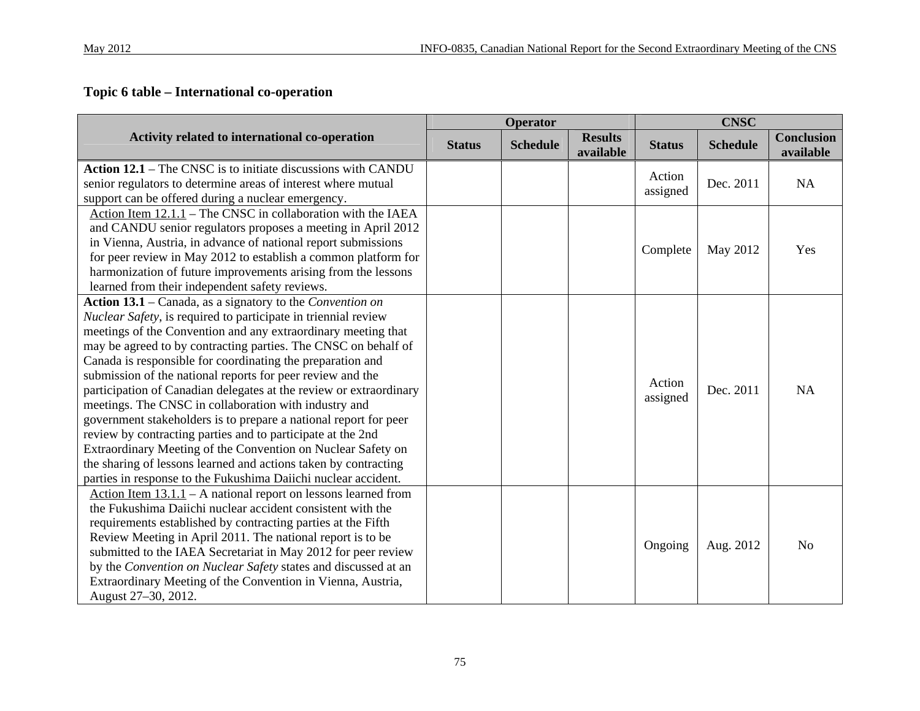## **Topic 6 table – International co-operation**

|                                                                    | <b>Operator</b> |                 |                             | <b>CNSC</b>   |                 |                                |
|--------------------------------------------------------------------|-----------------|-----------------|-----------------------------|---------------|-----------------|--------------------------------|
| Activity related to international co-operation                     | <b>Status</b>   | <b>Schedule</b> | <b>Results</b><br>available | <b>Status</b> | <b>Schedule</b> | <b>Conclusion</b><br>available |
| Action 12.1 – The CNSC is to initiate discussions with CANDU       |                 |                 |                             |               |                 |                                |
| senior regulators to determine areas of interest where mutual      |                 |                 |                             | Action        | Dec. 2011       | NA                             |
| support can be offered during a nuclear emergency.                 |                 |                 |                             | assigned      |                 |                                |
| Action Item 12.1.1 - The CNSC in collaboration with the IAEA       |                 |                 |                             |               |                 |                                |
| and CANDU senior regulators proposes a meeting in April 2012       |                 |                 |                             |               |                 |                                |
| in Vienna, Austria, in advance of national report submissions      |                 |                 |                             | Complete      | May 2012        | Yes                            |
| for peer review in May 2012 to establish a common platform for     |                 |                 |                             |               |                 |                                |
| harmonization of future improvements arising from the lessons      |                 |                 |                             |               |                 |                                |
| learned from their independent safety reviews.                     |                 |                 |                             |               |                 |                                |
| Action 13.1 – Canada, as a signatory to the Convention on          |                 |                 |                             |               |                 |                                |
| Nuclear Safety, is required to participate in triennial review     |                 |                 |                             |               |                 |                                |
| meetings of the Convention and any extraordinary meeting that      |                 |                 |                             |               |                 |                                |
| may be agreed to by contracting parties. The CNSC on behalf of     |                 |                 |                             |               |                 |                                |
| Canada is responsible for coordinating the preparation and         |                 |                 |                             |               |                 |                                |
| submission of the national reports for peer review and the         |                 |                 |                             | Action        |                 |                                |
| participation of Canadian delegates at the review or extraordinary |                 |                 |                             | assigned      | Dec. 2011       | <b>NA</b>                      |
| meetings. The CNSC in collaboration with industry and              |                 |                 |                             |               |                 |                                |
| government stakeholders is to prepare a national report for peer   |                 |                 |                             |               |                 |                                |
| review by contracting parties and to participate at the 2nd        |                 |                 |                             |               |                 |                                |
| Extraordinary Meeting of the Convention on Nuclear Safety on       |                 |                 |                             |               |                 |                                |
| the sharing of lessons learned and actions taken by contracting    |                 |                 |                             |               |                 |                                |
| parties in response to the Fukushima Daiichi nuclear accident.     |                 |                 |                             |               |                 |                                |
| Action Item $13.1.1$ – A national report on lessons learned from   |                 |                 |                             |               |                 |                                |
| the Fukushima Daiichi nuclear accident consistent with the         |                 |                 |                             |               |                 |                                |
| requirements established by contracting parties at the Fifth       |                 |                 |                             |               |                 |                                |
| Review Meeting in April 2011. The national report is to be         |                 |                 |                             | Ongoing       | Aug. 2012       | N <sub>0</sub>                 |
| submitted to the IAEA Secretariat in May 2012 for peer review      |                 |                 |                             |               |                 |                                |
| by the Convention on Nuclear Safety states and discussed at an     |                 |                 |                             |               |                 |                                |
| Extraordinary Meeting of the Convention in Vienna, Austria,        |                 |                 |                             |               |                 |                                |
| August 27-30, 2012.                                                |                 |                 |                             |               |                 |                                |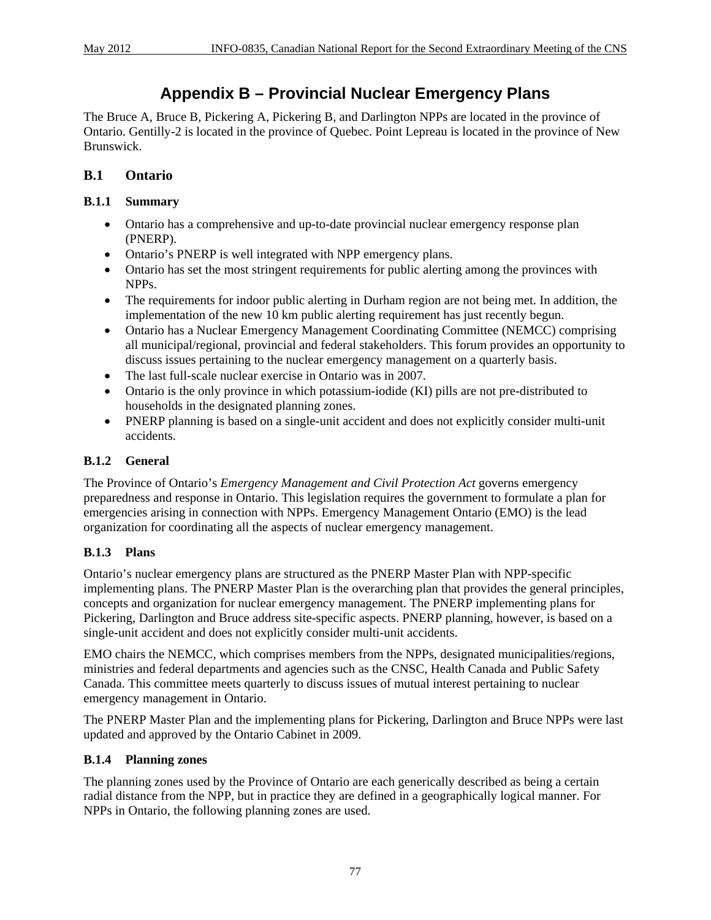## **Appendix B – Provincial Nuclear Emergency Plans**

The Bruce A, Bruce B, Pickering A, Pickering B, and Darlington NPPs are located in the province of Ontario. Gentilly-2 is located in the province of Quebec. Point Lepreau is located in the province of New Brunswick.

### **B.1 Ontario**

#### **B.1.1 Summary**

- Ontario has a comprehensive and up-to-date provincial nuclear emergency response plan (PNERP).
- Ontario's PNERP is well integrated with NPP emergency plans.
- Ontario has set the most stringent requirements for public alerting among the provinces with NPPs.
- The requirements for indoor public alerting in Durham region are not being met. In addition, the implementation of the new  $10 \text{ km}$  public alerting requirement has just recently begun.
- Ontario has a Nuclear Emergency Management Coordinating Committee (NEMCC) comprising all municipal/regional, provincial and federal stakeholders. This forum provides an opportunity to discuss issues pertaining to the nuclear emergency management on a quarterly basis.
- The last full-scale nuclear exercise in Ontario was in 2007.
- Ontario is the only province in which potassium-iodide (KI) pills are not pre-distributed to households in the designated planning zones.
- PNERP planning is based on a single-unit accident and does not explicitly consider multi-unit accidents.

#### **B.1.2 General**

The Province of Ontario's *Emergency Management and Civil Protection Act* governs emergency preparedness and response in Ontario. This legislation requires the government to formulate a plan for emergencies arising in connection with NPPs. Emergency Management Ontario (EMO) is the lead organization for coordinating all the aspects of nuclear emergency management.

#### **B.1.3 Plans**

Ontario's nuclear emergency plans are structured as the PNERP Master Plan with NPP-specific implementing plans. The PNERP Master Plan is the overarching plan that provides the general principles, concepts and organization for nuclear emergency management. The PNERP implementing plans for Pickering, Darlington and Bruce address site-specific aspects. PNERP planning, however, is based on a single-unit accident and does not explicitly consider multi-unit accidents.

EMO chairs the NEMCC, which comprises members from the NPPs, designated municipalities/regions, ministries and federal departments and agencies such as the CNSC, Health Canada and Public Safety Canada. This committee meets quarterly to discuss issues of mutual interest pertaining to nuclear emergency management in Ontario.

The PNERP Master Plan and the implementing plans for Pickering, Darlington and Bruce NPPs were last updated and approved by the Ontario Cabinet in 2009.

#### **B.1.4 Planning zones**

The planning zones used by the Province of Ontario are each generically described as being a certain radial distance from the NPP, but in practice they are defined in a geographically logical manner. For NPPs in Ontario, the following planning zones are used.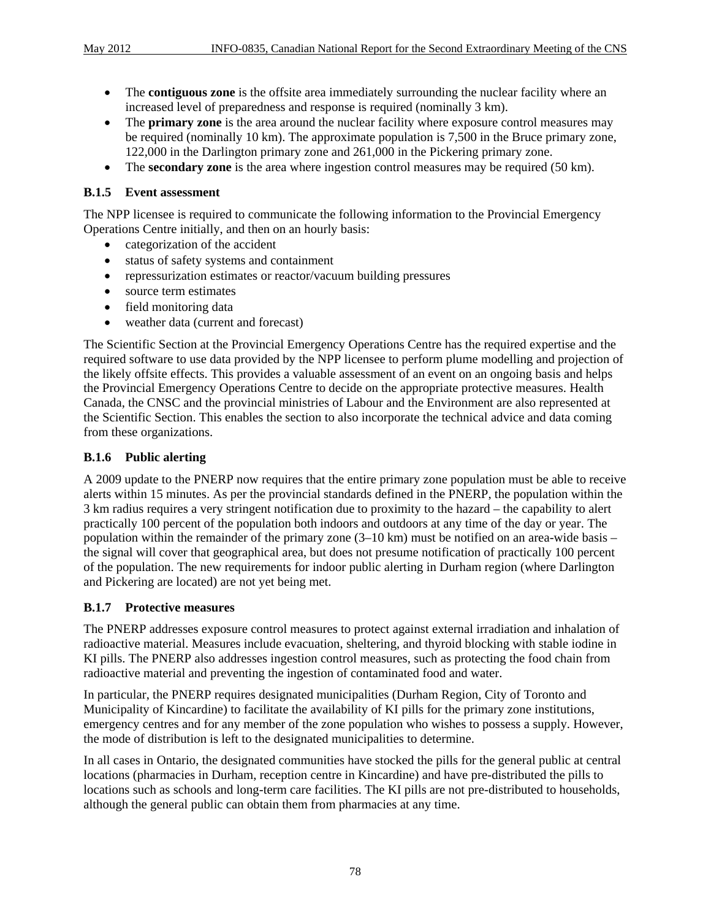- The **contiguous zone** is the offsite area immediately surrounding the nuclear facility where an increased level of preparedness and response is required (nominally 3 km).
- The **primary zone** is the area around the nuclear facility where exposure control measures may be required (nominally 10 km). The approximate population is 7,500 in the Bruce primary zone, 122,000 in the Darlington primary zone and 261,000 in the Pickering primary zone.
- The **secondary zone** is the area where ingestion control measures may be required (50 km).

#### **B.1.5 Event assessment**

The NPP licensee is required to communicate the following information to the Provincial Emergency Operations Centre initially, and then on an hourly basis:

- categorization of the accident
- status of safety systems and containment
- repressurization estimates or reactor/vacuum building pressures
- source term estimates
- field monitoring data
- weather data (current and forecast)

The Scientific Section at the Provincial Emergency Operations Centre has the required expertise and the required software to use data provided by the NPP licensee to perform plume modelling and projection of the likely offsite effects. This provides a valuable assessment of an event on an ongoing basis and helps the Provincial Emergency Operations Centre to decide on the appropriate protective measures. Health Canada, the CNSC and the provincial ministries of Labour and the Environment are also represented at the Scientific Section. This enables the section to also incorporate the technical advice and data coming from these organizations.

#### **B.1.6 Public alerting**

A 2009 update to the PNERP now requires that the entire primary zone population must be able to receive alerts within 15 minutes. As per the provincial standards defined in the PNERP, the population within the 3 km radius requires a very stringent notification due to proximity to the hazard – the capability to alert practically 100 percent of the population both indoors and outdoors at any time of the day or year. The population within the remainder of the primary zone  $(3-10 \text{ km})$  must be notified on an area-wide basis – the signal will cover that geographical area, but does not presume notification of practically 100 percent of the population. The new requirements for indoor public alerting in Durham region (where Darlington and Pickering are located) are not yet being met.

#### **B.1.7 Protective measures**

The PNERP addresses exposure control measures to protect against external irradiation and inhalation of radioactive material. Measures include evacuation, sheltering, and thyroid blocking with stable iodine in KI pills. The PNERP also addresses ingestion control measures, such as protecting the food chain from radioactive material and preventing the ingestion of contaminated food and water.

In particular, the PNERP requires designated municipalities (Durham Region, City of Toronto and Municipality of Kincardine) to facilitate the availability of KI pills for the primary zone institutions, emergency centres and for any member of the zone population who wishes to possess a supply. However, the mode of distribution is left to the designated municipalities to determine.

In all cases in Ontario, the designated communities have stocked the pills for the general public at central locations (pharmacies in Durham, reception centre in Kincardine) and have pre-distributed the pills to locations such as schools and long-term care facilities. The KI pills are not pre-distributed to households, although the general public can obtain them from pharmacies at any time.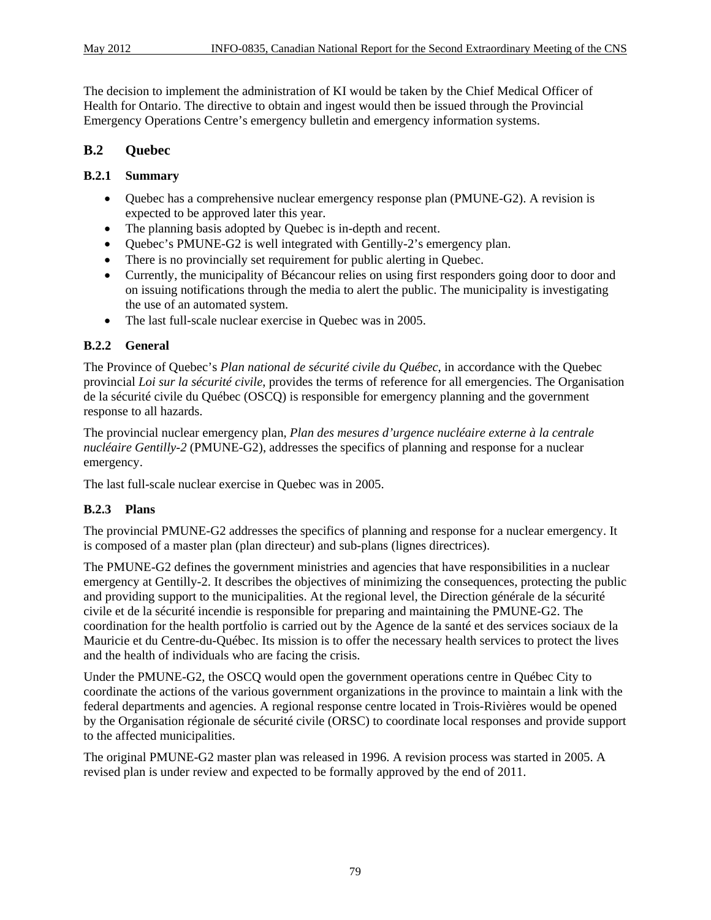The decision to implement the administration of KI would be taken by the Chief Medical Officer of Health for Ontario. The directive to obtain and ingest would then be issued through the Provincial Emergency Operations Centre's emergency bulletin and emergency information systems.

### **B.2 Quebec**

#### **B.2.1 Summary**

- Quebec has a comprehensive nuclear emergency response plan (PMUNE-G2). A revision is expected to be approved later this year.
- The planning basis adopted by Quebec is in-depth and recent.
- Quebec's PMUNE-G2 is well integrated with Gentilly-2's emergency plan.
- There is no provincially set requirement for public alerting in Quebec.
- Currently, the municipality of Bécancour relies on using first responders going door to door and on issuing notifications through the media to alert the public. The municipality is investigating the use of an automated system.
- The last full-scale nuclear exercise in Quebec was in 2005.

#### **B.2.2 General**

The Province of Quebec's *Plan national de sécurité civile du Québec*, in accordance with the Quebec provincial *Loi sur la sécurité civile*, provides the terms of reference for all emergencies. The Organisation de la sécurité civile du Québec (OSCQ) is responsible for emergency planning and the government response to all hazards.

The provincial nuclear emergency plan, *Plan des mesures d'urgence nucléaire externe à la centrale nucléaire Gentilly-2* (PMUNE-G2), addresses the specifics of planning and response for a nuclear emergency.

The last full-scale nuclear exercise in Quebec was in 2005.

#### **B.2.3 Plans**

The provincial PMUNE-G2 addresses the specifics of planning and response for a nuclear emergency. It is composed of a master plan (plan directeur) and sub-plans (lignes directrices).

The PMUNE-G2 defines the government ministries and agencies that have responsibilities in a nuclear emergency at Gentilly-2. It describes the objectives of minimizing the consequences, protecting the public and providing support to the municipalities. At the regional level, the Direction générale de la sécurité civile et de la sécurité incendie is responsible for preparing and maintaining the PMUNE-G2. The coordination for the health portfolio is carried out by the Agence de la santé et des services sociaux de la Mauricie et du Centre-du-Québec. Its mission is to offer the necessary health services to protect the lives and the health of individuals who are facing the crisis.

Under the PMUNE-G2, the OSCQ would open the government operations centre in Québec City to coordinate the actions of the various government organizations in the province to maintain a link with the federal departments and agencies. A regional response centre located in Trois-Rivières would be opened by the Organisation régionale de sécurité civile (ORSC) to coordinate local responses and provide support to the affected municipalities.

The original PMUNE-G2 master plan was released in 1996. A revision process was started in 2005. A revised plan is under review and expected to be formally approved by the end of 2011.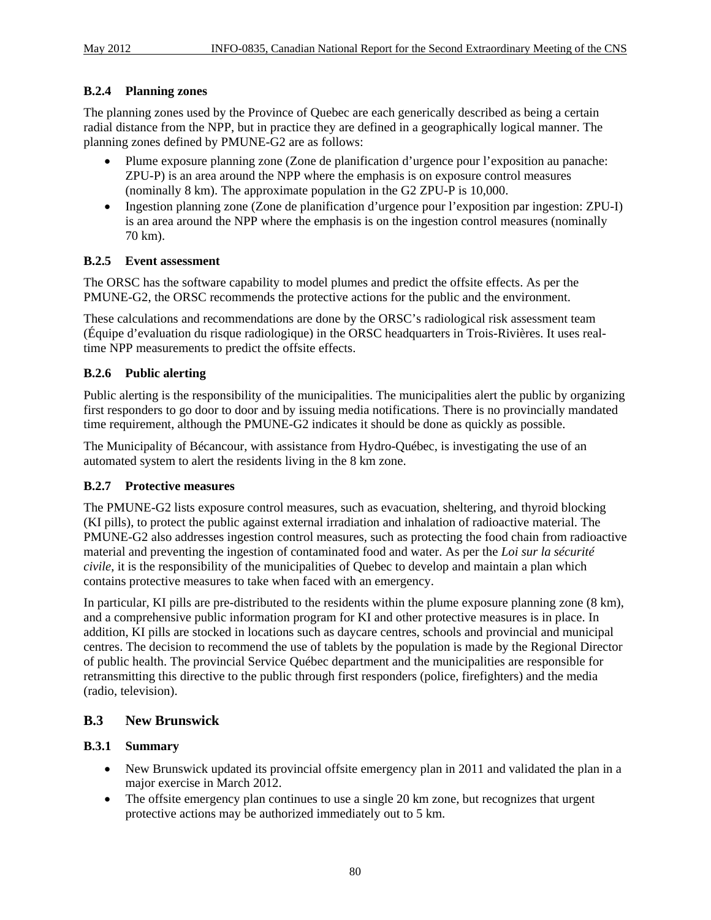#### **B.2.4 Planning zones**

The planning zones used by the Province of Quebec are each generically described as being a certain radial distance from the NPP, but in practice they are defined in a geographically logical manner. The planning zones defined by PMUNE-G2 are as follows:

- Plume exposure planning zone (Zone de planification d'urgence pour l'exposition au panache: ZPU-P) is an area around the NPP where the emphasis is on exposure control measures (nominally 8 km). The approximate population in the G2 ZPU-P is 10,000.
- Ingestion planning zone (Zone de planification d'urgence pour l'exposition par ingestion: ZPU-I) is an area around the NPP where the emphasis is on the ingestion control measures (nominally 70 km).

#### **B.2.5 Event assessment**

The ORSC has the software capability to model plumes and predict the offsite effects. As per the PMUNE-G2, the ORSC recommends the protective actions for the public and the environment.

These calculations and recommendations are done by the ORSC's radiological risk assessment team (Équipe d'evaluation du risque radiologique) in the ORSC headquarters in Trois-Rivières. It uses realtime NPP measurements to predict the offsite effects.

#### **B.2.6 Public alerting**

Public alerting is the responsibility of the municipalities. The municipalities alert the public by organizing first responders to go door to door and by issuing media notifications. There is no provincially mandated time requirement, although the PMUNE-G2 indicates it should be done as quickly as possible.

The Municipality of Bécancour, with assistance from Hydro-Québec, is investigating the use of an automated system to alert the residents living in the 8 km zone.

#### **B.2.7 Protective measures**

The PMUNE-G2 lists exposure control measures, such as evacuation, sheltering, and thyroid blocking (KI pills), to protect the public against external irradiation and inhalation of radioactive material. The PMUNE-G2 also addresses ingestion control measures, such as protecting the food chain from radioactive material and preventing the ingestion of contaminated food and water. As per the *Loi sur la sécurité civile*, it is the responsibility of the municipalities of Quebec to develop and maintain a plan which contains protective measures to take when faced with an emergency.

In particular, KI pills are pre-distributed to the residents within the plume exposure planning zone (8 km), and a comprehensive public information program for KI and other protective measures is in place. In addition, KI pills are stocked in locations such as daycare centres, schools and provincial and municipal centres. The decision to recommend the use of tablets by the population is made by the Regional Director of public health. The provincial Service Québec department and the municipalities are responsible for retransmitting this directive to the public through first responders (police, firefighters) and the media (radio, television).

#### **B.3 New Brunswick**

#### **B.3.1 Summary**

- New Brunswick updated its provincial offsite emergency plan in 2011 and validated the plan in a major exercise in March 2012.
- The offsite emergency plan continues to use a single 20 km zone, but recognizes that urgent protective actions may be authorized immediately out to 5 km.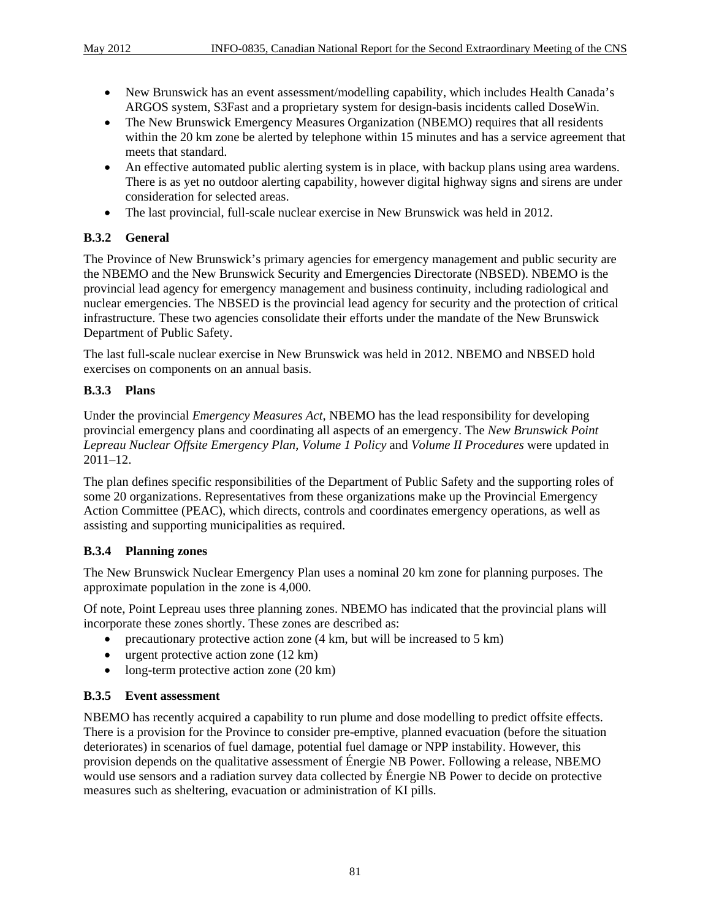- New Brunswick has an event assessment/modelling capability, which includes Health Canada's ARGOS system, S3Fast and a proprietary system for design-basis incidents called DoseWin.
- The New Brunswick Emergency Measures Organization (NBEMO) requires that all residents within the 20 km zone be alerted by telephone within 15 minutes and has a service agreement that meets that standard.
- An effective automated public alerting system is in place, with backup plans using area wardens. There is as yet no outdoor alerting capability, however digital highway signs and sirens are under consideration for selected areas.
- The last provincial, full-scale nuclear exercise in New Brunswick was held in 2012.

#### **B.3.2 General**

The Province of New Brunswick's primary agencies for emergency management and public security are the NBEMO and the New Brunswick Security and Emergencies Directorate (NBSED). NBEMO is the provincial lead agency for emergency management and business continuity, including radiological and nuclear emergencies. The NBSED is the provincial lead agency for security and the protection of critical infrastructure. These two agencies consolidate their efforts under the mandate of the New Brunswick Department of Public Safety.

The last full-scale nuclear exercise in New Brunswick was held in 2012. NBEMO and NBSED hold exercises on components on an annual basis.

#### **B.3.3 Plans**

Under the provincial *Emergency Measures Act*, NBEMO has the lead responsibility for developing provincial emergency plans and coordinating all aspects of an emergency. The *New Brunswick Point Lepreau Nuclear Offsite Emergency Plan*, *Volume 1 Policy* and *Volume II Procedures* were updated in 2011–12.

The plan defines specific responsibilities of the Department of Public Safety and the supporting roles of some 20 organizations. Representatives from these organizations make up the Provincial Emergency Action Committee (PEAC), which directs, controls and coordinates emergency operations, as well as assisting and supporting municipalities as required.

#### **B.3.4 Planning zones**

The New Brunswick Nuclear Emergency Plan uses a nominal 20 km zone for planning purposes. The approximate population in the zone is 4,000.

Of note, Point Lepreau uses three planning zones. NBEMO has indicated that the provincial plans will incorporate these zones shortly. These zones are described as:

- precautionary protective action zone (4 km, but will be increased to 5 km)
- urgent protective action zone (12 km)
- long-term protective action zone (20 km)

#### **B.3.5 Event assessment**

NBEMO has recently acquired a capability to run plume and dose modelling to predict offsite effects. There is a provision for the Province to consider pre-emptive, planned evacuation (before the situation deteriorates) in scenarios of fuel damage, potential fuel damage or NPP instability. However, this provision depends on the qualitative assessment of Énergie NB Power. Following a release, NBEMO would use sensors and a radiation survey data collected by Énergie NB Power to decide on protective measures such as sheltering, evacuation or administration of KI pills.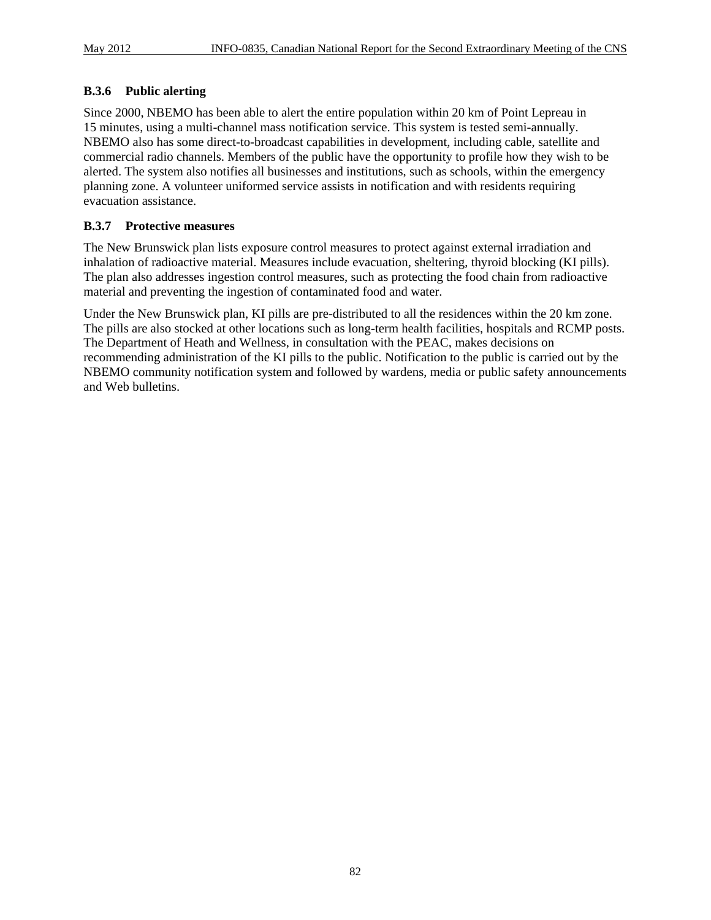#### **B.3.6 Public alerting**

Since 2000, NBEMO has been able to alert the entire population within 20 km of Point Lepreau in 15 minutes, using a multi-channel mass notification service. This system is tested semi-annually. NBEMO also has some direct-to-broadcast capabilities in development, including cable, satellite and commercial radio channels. Members of the public have the opportunity to profile how they wish to be alerted. The system also notifies all businesses and institutions, such as schools, within the emergency planning zone. A volunteer uniformed service assists in notification and with residents requiring evacuation assistance.

#### **B.3.7 Protective measures**

The New Brunswick plan lists exposure control measures to protect against external irradiation and inhalation of radioactive material. Measures include evacuation, sheltering, thyroid blocking (KI pills). The plan also addresses ingestion control measures, such as protecting the food chain from radioactive material and preventing the ingestion of contaminated food and water.

Under the New Brunswick plan, KI pills are pre-distributed to all the residences within the 20 km zone. The pills are also stocked at other locations such as long-term health facilities, hospitals and RCMP posts. The Department of Heath and Wellness, in consultation with the PEAC, makes decisions on recommending administration of the KI pills to the public. Notification to the public is carried out by the NBEMO community notification system and followed by wardens, media or public safety announcements and Web bulletins.